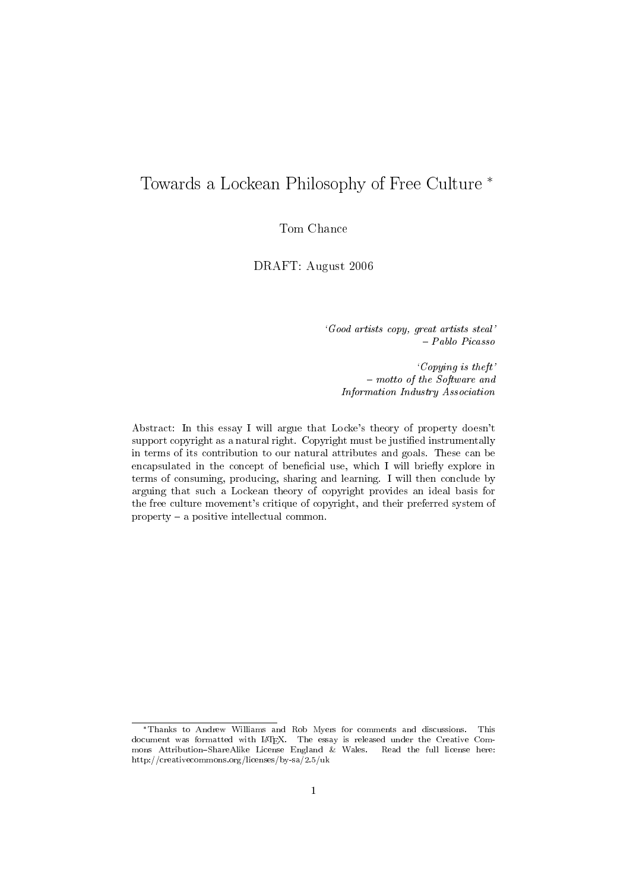# Towards a Lockean Philosophy of Free Culture

Tom Chance

DRAFT: August 2006

`Good artists copy, great artists steal' { Pablo Picasso

`Copying is theft'  $-$  motto of the Software and Information Industry Association

Abstract: In this essay I will argue that Locke's theory of property doesn't support copyright as a natural right. Copyright must be justified instrumentally in terms of its contribution to our natural attributes and goals. These can be encapsulated in the concept of beneficial use, which I will briefly explore in terms of consuming, producing, sharing and learning. I will then conclude by arguing that such a Lockean theory of copyright provides an ideal basis for the free culture movement's critique of copyright, and their preferred system of property  $-$  a positive intellectual common.

Thanks to Andrew Williams and Rob Myers for comments and discussions. This document was formatted with L<sup>A</sup>TEX. The essay is released under the Creative Commons Attribution-ShareAlike License England & Wales. Read the full license here: http://creativecommons.org/licenses/by-sa/2.5/uk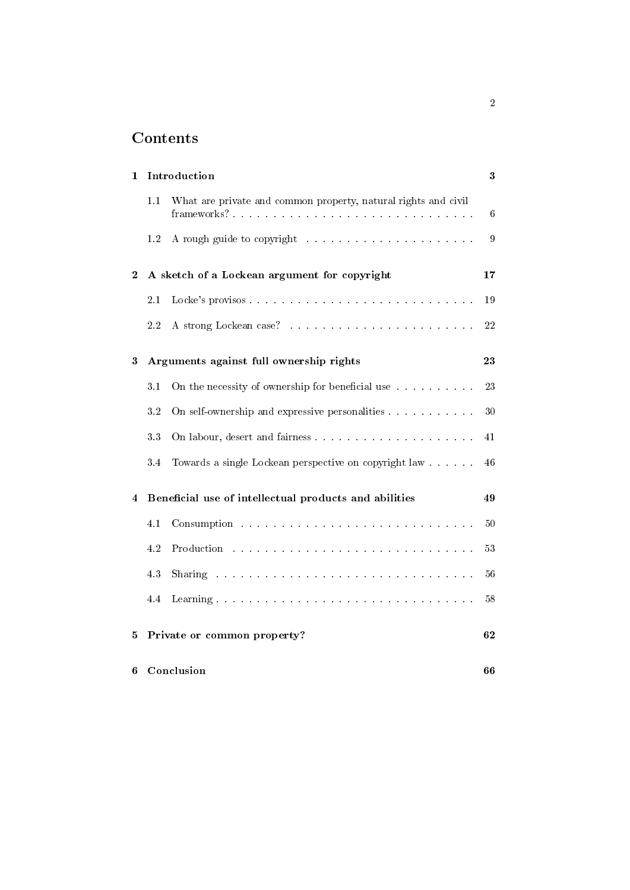# Contents

| 1        | Introduction                |                                                                                                                                                                                                                                | $\bf{3}$        |
|----------|-----------------------------|--------------------------------------------------------------------------------------------------------------------------------------------------------------------------------------------------------------------------------|-----------------|
|          | 1.1                         | What are private and common property, natural rights and civil                                                                                                                                                                 | $6\phantom{.}6$ |
|          | $1.2\,$                     |                                                                                                                                                                                                                                | 9               |
| $\bf{2}$ |                             | A sketch of a Lockean argument for copyright                                                                                                                                                                                   | 17              |
|          | 2.1                         | Locke's provisos                                                                                                                                                                                                               | 19              |
|          | $2.2\,$                     |                                                                                                                                                                                                                                | $2\sqrt{2}$     |
| 3        |                             | Arguments against full ownership rights                                                                                                                                                                                        | 23              |
|          | 3.1                         | On the necessity of ownership for beneficial use                                                                                                                                                                               | 23              |
|          | $3.2\,$                     | On self-ownership and expressive personalities                                                                                                                                                                                 | 30              |
|          | 33                          |                                                                                                                                                                                                                                | 41              |
|          | 3.4                         | Towards a single Lockean perspective on copyright law                                                                                                                                                                          | 46              |
| 4        |                             | Beneficial use of intellectual products and abilities                                                                                                                                                                          | 49              |
|          | 4.1                         |                                                                                                                                                                                                                                | 50              |
|          | 4.2                         | Production and an annual contract the contract of the contract of the contract of the contract of the contract of the contract of the contract of the contract of the contract of the contract of the contract of the contract | 53              |
|          | 4.3                         | Sharing the community of the community of the community of the community of the community of the community of the community of the community of the community of the community of the community of the community of the commun | 56              |
|          | 4.4                         |                                                                                                                                                                                                                                | 58              |
| 5        | Private or common property? |                                                                                                                                                                                                                                | 62              |
| 6        | Conclusion                  |                                                                                                                                                                                                                                | 66              |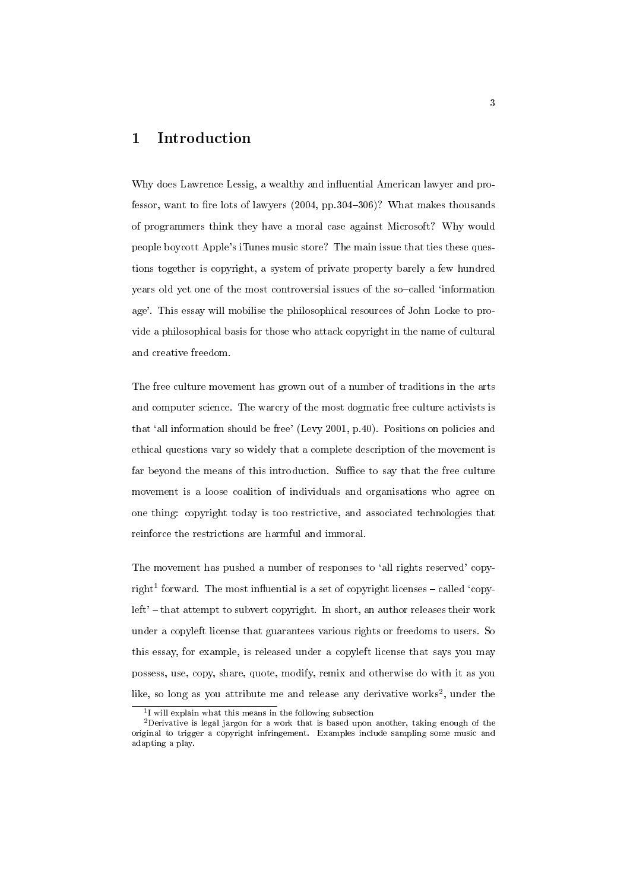# 1 Introduction

Why does Lawrence Lessig, a wealthy and influential American lawyer and professor, want to fire lots of lawyers  $(2004, pp.304–306)$ ? What makes thousands of programmers think they have a moral case against Microsoft? Why would people boycott Apple's iTunes music store? The main issue that ties these questions together is copyright, a system of private property barely a few hundred years old yet one of the most controversial issues of the so-called 'information age'. This essay will mobilise the philosophical resources of John Locke to provide a philosophical basis for those who attack copyright in the name of cultural and creative freedom.

The free culture movement has grown out of a number of traditions in the arts and computer science. The warcry of the most dogmatic free culture activists is that `all information should be free' (Levy 2001, p.40). Positions on policies and ethical questions vary so widely that a complete description of the movement is far beyond the means of this introduction. Suffice to say that the free culture movement is a loose coalition of individuals and organisations who agree on one thing: copyright today is too restrictive, and associated technologies that reinforce the restrictions are harmful and immoral.

The movement has pushed a number of responses to 'all rights reserved' copyright<sup>1</sup> forward. The most influential is a set of copyright licenses  $-$  called 'copy $left'$  - that attempt to subvert copyright. In short, an author releases their work under a copyleft license that guarantees various rights or freedoms to users. So this essay, for example, is released under a copyleft license that says you may possess, use, copy, share, quote, modify, remix and otherwise do with it as you like, so long as you attribute me and release any derivative works<sup>2</sup>, under the

<sup>1</sup> I will explain what this means in the following subsection

<sup>2</sup>Derivative is legal jargon for a work that is based upon another, taking enough of the original to trigger a copyright infringement. Examples include sampling some music and adapting a play.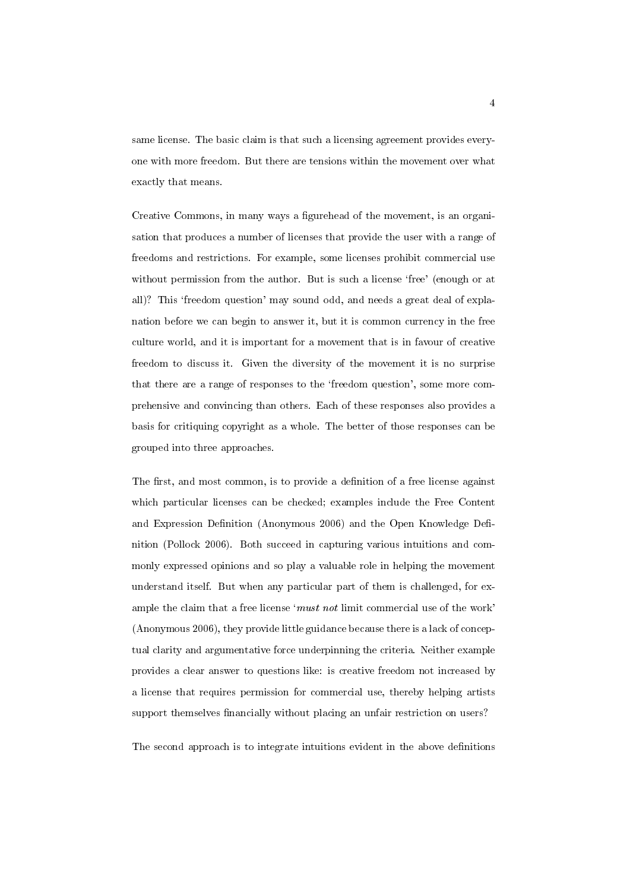same license. The basic claim is that such a licensing agreement provides everyone with more freedom. But there are tensions within the movement over what exactly that means.

Creative Commons, in many ways a figurehead of the movement, is an organisation that produces a number of licenses that provide the user with a range of freedoms and restrictions. For example, some licenses prohibit commercial use without permission from the author. But is such a license 'free' (enough or at all)? This 'freedom question' may sound odd, and needs a great deal of explanation before we can begin to answer it, but it is common currency in the free culture world, and it is important for a movement that is in favour of creative freedom to discuss it. Given the diversity of the movement it is no surprise that there are a range of responses to the `freedom question', some more comprehensive and convincing than others. Each of these responses also provides a basis for critiquing copyright as a whole. The better of those responses can be grouped into three approaches.

The first, and most common, is to provide a definition of a free license against which particular licenses can be checked; examples include the Free Content and Expression Definition (Anonymous 2006) and the Open Knowledge Definition (Pollock 2006). Both succeed in capturing various intuitions and commonly expressed opinions and so play a valuable role in helping the movement understand itself. But when any particular part of them is challenged, for example the claim that a free license 'must not limit commercial use of the work' (Anonymous 2006), they provide little guidance because there is a lack of conceptual clarity and argumentative force underpinning the criteria. Neither example provides a clear answer to questions like: is creative freedom not increased by a license that requires permission for commercial use, thereby helping artists support themselves financially without placing an unfair restriction on users?

The second approach is to integrate intuitions evident in the above definitions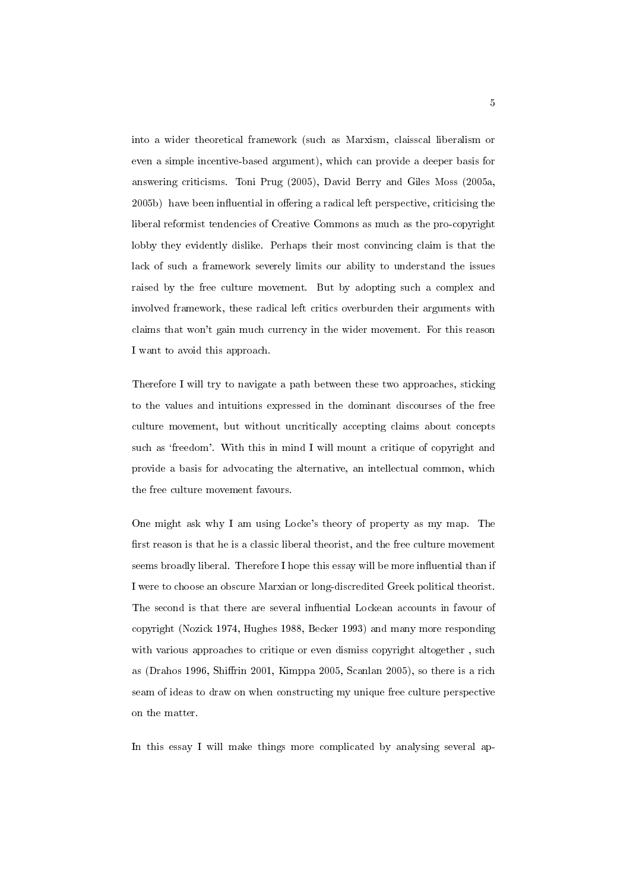into a wider theoretical framework (such as Marxism, claisscal liberalism or even a simple incentive-based argument), which can provide a deeper basis for answering criticisms. Toni Prug (2005), David Berry and Giles Moss (2005a, 2005b) have been influential in offering a radical left perspective, criticising the liberal reformist tendencies of Creative Commons as much as the pro-copyright lobby they evidently dislike. Perhaps their most convincing claim is that the lack of such a framework severely limits our ability to understand the issues raised by the free culture movement. But by adopting such a complex and involved framework, these radical left critics overburden their arguments with claims that won't gain much currency in the wider movement. For this reason I want to avoid this approach.

Therefore I will try to navigate a path between these two approaches, sticking to the values and intuitions expressed in the dominant discourses of the free culture movement, but without uncritically accepting claims about concepts such as 'freedom'. With this in mind I will mount a critique of copyright and provide a basis for advocating the alternative, an intellectual common, which the free culture movement favours.

One might ask why I am using Locke's theory of property as my map. The first reason is that he is a classic liberal theorist, and the free culture movement seems broadly liberal. Therefore I hope this essay will be more influential than if I were to choose an obscure Marxian or long-discredited Greek political theorist. The second is that there are several influential Lockean accounts in favour of copyright (Nozick 1974, Hughes 1988, Becker 1993) and many more responding with various approaches to critique or even dismiss copyright altogether , such as (Drahos 1996, Shirin 2001, Kimppa 2005, Scanlan 2005), so there is a rich seam of ideas to draw on when constructing my unique free culture perspective on the matter.

In this essay I will make things more complicated by analysing several ap-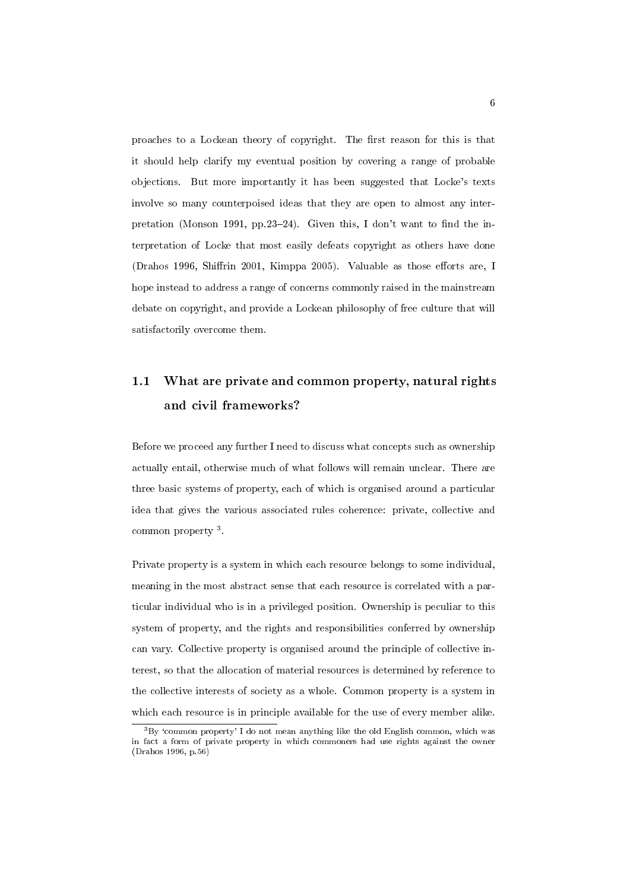proaches to a Lockean theory of copyright. The first reason for this is that it should help clarify my eventual position by covering a range of probable objections. But more importantly it has been suggested that Locke's texts involve so many counterpoised ideas that they are open to almost any interpretation (Monson 1991, pp.23-24). Given this, I don't want to find the interpretation of Locke that most easily defeats copyright as others have done (Drahos 1996, Shiffrin 2001, Kimppa 2005). Valuable as those efforts are, I hope instead to address a range of concerns commonly raised in the mainstream debate on copyright, and provide a Lockean philosophy of free culture that will satisfactorily overcome them.

# 1.1 What are private and common property, natural rights and civil frameworks?

Before we proceed any further I need to discuss what concepts such as ownership actually entail, otherwise much of what follows will remain unclear. There are three basic systems of property, each of which is organised around a particular idea that gives the various associated rules coherence: private, collective and common property<sup>3</sup>.

Private property is a system in which each resource belongs to some individual, meaning in the most abstract sense that each resource is correlated with a particular individual who is in a privileged position. Ownership is peculiar to this system of property, and the rights and responsibilities conferred by ownership can vary. Collective property is organised around the principle of collective interest, so that the allocation of material resources is determined by reference to the collective interests of society as a whole. Common property is a system in which each resource is in principle available for the use of every member alike.

 $3By$  'common property' I do not mean anything like the old English common, which was in fact a form of private property in which commoners had use rights against the owner (Drahos 1996, p.56)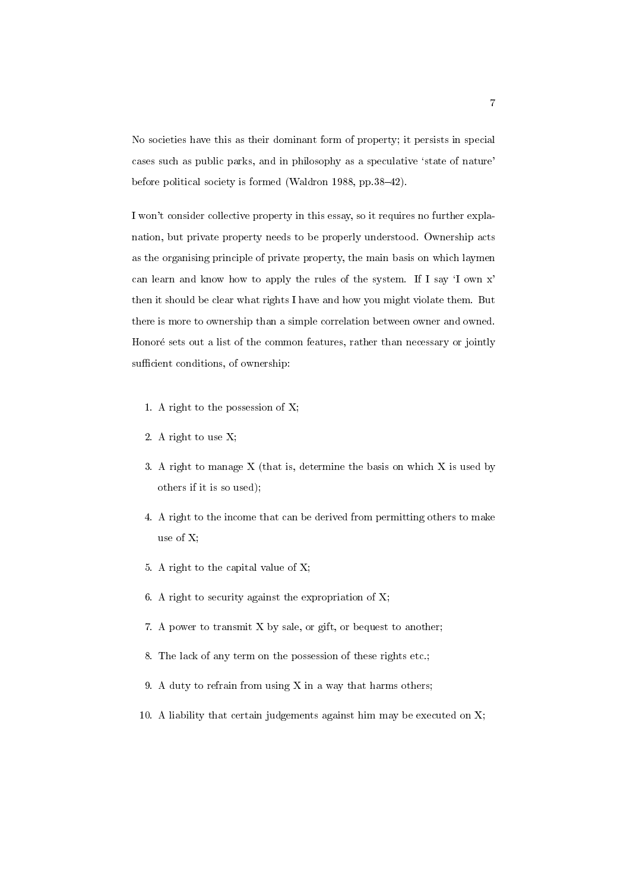No societies have this as their dominant form of property; it persists in special cases such as public parks, and in philosophy as a speculative 'state of nature' before political society is formed (Waldron 1988, pp. 38-42).

I won't consider collective property in this essay, so it requires no further explanation, but private property needs to be properly understood. Ownership acts as the organising principle of private property, the main basis on which laymen can learn and know how to apply the rules of the system. If I say `I own x' then it should be clear what rights I have and how you might violate them. But there is more to ownership than a simple correlation between owner and owned. Honoré sets out a list of the common features, rather than necessary or jointly sufficient conditions, of ownership:

- 1. A right to the possession of X;
- 2. A right to use X;
- 3. A right to manage X (that is, determine the basis on which X is used by others if it is so used);
- 4. A right to the income that can be derived from permitting others to make use of X;
- 5. A right to the capital value of X;
- 6. A right to security against the expropriation of  $X$ ;
- 7. A power to transmit X by sale, or gift, or bequest to another;
- 8. The lack of any term on the possession of these rights etc.;
- 9. A duty to refrain from using X in a way that harms others;
- 10. A liability that certain judgements against him may be executed on X;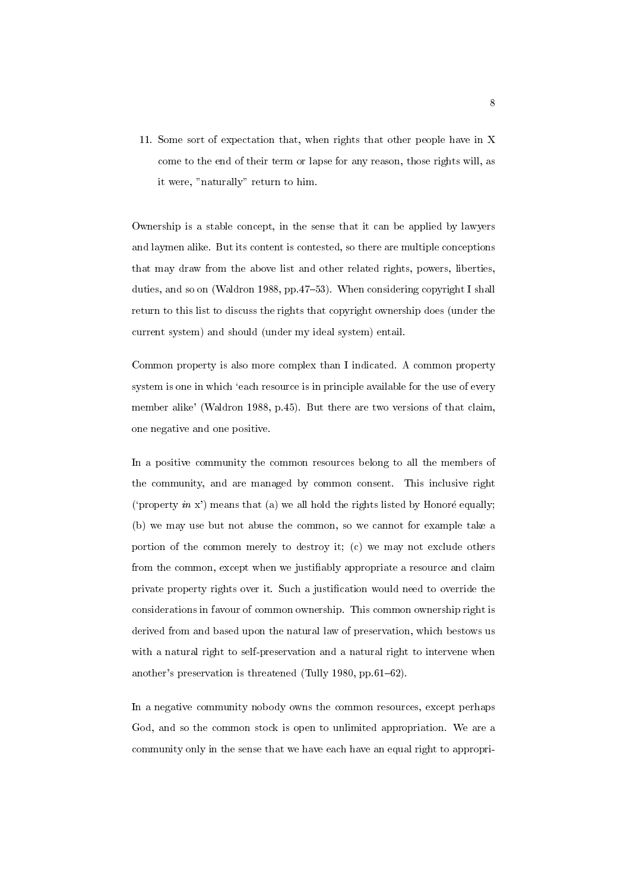11. Some sort of expectation that, when rights that other people have in X come to the end of their term or lapse for any reason, those rights will, as it were, "naturally" return to him.

Ownership is a stable concept, in the sense that it can be applied by lawyers and laymen alike. But its content is contested, so there are multiple conceptions that may draw from the above list and other related rights, powers, liberties, duties, and so on (Waldron 1988, pp.47-53). When considering copyright I shall return to this list to discuss the rights that copyright ownership does (under the current system) and should (under my ideal system) entail.

Common property is also more complex than I indicated. A common property system is one in which 'each resource is in principle available for the use of every member alike' (Waldron 1988, p.45). But there are two versions of that claim, one negative and one positive.

In a positive community the common resources belong to all the members of the community, and are managed by common consent. This inclusive right ('property in x') means that (a) we all hold the rights listed by Honoré equally; (b) we may use but not abuse the common, so we cannot for example take a portion of the common merely to destroy it; (c) we may not exclude others from the common, except when we justiably appropriate a resource and claim private property rights over it. Such a justication would need to override the considerations in favour of common ownership. This common ownership right is derived from and based upon the natural law of preservation, which bestows us with a natural right to self-preservation and a natural right to intervene when another's preservation is threatened (Tully 1980, pp.61-62).

In a negative community nobody owns the common resources, except perhaps God, and so the common stock is open to unlimited appropriation. We are a community only in the sense that we have each have an equal right to appropri-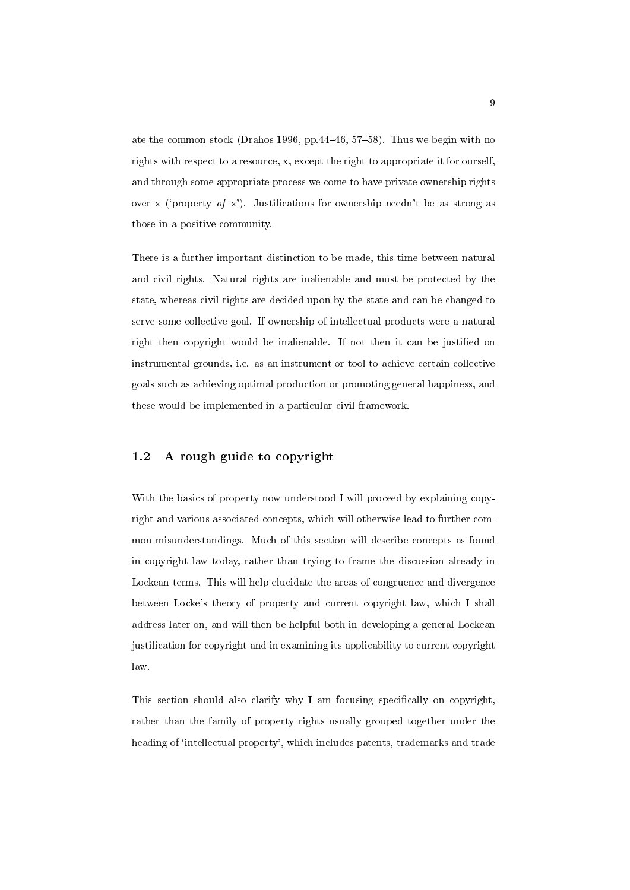ate the common stock (Drahos 1996, pp.44-46, 57-58). Thus we begin with no rights with respect to a resource, x, except the right to appropriate it for ourself, and through some appropriate process we come to have private ownership rights over x ('property of x'). Justifications for ownership needn't be as strong as those in a positive community.

There is a further important distinction to be made, this time between natural and civil rights. Natural rights are inalienable and must be protected by the state, whereas civil rights are decided upon by the state and can be changed to serve some collective goal. If ownership of intellectual products were a natural right then copyright would be inalienable. If not then it can be justied on instrumental grounds, i.e. as an instrument or tool to achieve certain collective goals such as achieving optimal production or promoting general happiness, and these would be implemented in a particular civil framework.

### 1.2 A rough guide to copyright

With the basics of property now understood I will proceed by explaining copyright and various associated concepts, which will otherwise lead to further common misunderstandings. Much of this section will describe concepts as found in copyright law today, rather than trying to frame the discussion already in Lockean terms. This will help elucidate the areas of congruence and divergence between Locke's theory of property and current copyright law, which I shall address later on, and will then be helpful both in developing a general Lockean justication for copyright and in examining its applicability to current copyright law.

This section should also clarify why I am focusing specically on copyright, rather than the family of property rights usually grouped together under the heading of 'intellectual property', which includes patents, trademarks and trade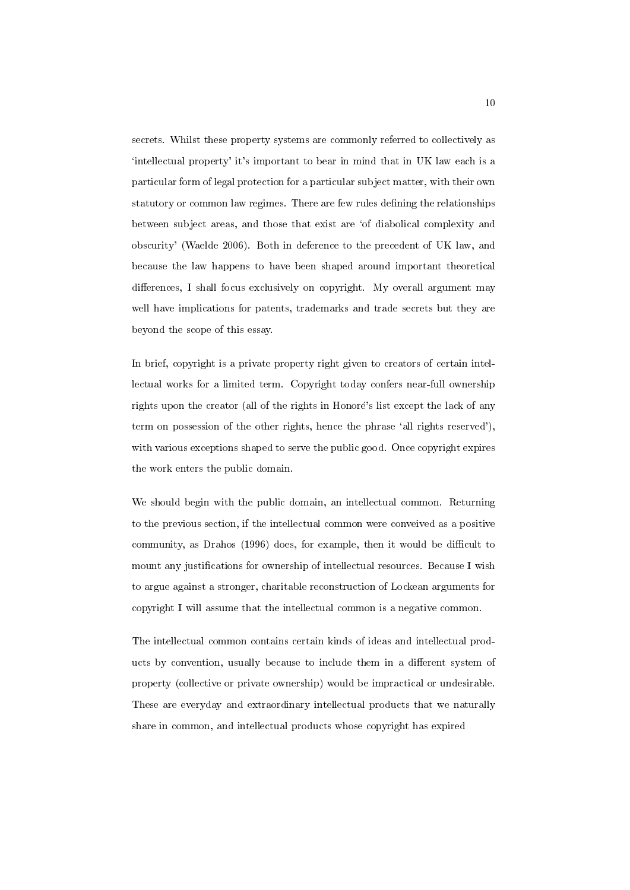secrets. Whilst these property systems are commonly referred to collectively as `intellectual property' it's important to bear in mind that in UK law each is a particular form of legal protection for a particular subject matter, with their own statutory or common law regimes. There are few rules defining the relationships between subject areas, and those that exist are `of diabolical complexity and obscurity' (Waelde 2006). Both in deference to the precedent of UK law, and because the law happens to have been shaped around important theoretical differences, I shall focus exclusively on copyright. My overall argument may well have implications for patents, trademarks and trade secrets but they are beyond the scope of this essay.

In brief, copyright is a private property right given to creators of certain intellectual works for a limited term. Copyright today confers near-full ownership rights upon the creator (all of the rights in Honoré's list except the lack of any term on possession of the other rights, hence the phrase 'all rights reserved'), with various exceptions shaped to serve the public good. Once copyright expires the work enters the public domain.

We should begin with the public domain, an intellectual common. Returning to the previous section, if the intellectual common were conveived as a positive community, as Drahos (1996) does, for example, then it would be difficult to mount any justifications for ownership of intellectual resources. Because I wish to argue against a stronger, charitable reconstruction of Lockean arguments for copyright I will assume that the intellectual common is a negative common.

The intellectual common contains certain kinds of ideas and intellectual products by convention, usually because to include them in a different system of property (collective or private ownership) would be impractical or undesirable. These are everyday and extraordinary intellectual products that we naturally share in common, and intellectual products whose copyright has expired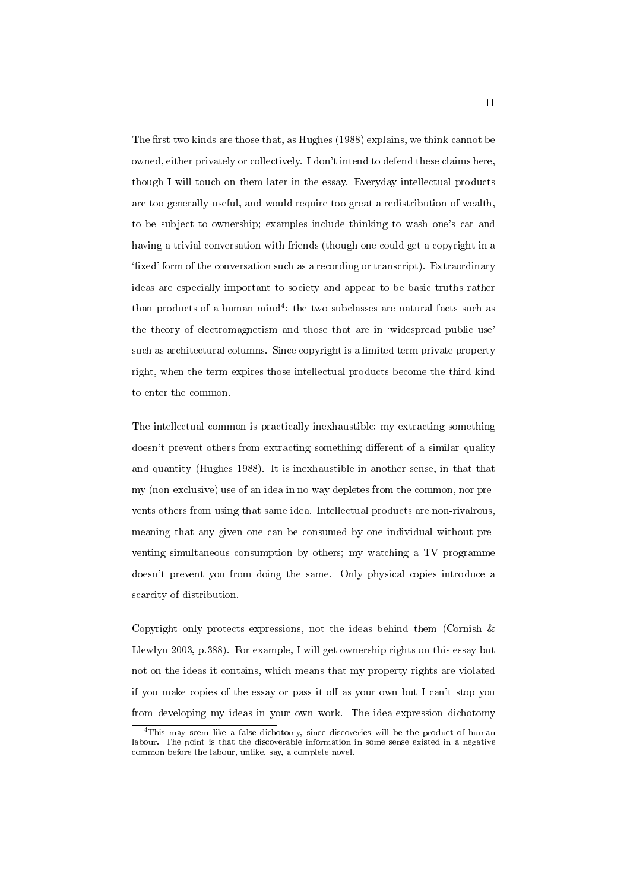The first two kinds are those that, as Hughes (1988) explains, we think cannot be owned, either privately or collectively. I don't intend to defend these claims here, though I will touch on them later in the essay. Everyday intellectual products are too generally useful, and would require too great a redistribution of wealth, to be subject to ownership; examples include thinking to wash one's car and having a trivial conversation with friends (though one could get a copyright in a `xed' form of the conversation such as a recording or transcript). Extraordinary ideas are especially important to society and appear to be basic truths rather than products of a human  $\text{mind}^4$ ; the two subclasses are natural facts such as the theory of electromagnetism and those that are in 'widespread public use' such as architectural columns. Since copyright is a limited term private property right, when the term expires those intellectual products become the third kind to enter the common.

The intellectual common is practically inexhaustible; my extracting something doesn't prevent others from extracting something different of a similar quality and quantity (Hughes 1988). It is inexhaustible in another sense, in that that my (non-exclusive) use of an idea in no way depletes from the common, nor prevents others from using that same idea. Intellectual products are non-rivalrous, meaning that any given one can be consumed by one individual without preventing simultaneous consumption by others; my watching a TV programme doesn't prevent you from doing the same. Only physical copies introduce a scarcity of distribution.

Copyright only protects expressions, not the ideas behind them (Cornish  $\&$ Llewlyn 2003, p.388). For example, I will get ownership rights on this essay but not on the ideas it contains, which means that my property rights are violated if you make copies of the essay or pass it off as your own but I can't stop you from developing my ideas in your own work. The idea-expression dichotomy

<sup>4</sup>This may seem like a false dichotomy, since discoveries will be the product of human labour. The point is that the discoverable information in some sense existed in a negative common before the labour, unlike, say, a complete novel.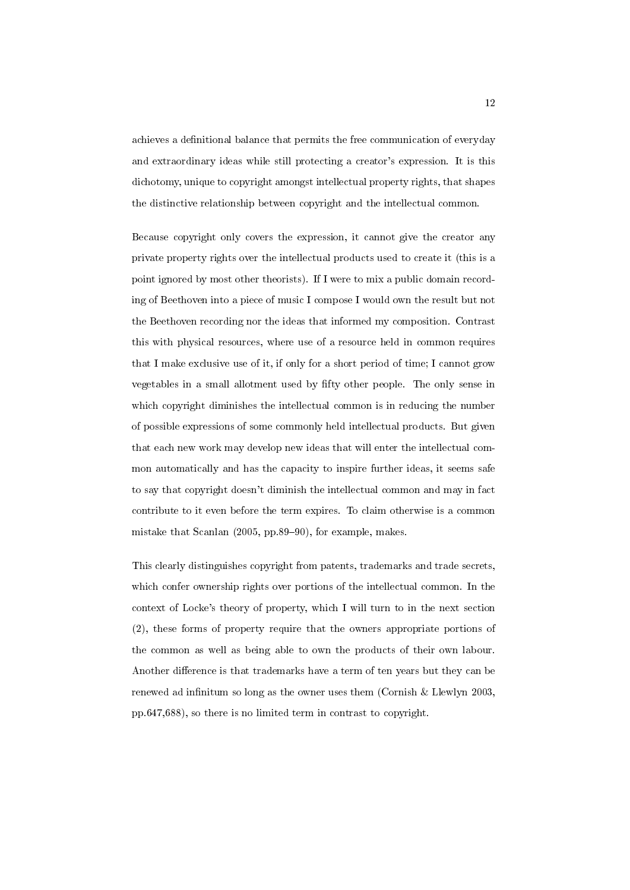achieves a definitional balance that permits the free communication of everyday and extraordinary ideas while still protecting a creator's expression. It is this dichotomy, unique to copyright amongst intellectual property rights, that shapes the distinctive relationship between copyright and the intellectual common.

Because copyright only covers the expression, it cannot give the creator any private property rights over the intellectual products used to create it (this is a point ignored by most other theorists). If I were to mix a public domain recording of Beethoven into a piece of music I compose I would own the result but not the Beethoven recording nor the ideas that informed my composition. Contrast this with physical resources, where use of a resource held in common requires that I make exclusive use of it, if only for a short period of time; I cannot grow vegetables in a small allotment used by fty other people. The only sense in which copyright diminishes the intellectual common is in reducing the number of possible expressions of some commonly held intellectual products. But given that each new work may develop new ideas that will enter the intellectual common automatically and has the capacity to inspire further ideas, it seems safe to say that copyright doesn't diminish the intellectual common and may in fact contribute to it even before the term expires. To claim otherwise is a common mistake that Scanlan  $(2005, pp.89{-}90)$ , for example, makes.

This clearly distinguishes copyright from patents, trademarks and trade secrets, which confer ownership rights over portions of the intellectual common. In the context of Locke's theory of property, which I will turn to in the next section (2), these forms of property require that the owners appropriate portions of the common as well as being able to own the products of their own labour. Another difference is that trademarks have a term of ten years but they can be renewed ad infinitum so long as the owner uses them (Cornish  $&$  Llewlyn 2003, pp.647,688), so there is no limited term in contrast to copyright.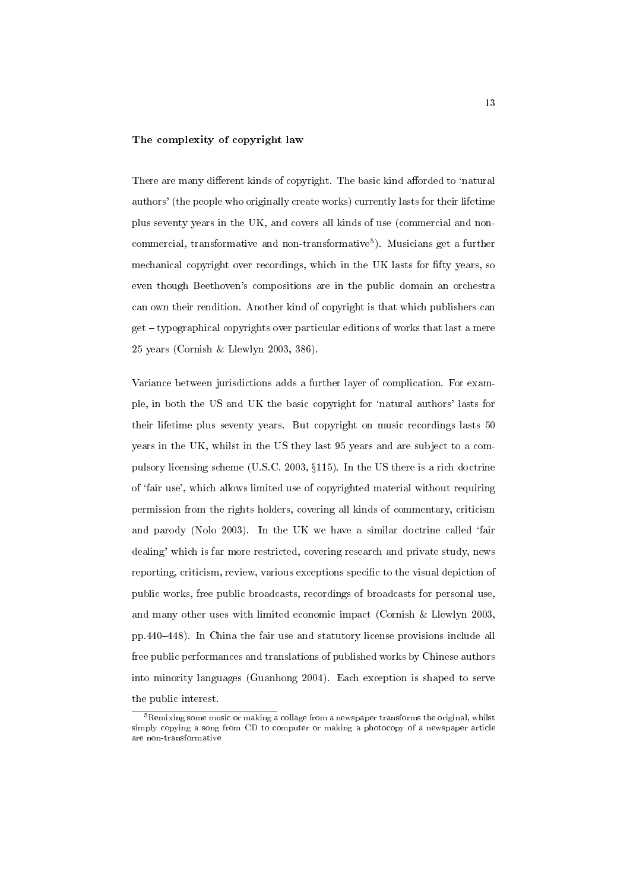#### The complexity of copyright law

There are many different kinds of copyright. The basic kind afforded to 'natural authors' (the people who originally create works) currently lasts for their lifetime plus seventy years in the UK, and covers all kinds of use (commercial and noncommercial, transformative and non-transformative<sup>5</sup>). Musicians get a further mechanical copyright over recordings, which in the UK lasts for fifty years, so even though Beethoven's compositions are in the public domain an orchestra can own their rendition. Another kind of copyright is that which publishers can  $get - typographical$  copyrights over particular editions of works that last a mere 25 years (Cornish & Llewlyn 2003, 386).

Variance between jurisdictions adds a further layer of complication. For example, in both the US and UK the basic copyright for `natural authors' lasts for their lifetime plus seventy years. But copyright on music recordings lasts 50 years in the UK, whilst in the US they last 95 years and are subject to a compulsory licensing scheme (U.S.C. 2003,  $\S115$ ). In the US there is a rich doctrine of `fair use', which allows limited use of copyrighted material without requiring permission from the rights holders, covering all kinds of commentary, criticism and parody (Nolo 2003). In the UK we have a similar doctrine called 'fair dealing' which is far more restricted, covering research and private study, news reporting, criticism, review, various exceptions specic to the visual depiction of public works, free public broadcasts, recordings of broadcasts for personal use, and many other uses with limited economic impact (Cornish & Llewlyn 2003, pp.440{448). In China the fair use and statutory license provisions include all free public performances and translations of published works by Chinese authors into minority languages (Guanhong 2004). Each exception is shaped to serve the public interest.

 $5$ Remixing some music or making a collage from a newspaper transforms the original, whilst simply copying a song from CD to computer or making a photocopy of a newspaper article are non-transformative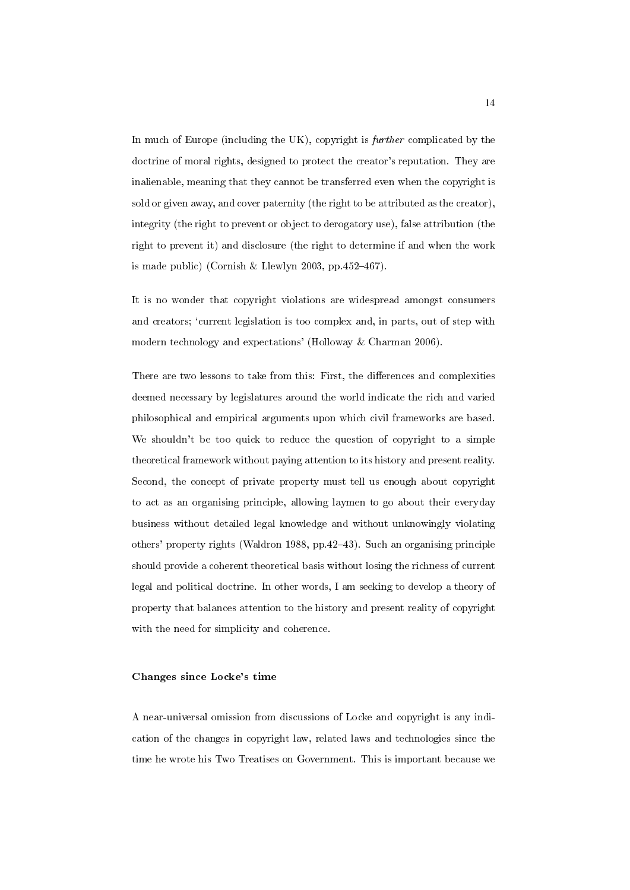In much of Europe (including the UK), copyright is further complicated by the doctrine of moral rights, designed to protect the creator's reputation. They are inalienable, meaning that they cannot be transferred even when the copyright is sold or given away, and cover paternity (the right to be attributed as the creator), integrity (the right to prevent or object to derogatory use), false attribution (the right to prevent it) and disclosure (the right to determine if and when the work is made public) (Cornish & Llewlyn 2003, pp.452-467).

It is no wonder that copyright violations are widespread amongst consumers and creators; 'current legislation is too complex and, in parts, out of step with modern technology and expectations' (Holloway & Charman 2006).

There are two lessons to take from this: First, the differences and complexities deemed necessary by legislatures around the world indicate the rich and varied philosophical and empirical arguments upon which civil frameworks are based. We shouldn't be too quick to reduce the question of copyright to a simple theoretical framework without paying attention to its history and present reality. Second, the concept of private property must tell us enough about copyright to act as an organising principle, allowing laymen to go about their everyday business without detailed legal knowledge and without unknowingly violating others' property rights (Waldron 1988, pp. 42–43). Such an organising principle should provide a coherent theoretical basis without losing the richness of current legal and political doctrine. In other words, I am seeking to develop a theory of property that balances attention to the history and present reality of copyright with the need for simplicity and coherence.

#### Changes since Locke's time

A near-universal omission from discussions of Locke and copyright is any indication of the changes in copyright law, related laws and technologies since the time he wrote his Two Treatises on Government. This is important because we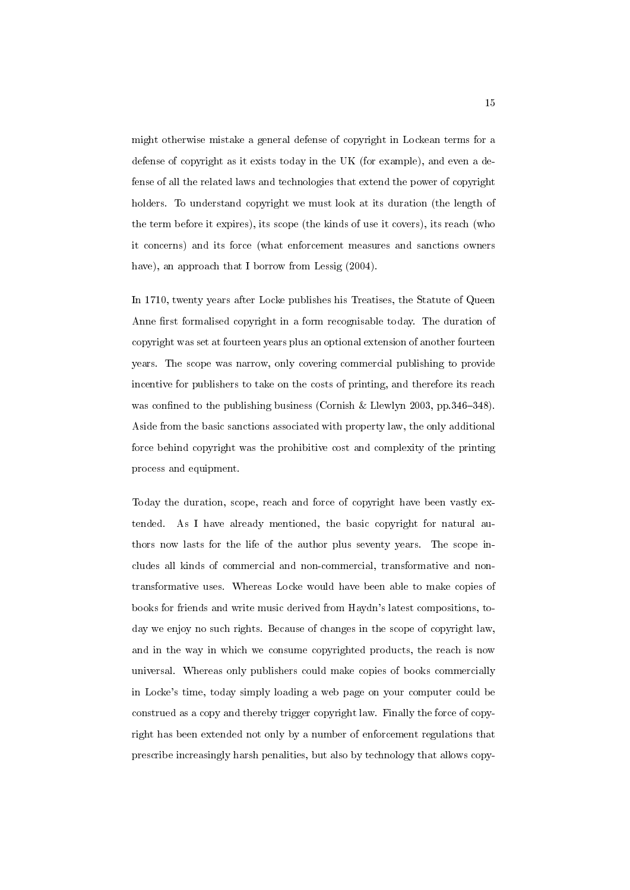might otherwise mistake a general defense of copyright in Lockean terms for a defense of copyright as it exists today in the UK (for example), and even a defense of all the related laws and technologies that extend the power of copyright holders. To understand copyright we must look at its duration (the length of the term before it expires), its scope (the kinds of use it covers), its reach (who it concerns) and its force (what enforcement measures and sanctions owners have), an approach that I borrow from Lessig  $(2004)$ .

In 1710, twenty years after Locke publishes his Treatises, the Statute of Queen Anne first formalised copyright in a form recognisable today. The duration of copyright was set at fourteen years plus an optional extension of another fourteen years. The scope was narrow, only covering commercial publishing to provide incentive for publishers to take on the costs of printing, and therefore its reach was confined to the publishing business (Cornish & Llewlyn 2003, pp. 346-348). Aside from the basic sanctions associated with property law, the only additional force behind copyright was the prohibitive cost and complexity of the printing process and equipment.

Today the duration, scope, reach and force of copyright have been vastly extended. As I have already mentioned, the basic copyright for natural authors now lasts for the life of the author plus seventy years. The scope includes all kinds of commercial and non-commercial, transformative and nontransformative uses. Whereas Locke would have been able to make copies of books for friends and write music derived from Haydn's latest compositions, today we enjoy no such rights. Because of changes in the scope of copyright law, and in the way in which we consume copyrighted products, the reach is now universal. Whereas only publishers could make copies of books commercially in Locke's time, today simply loading a web page on your computer could be construed as a copy and thereby trigger copyright law. Finally the force of copyright has been extended not only by a number of enforcement regulations that prescribe increasingly harsh penalities, but also by technology that allows copy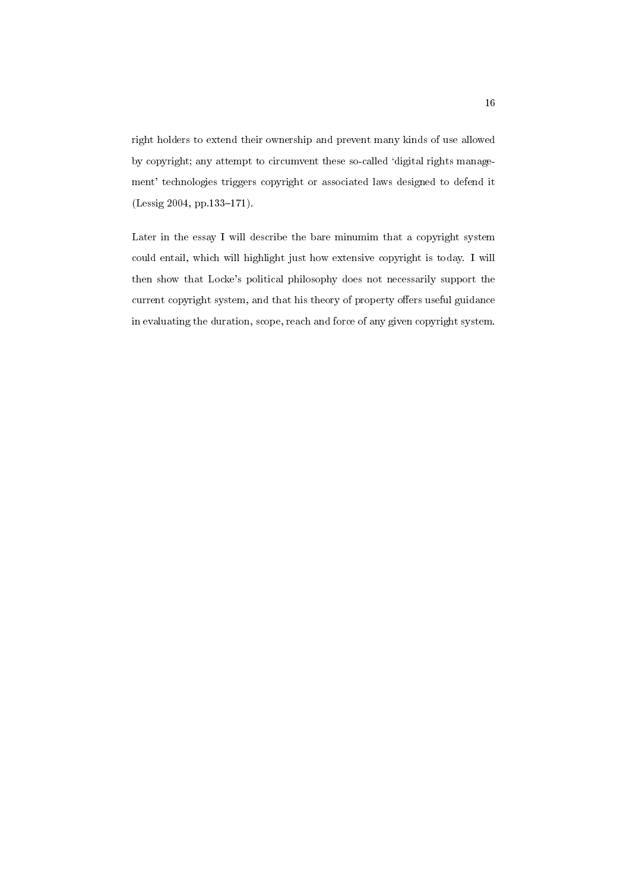right holders to extend their ownership and prevent many kinds of use allowed by copyright; any attempt to circumvent these so-called `digital rights management' technologies triggers copyright or associated laws designed to defend it  $(Lessig 2004, pp.133-171).$ 

Later in the essay I will describe the bare minumim that a copyright system could entail, which will highlight just how extensive copyright is today. I will then show that Locke's political philosophy does not necessarily support the current copyright system, and that his theory of property offers useful guidance in evaluating the duration, scope, reach and force of any given copyright system.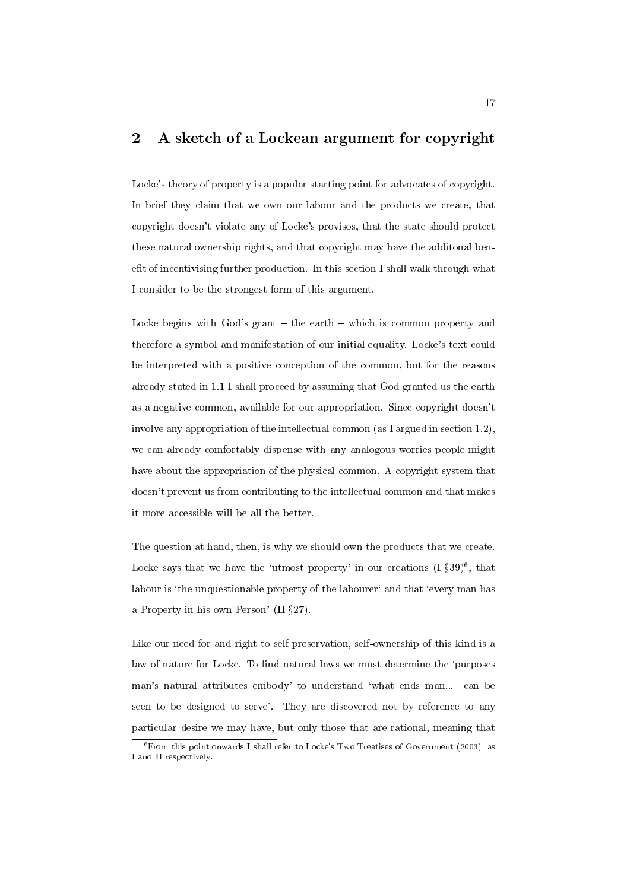## 2 A sketch of a Lockean argument for copyright

Locke's theory of property is a popular starting point for advocates of copyright. In brief they claim that we own our labour and the products we create, that copyright doesn't violate any of Locke's provisos, that the state should protect these natural ownership rights, and that copyright may have the additonal benefit of incentivising further production. In this section I shall walk through what I consider to be the strongest form of this argument.

Locke begins with  $God's grant - the earth - which is common property and$ therefore a symbol and manifestation of our initial equality. Locke's text could be interpreted with a positive conception of the common, but for the reasons already stated in 1.1 I shall proceed by assuming that God granted us the earth as a negative common, available for our appropriation. Since copyright doesn't involve any appropriation of the intellectual common (as I argued in section 1.2), we can already comfortably dispense with any analogous worries people might have about the appropriation of the physical common. A copyright system that doesn't prevent us from contributing to the intellectual common and that makes it more accessible will be all the better.

The question at hand, then, is why we should own the products that we create. Locke says that we have the 'utmost property' in our creations  $(1 \S 39)^6$ , that labour is 'the unquestionable property of the labourer' and that 'every man has a Property in his own Person' (II  $\S 27$ ).

Like our need for and right to self preservation, self-ownership of this kind is a law of nature for Locke. To find natural laws we must determine the 'purposes man's natural attributes embody' to understand 'what ends man... can be seen to be designed to serve'. They are discovered not by reference to any particular desire we may have, but only those that are rational, meaning that

 $6$ From this point onwards I shall refer to Locke's Two Treatises of Government (2003) as I and II respectively.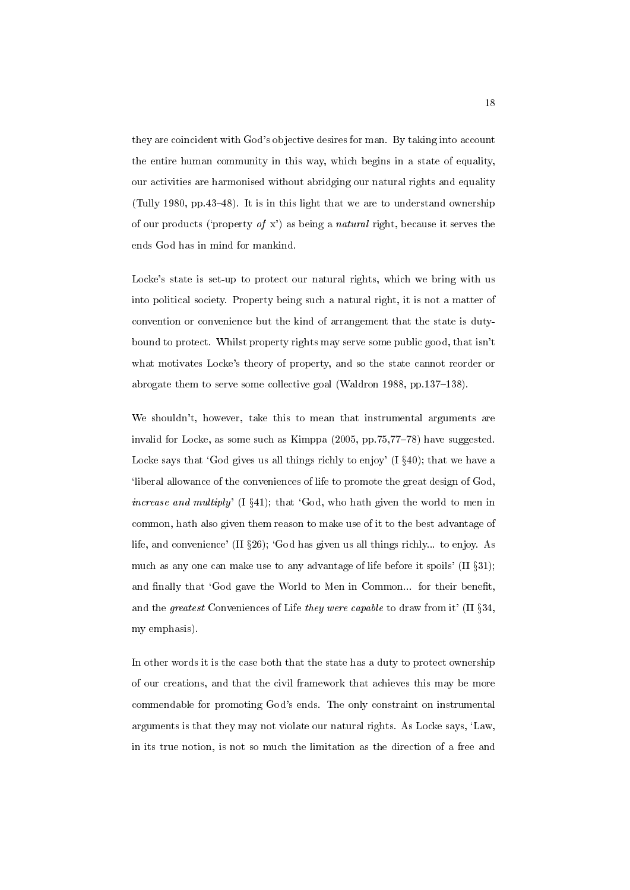they are coincident with God's objective desires for man. By taking into account the entire human community in this way, which begins in a state of equality, our activities are harmonised without abridging our natural rights and equality (Tully 1980, pp.43-48). It is in this light that we are to understand ownership of our products ('property of x') as being a natural right, because it serves the ends God has in mind for mankind.

Locke's state is set-up to protect our natural rights, which we bring with us into political society. Property being such a natural right, it is not a matter of convention or convenience but the kind of arrangement that the state is dutybound to protect. Whilst property rights may serve some public good, that isn't what motivates Locke's theory of property, and so the state cannot reorder or abrogate them to serve some collective goal (Waldron 1988, pp.  $137–138$ ).

We shouldn't, however, take this to mean that instrumental arguments are invalid for Locke, as some such as Kimppa  $(2005, pp.75, 77-78)$  have suggested. Locke says that 'God gives us all things richly to enjoy'  $(I \S 40)$ ; that we have a `liberal allowance of the conveniences of life to promote the great design of God, increase and multiply'  $(I \S 41)$ ; that 'God, who hath given the world to men in common, hath also given them reason to make use of it to the best advantage of life, and convenience' (II  $\S 26$ ); 'God has given us all things richly... to enjoy. As much as any one can make use to any advantage of life before it spoils' (II  $\S 31$ ); and finally that 'God gave the World to Men in Common... for their benefit, and the greatest Conveniences of Life they were capable to draw from it' (II  $\S 34$ , my emphasis).

In other words it is the case both that the state has a duty to protect ownership of our creations, and that the civil framework that achieves this may be more commendable for promoting God's ends. The only constraint on instrumental arguments is that they may not violate our natural rights. As Locke says, `Law, in its true notion, is not so much the limitation as the direction of a free and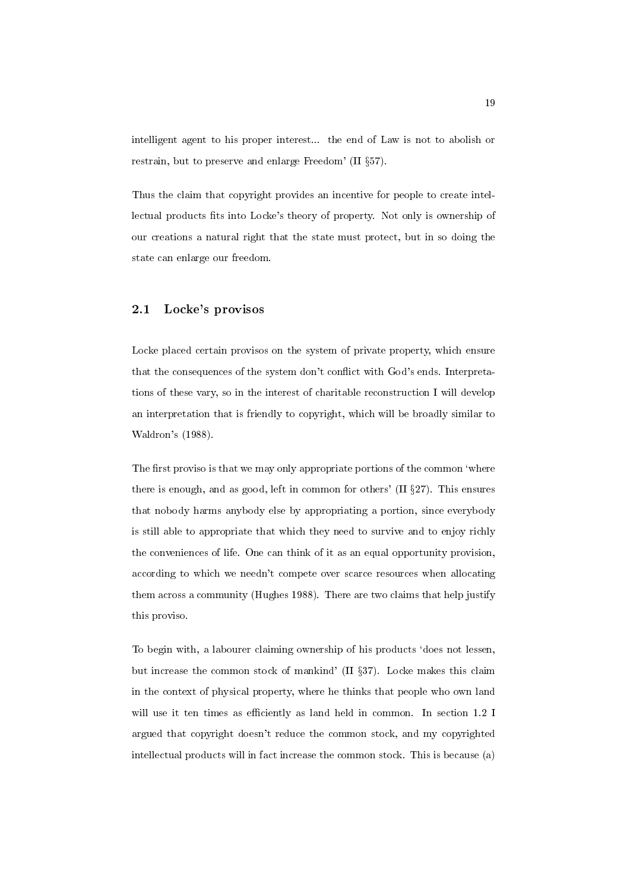intelligent agent to his proper interest... the end of Law is not to abolish or restrain, but to preserve and enlarge Freedom' (II  $\S 57$ ).

Thus the claim that copyright provides an incentive for people to create intellectual products fits into Locke's theory of property. Not only is ownership of our creations a natural right that the state must protect, but in so doing the state can enlarge our freedom.

## 2.1 Locke's provisos

Locke placed certain provisos on the system of private property, which ensure that the consequences of the system don't conflict with God's ends. Interpretations of these vary, so in the interest of charitable reconstruction I will develop an interpretation that is friendly to copyright, which will be broadly similar to Waldron's (1988).

The first proviso is that we may only appropriate portions of the common 'where there is enough, and as good, left in common for others'  $(II §27)$ . This ensures that nobody harms anybody else by appropriating a portion, since everybody is still able to appropriate that which they need to survive and to enjoy richly the conveniences of life. One can think of it as an equal opportunity provision, according to which we needn't compete over scarce resources when allocating them across a community (Hughes 1988). There are two claims that help justify this proviso.

To begin with, a labourer claiming ownership of his products `does not lessen, but increase the common stock of mankind' (II  $\S 37$ ). Locke makes this claim in the context of physical property, where he thinks that people who own land will use it ten times as efficiently as land held in common. In section 1.2 I argued that copyright doesn't reduce the common stock, and my copyrighted intellectual products will in fact increase the common stock. This is because (a)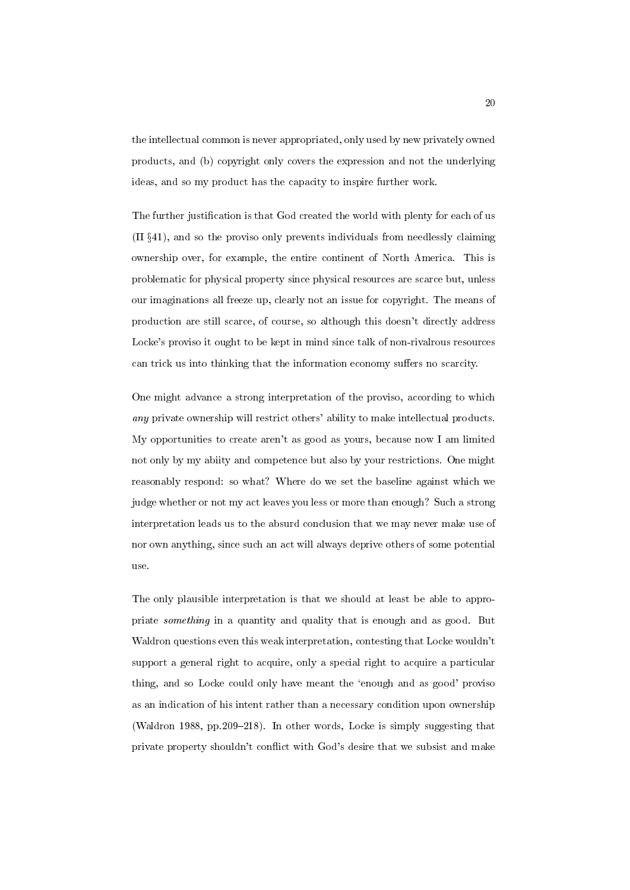the intellectual common is never appropriated, only used by new privately owned products, and (b) copyright only covers the expression and not the underlying ideas, and so my product has the capacity to inspire further work.

The further justication is that God created the world with plenty for each of us  $(II \S41)$ , and so the proviso only prevents individuals from needlessly claiming ownership over, for example, the entire continent of North America. This is problematic for physical property since physical resources are scarce but, unless our imaginations all freeze up, clearly not an issue for copyright. The means of production are still scarce, of course, so although this doesn't directly address Locke's proviso it ought to be kept in mind since talk of non-rivalrous resources can trick us into thinking that the information economy suffers no scarcity.

One might advance a strong interpretation of the proviso, according to which any private ownership will restrict others' ability to make intellectual products. My opportunities to create aren't as good as yours, because now I am limited not only by my abiity and competence but also by your restrictions. One might reasonably respond: so what? Where do we set the baseline against which we judge whether or not my act leaves you less or more than enough? Such a strong interpretation leads us to the absurd conclusion that we may never make use of nor own anything, since such an act will always deprive others of some potential use.

The only plausible interpretation is that we should at least be able to appropriate something in a quantity and quality that is enough and as good. But Waldron questions even this weak interpretation, contesting that Locke wouldn't support a general right to acquire, only a special right to acquire a particular thing, and so Locke could only have meant the `enough and as good' proviso as an indication of his intent rather than a necessary condition upon ownership (Waldron 1988, pp.209-218). In other words, Locke is simply suggesting that private property shouldn't con
ict with God's desire that we subsist and make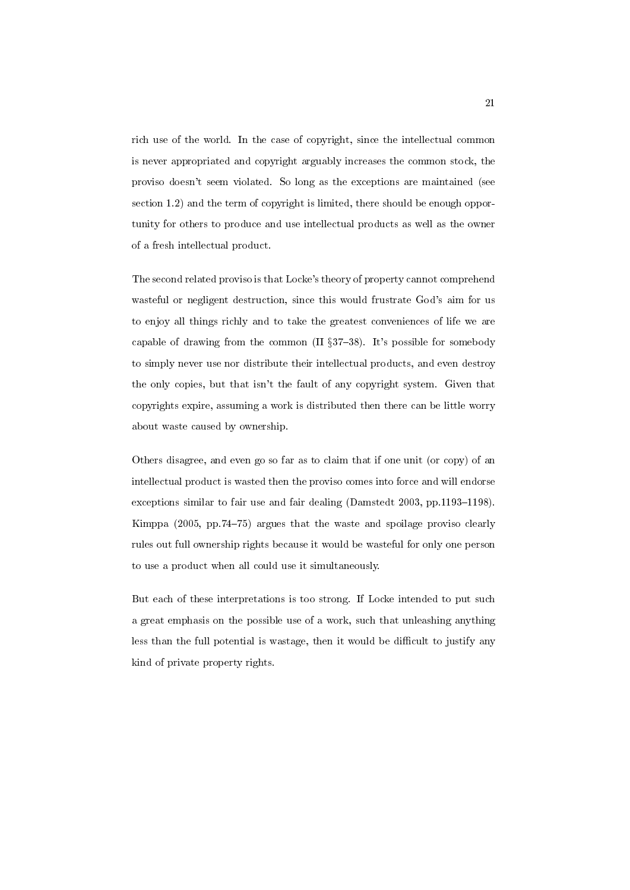rich use of the world. In the case of copyright, since the intellectual common is never appropriated and copyright arguably increases the common stock, the proviso doesn't seem violated. So long as the exceptions are maintained (see section 1.2) and the term of copyright is limited, there should be enough opportunity for others to produce and use intellectual products as well as the owner of a fresh intellectual product.

The second related proviso is that Locke's theory of property cannot comprehend wasteful or negligent destruction, since this would frustrate God's aim for us to enjoy all things richly and to take the greatest conveniences of life we are capable of drawing from the common (II  $\S 37-38$ ). It's possible for somebody to simply never use nor distribute their intellectual products, and even destroy the only copies, but that isn't the fault of any copyright system. Given that copyrights expire, assuming a work is distributed then there can be little worry about waste caused by ownership.

Others disagree, and even go so far as to claim that if one unit (or copy) of an intellectual product is wasted then the proviso comes into force and will endorse exceptions similar to fair use and fair dealing (Damstedt 2003, pp.1193-1198). Kimppa  $(2005, pp.74–75)$  argues that the waste and spoilage proviso clearly rules out full ownership rights because it would be wasteful for only one person to use a product when all could use it simultaneously.

But each of these interpretations is too strong. If Locke intended to put such a great emphasis on the possible use of a work, such that unleashing anything less than the full potential is wastage, then it would be difficult to justify any kind of private property rights.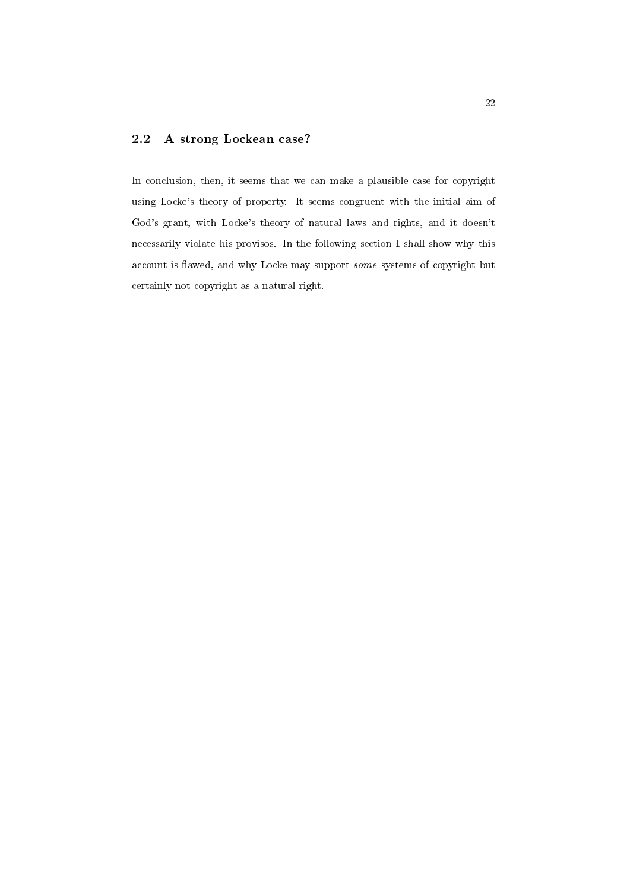## 2.2 A strong Lockean case?

In conclusion, then, it seems that we can make a plausible case for copyright using Locke's theory of property. It seems congruent with the initial aim of God's grant, with Locke's theory of natural laws and rights, and it doesn't necessarily violate his provisos. In the following section I shall show why this account is flawed, and why Locke may support some systems of copyright but certainly not copyright as a natural right.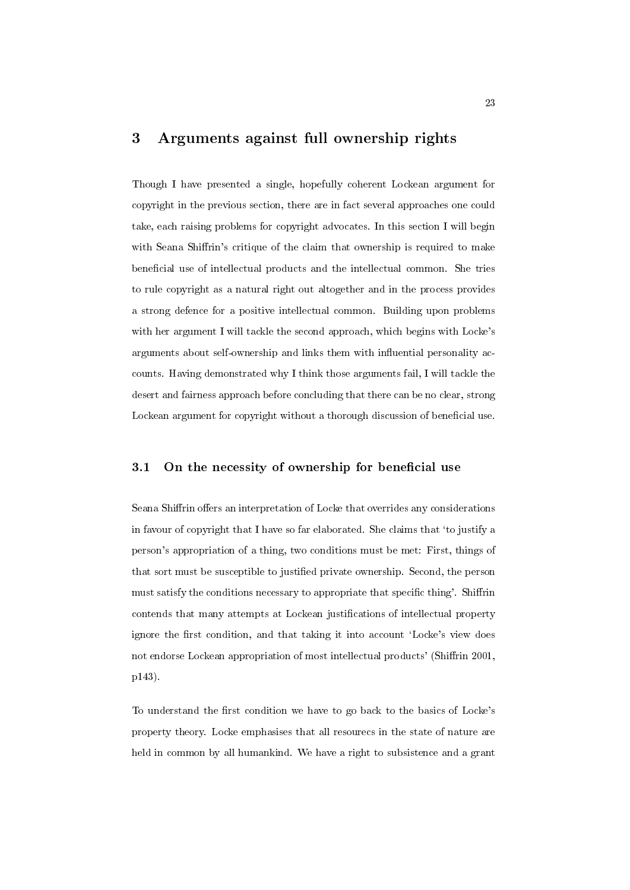# 3 Arguments against full ownership rights

Though I have presented a single, hopefully coherent Lockean argument for copyright in the previous section, there are in fact several approaches one could take, each raising problems for copyright advocates. In this section I will begin with Seana Shiffrin's critique of the claim that ownership is required to make beneficial use of intellectual products and the intellectual common. She tries to rule copyright as a natural right out altogether and in the process provides a strong defence for a positive intellectual common. Building upon problems with her argument I will tackle the second approach, which begins with Locke's arguments about self-ownership and links them with in
uential personality accounts. Having demonstrated why I think those arguments fail, I will tackle the desert and fairness approach before concluding that there can be no clear, strong Lockean argument for copyright without a thorough discussion of beneficial use.

### 3.1 On the necessity of ownership for beneficial use

Seana Shiffrin offers an interpretation of Locke that overrides any considerations in favour of copyright that I have so far elaborated. She claims that `to justify a person's appropriation of a thing, two conditions must be met: First, things of that sort must be susceptible to justied private ownership. Second, the person must satisfy the conditions necessary to appropriate that specific thing'. Shiffrin contends that many attempts at Lockean justications of intellectual property ignore the first condition, and that taking it into account 'Locke's view does not endorse Lockean appropriation of most intellectual products' (Shiffrin 2001, p143).

To understand the first condition we have to go back to the basics of Locke's property theory. Locke emphasises that all resourecs in the state of nature are held in common by all humankind. We have a right to subsistence and a grant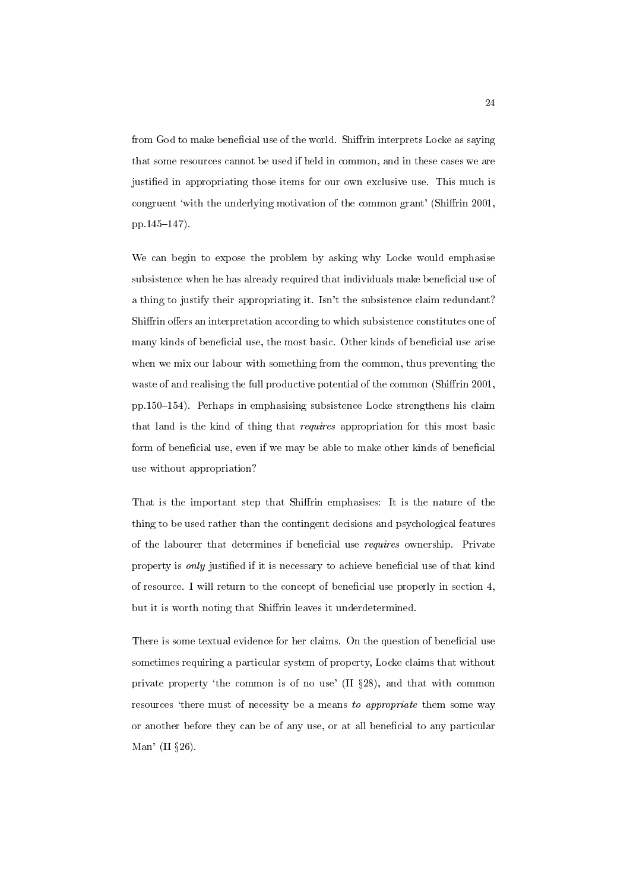from God to make beneficial use of the world. Shiffrin interprets Locke as saying that some resources cannot be used if held in common, and in these cases we are justied in appropriating those items for our own exclusive use. This much is congruent 'with the underlying motivation of the common grant' (Shiffrin 2001, pp.145-147).

We can begin to expose the problem by asking why Locke would emphasise subsistence when he has already required that individuals make beneficial use of a thing to justify their appropriating it. Isn't the subsistence claim redundant? Shiffrin offers an interpretation according to which subsistence constitutes one of many kinds of beneficial use, the most basic. Other kinds of beneficial use arise when we mix our labour with something from the common, thus preventing the waste of and realising the full productive potential of the common (Shiffrin 2001, pp.150-154). Perhaps in emphasising subsistence Locke strengthens his claim that land is the kind of thing that requires appropriation for this most basic form of beneficial use, even if we may be able to make other kinds of beneficial use without appropriation?

That is the important step that Shiffrin emphasises: It is the nature of the thing to be used rather than the contingent decisions and psychological features of the labourer that determines if beneficial use *requires* ownership. Private property is *only* justified if it is necessary to achieve beneficial use of that kind of resource. I will return to the concept of beneficial use properly in section  $4$ , but it is worth noting that Shiffrin leaves it underdetermined.

There is some textual evidence for her claims. On the question of beneficial use sometimes requiring a particular system of property, Locke claims that without private property 'the common is of no use'  $(II §28)$ , and that with common resources 'there must of necessity be a means to appropriate them some way or another before they can be of any use, or at all beneficial to any particular Man' (II  $\S 26$ ).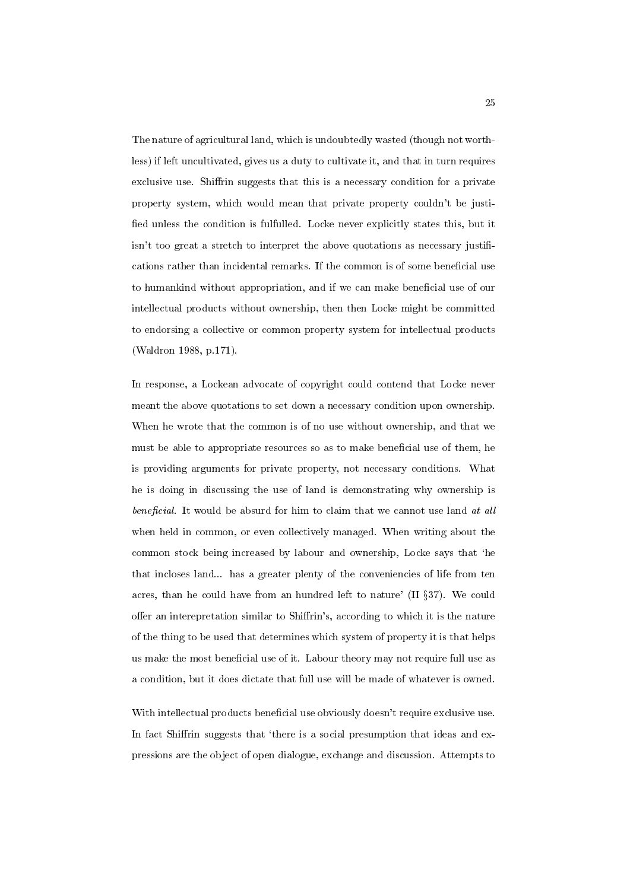The nature of agricultural land, which is undoubtedly wasted (though not worthless) if left uncultivated, gives us a duty to cultivate it, and that in turn requires exclusive use. Shiffrin suggests that this is a necessary condition for a private property system, which would mean that private property couldn't be justi fied unless the condition is fulfulled. Locke never explicitly states this, but it isn't too great a stretch to interpret the above quotations as necessary justifications rather than incidental remarks. If the common is of some beneficial use to humankind without appropriation, and if we can make beneficial use of our intellectual products without ownership, then then Locke might be committed to endorsing a collective or common property system for intellectual products (Waldron 1988, p.171).

In response, a Lockean advocate of copyright could contend that Locke never meant the above quotations to set down a necessary condition upon ownership. When he wrote that the common is of no use without ownership, and that we must be able to appropriate resources so as to make beneficial use of them, he is providing arguments for private property, not necessary conditions. What he is doing in discussing the use of land is demonstrating why ownership is  $beneficial.$  It would be absurd for him to claim that we cannot use land at all when held in common, or even collectively managed. When writing about the common stock being increased by labour and ownership, Locke says that `he that incloses land... has a greater plenty of the conveniencies of life from ten acres, than he could have from an hundred left to nature'  $(II §37)$ . We could offer an interepretation similar to Shiffrin's, according to which it is the nature of the thing to be used that determines which system of property it is that helps us make the most beneficial use of it. Labour theory may not require full use as a condition, but it does dictate that full use will be made of whatever is owned.

With intellectual products beneficial use obviously doesn't require exclusive use. In fact Shiffrin suggests that 'there is a social presumption that ideas and expressions are the object of open dialogue, exchange and discussion. Attempts to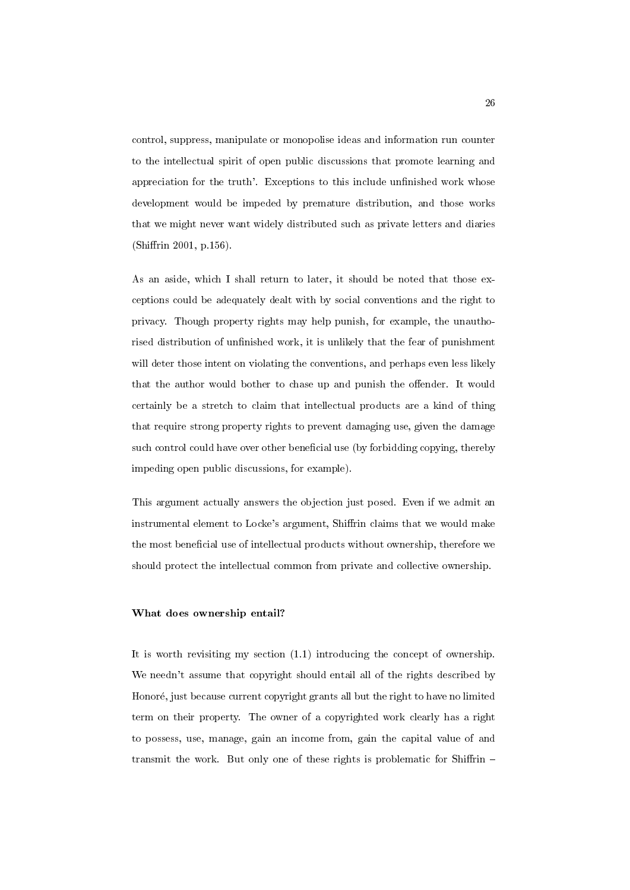control, suppress, manipulate or monopolise ideas and information run counter to the intellectual spirit of open public discussions that promote learning and appreciation for the truth'. Exceptions to this include unfinished work whose development would be impeded by premature distribution, and those works that we might never want widely distributed such as private letters and diaries (Shiffrin 2001, p.156).

As an aside, which I shall return to later, it should be noted that those exceptions could be adequately dealt with by social conventions and the right to privacy. Though property rights may help punish, for example, the unauthorised distribution of unfinished work, it is unlikely that the fear of punishment will deter those intent on violating the conventions, and perhaps even less likely that the author would bother to chase up and punish the offender. It would certainly be a stretch to claim that intellectual products are a kind of thing that require strong property rights to prevent damaging use, given the damage such control could have over other beneficial use (by forbidding copying, thereby impeding open public discussions, for example).

This argument actually answers the objection just posed. Even if we admit an instrumental element to Locke's argument, Shiffrin claims that we would make the most beneficial use of intellectual products without ownership, therefore we should protect the intellectual common from private and collective ownership.

#### What does ownership entail?

It is worth revisiting my section (1.1) introducing the concept of ownership. We needn't assume that copyright should entail all of the rights described by Honoré, just because current copyright grants all but the right to have no limited term on their property. The owner of a copyrighted work clearly has a right to possess, use, manage, gain an income from, gain the capital value of and transmit the work. But only one of these rights is problematic for Shiffrin  $-$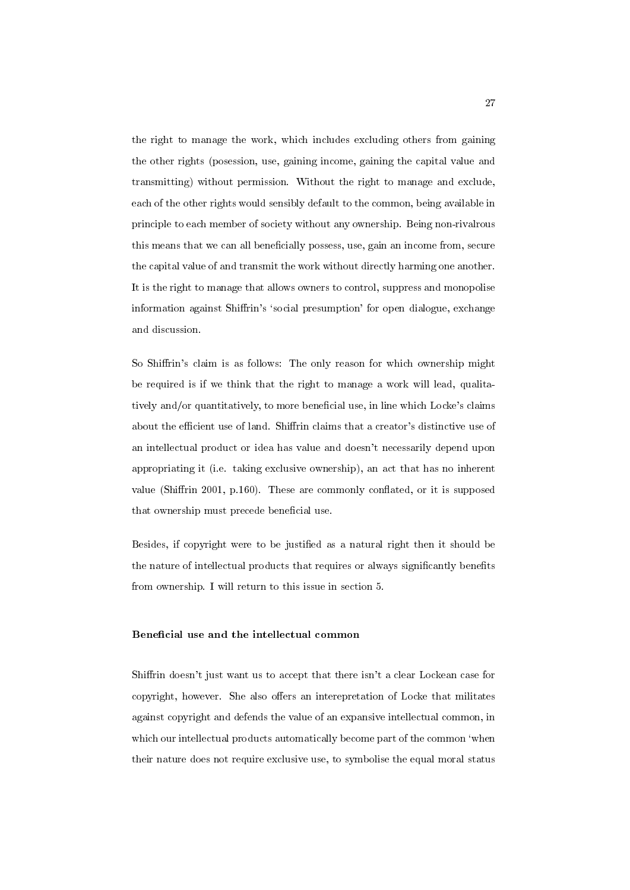the right to manage the work, which includes excluding others from gaining the other rights (posession, use, gaining income, gaining the capital value and transmitting) without permission. Without the right to manage and exclude, each of the other rights would sensibly default to the common, being available in principle to each member of society without any ownership. Being non-rivalrous this means that we can all beneficially possess, use, gain an income from, secure the capital value of and transmit the work without directly harming one another. It is the right to manage that allows owners to control, suppress and monopolise information against Shiffrin's 'social presumption' for open dialogue, exchange and discussion.

So Shiffrin's claim is as follows: The only reason for which ownership might be required is if we think that the right to manage a work will lead, qualitatively and/or quantitatively, to more beneficial use, in line which Locke's claims about the efficient use of land. Shiffrin claims that a creator's distinctive use of an intellectual product or idea has value and doesn't necessarily depend upon appropriating it (i.e. taking exclusive ownership), an act that has no inherent value (Shiffrin 2001, p.160). These are commonly conflated, or it is supposed that ownership must precede beneficial use.

Besides, if copyright were to be justied as a natural right then it should be the nature of intellectual products that requires or always significantly benefits from ownership. I will return to this issue in section 5.

#### Beneficial use and the intellectual common

Shiffrin doesn't just want us to accept that there isn't a clear Lockean case for copyright, however. She also offers an interepretation of Locke that militates against copyright and defends the value of an expansive intellectual common, in which our intellectual products automatically become part of the common 'when their nature does not require exclusive use, to symbolise the equal moral status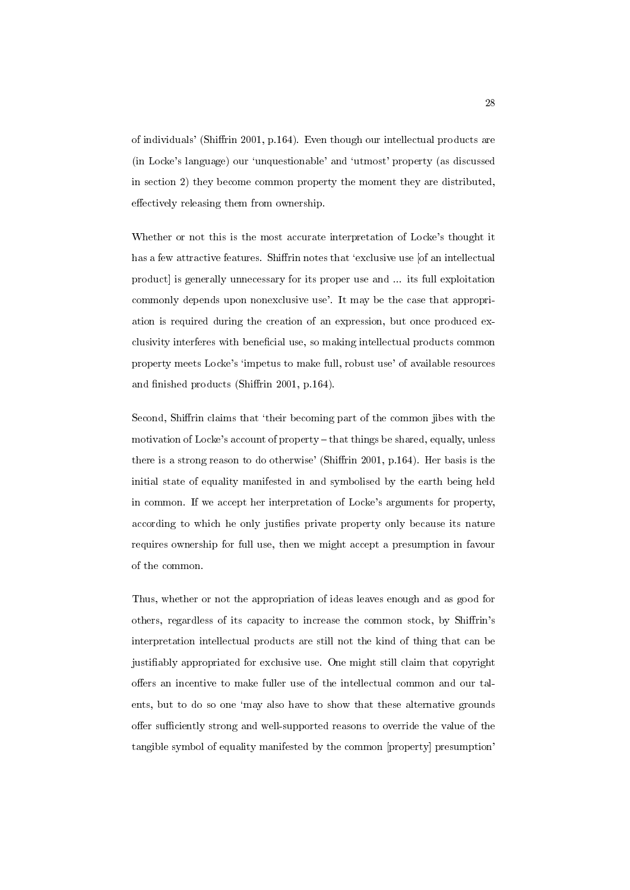of individuals' (Shiffrin 2001, p.164). Even though our intellectual products are (in Locke's language) our `unquestionable' and `utmost' property (as discussed in section 2) they become common property the moment they are distributed, effectively releasing them from ownership.

Whether or not this is the most accurate interpretation of Locke's thought it has a few attractive features. Shiffrin notes that 'exclusive use [of an intellectual product] is generally unnecessary for its proper use and ... its full exploitation commonly depends upon nonexclusive use'. It may be the case that appropriation is required during the creation of an expression, but once produced exclusivity interferes with beneficial use, so making intellectual products common property meets Locke's `impetus to make full, robust use' of available resources and finished products (Shiffrin 2001, p.164).

Second, Shirin claims that `their becoming part of the common jibes with the motivation of Locke's account of property  ${\rm -}$  that things be shared, equally, unless there is a strong reason to do otherwise' (Shiffrin 2001, p.164). Her basis is the initial state of equality manifested in and symbolised by the earth being held in common. If we accept her interpretation of Locke's arguments for property, according to which he only justies private property only because its nature requires ownership for full use, then we might accept a presumption in favour of the common.

Thus, whether or not the appropriation of ideas leaves enough and as good for others, regardless of its capacity to increase the common stock, by Shiffrin's interpretation intellectual products are still not the kind of thing that can be justiably appropriated for exclusive use. One might still claim that copyright offers an incentive to make fuller use of the intellectual common and our talents, but to do so one `may also have to show that these alternative grounds offer sufficiently strong and well-supported reasons to override the value of the tangible symbol of equality manifested by the common [property] presumption'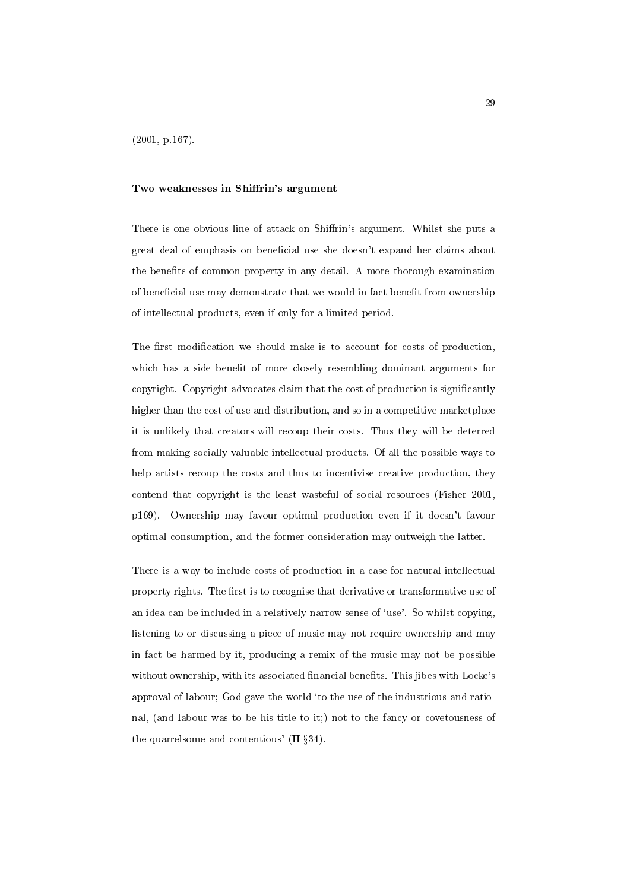#### Two weaknesses in Shiffrin's argument

There is one obvious line of attack on Shiffrin's argument. Whilst she puts a great deal of emphasis on beneficial use she doesn't expand her claims about the benefits of common property in any detail. A more thorough examination of beneficial use may demonstrate that we would in fact benefit from ownership of intellectual products, even if only for a limited period.

The first modification we should make is to account for costs of production, which has a side benefit of more closely resembling dominant arguments for copyright. Copyright advocates claim that the cost of production is signicantly higher than the cost of use and distribution, and so in a competitive marketplace it is unlikely that creators will recoup their costs. Thus they will be deterred from making socially valuable intellectual products. Of all the possible ways to help artists recoup the costs and thus to incentivise creative production, they contend that copyright is the least wasteful of social resources (Fisher 2001, p169). Ownership may favour optimal production even if it doesn't favour optimal consumption, and the former consideration may outweigh the latter.

There is a way to include costs of production in a case for natural intellectual property rights. The first is to recognise that derivative or transformative use of an idea can be included in a relatively narrow sense of 'use'. So whilst copying, listening to or discussing a piece of music may not require ownership and may in fact be harmed by it, producing a remix of the music may not be possible without ownership, with its associated financial benefits. This jibes with Locke's approval of labour; God gave the world `to the use of the industrious and rational, (and labour was to be his title to it;) not to the fancy or covetousness of the quarrelsome and contentious'  $(II \S 34)$ .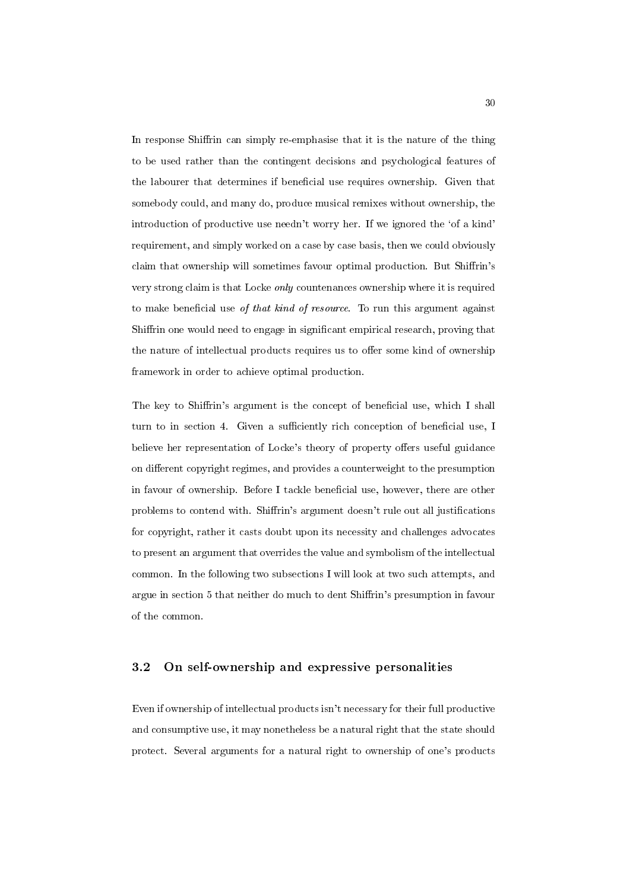In response Shiffrin can simply re-emphasise that it is the nature of the thing to be used rather than the contingent decisions and psychological features of the labourer that determines if beneficial use requires ownership. Given that somebody could, and many do, produce musical remixes without ownership, the introduction of productive use needn't worry her. If we ignored the 'of a kind' requirement, and simply worked on a case by case basis, then we could obviously claim that ownership will sometimes favour optimal production. But Shiffrin's very strong claim is that Locke only countenances ownership where it is required to make beneficial use of that kind of resource. To run this argument against Shiffrin one would need to engage in significant empirical research, proving that the nature of intellectual products requires us to offer some kind of ownership framework in order to achieve optimal production.

The key to Shiffrin's argument is the concept of beneficial use, which I shall turn to in section 4. Given a sufficiently rich conception of beneficial use, I believe her representation of Locke's theory of property offers useful guidance on different copyright regimes, and provides a counterweight to the presumption in favour of ownership. Before I tackle beneficial use, however, there are other problems to contend with. Shiffrin's argument doesn't rule out all justifications for copyright, rather it casts doubt upon its necessity and challenges advocates to present an argument that overrides the value and symbolism of the intellectual common. In the following two subsections I will look at two such attempts, and argue in section 5 that neither do much to dent Shiffrin's presumption in favour of the common.

### 3.2 On self-ownership and expressive personalities

Even if ownership of intellectual products isn't necessary for their full productive and consumptive use, it may nonetheless be a natural right that the state should protect. Several arguments for a natural right to ownership of one's products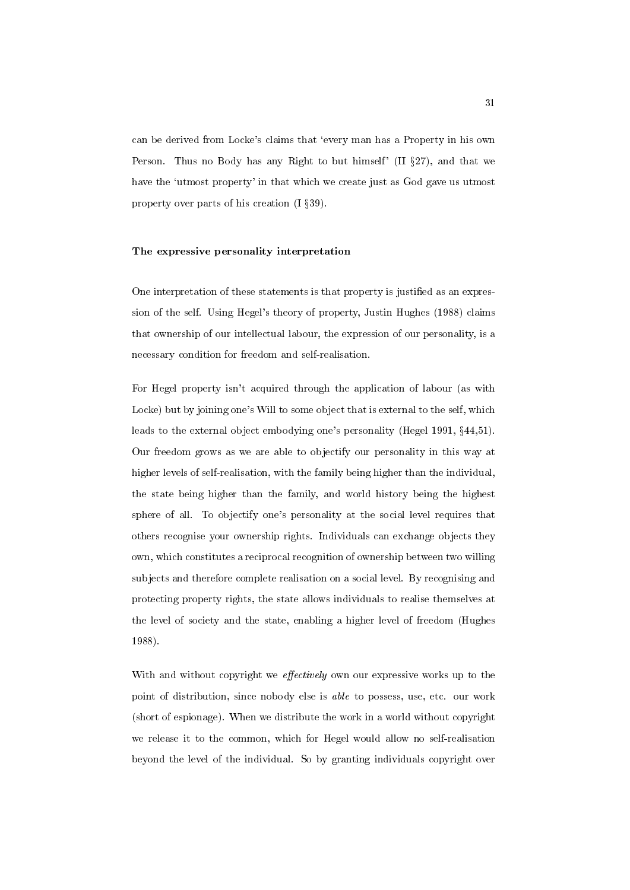can be derived from Locke's claims that `every man has a Property in his own Person. Thus no Body has any Right to but himself' (II  $\S 27$ ), and that we have the 'utmost property' in that which we create just as God gave us utmost property over parts of his creation  $(1 \S 39)$ .

#### The expressive personality interpretation

One interpretation of these statements is that property is justied as an expression of the self. Using Hegel's theory of property, Justin Hughes (1988) claims that ownership of our intellectual labour, the expression of our personality, is a necessary condition for freedom and self-realisation.

For Hegel property isn't acquired through the application of labour (as with Locke) but by joining one's Will to some object that is external to the self, which leads to the external object embodying one's personality (Hegel 1991,  $\S 44,51$ ). Our freedom grows as we are able to objectify our personality in this way at higher levels of self-realisation, with the family being higher than the individual, the state being higher than the family, and world history being the highest sphere of all. To objectify one's personality at the social level requires that others recognise your ownership rights. Individuals can exchange objects they own, which constitutes a reciprocal recognition of ownership between two willing subjects and therefore complete realisation on a social level. By recognising and protecting property rights, the state allows individuals to realise themselves at the level of society and the state, enabling a higher level of freedom (Hughes 1988).

With and without copyright we *effectively* own our expressive works up to the point of distribution, since nobody else is able to possess, use, etc. our work (short of espionage). When we distribute the work in a world without copyright we release it to the common, which for Hegel would allow no self-realisation beyond the level of the individual. So by granting individuals copyright over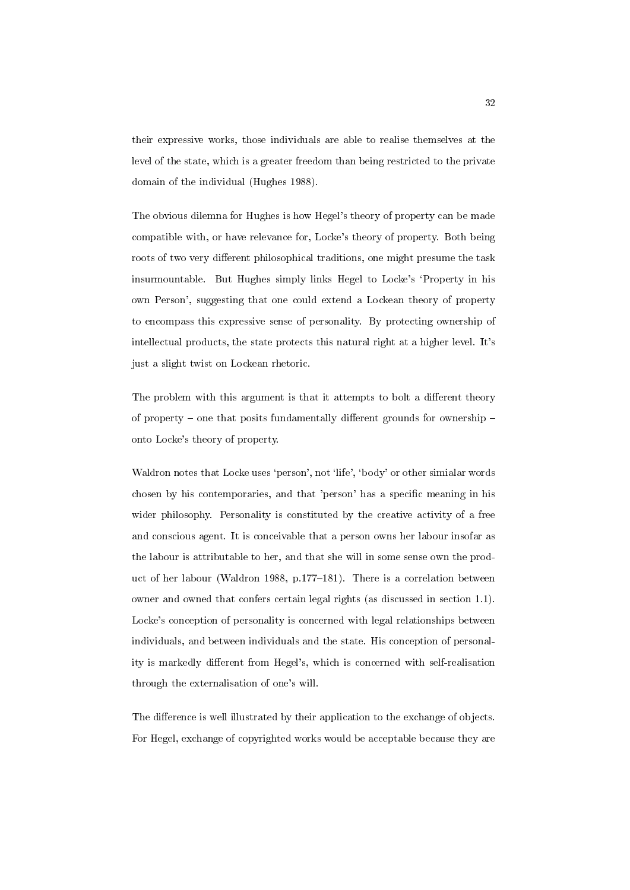their expressive works, those individuals are able to realise themselves at the level of the state, which is a greater freedom than being restricted to the private domain of the individual (Hughes 1988).

The obvious dilemna for Hughes is how Hegel's theory of property can be made compatible with, or have relevance for, Locke's theory of property. Both being roots of two very different philosophical traditions, one might presume the task insurmountable. But Hughes simply links Hegel to Locke's `Property in his own Person', suggesting that one could extend a Lockean theory of property to encompass this expressive sense of personality. By protecting ownership of intellectual products, the state protects this natural right at a higher level. It's just a slight twist on Lockean rhetoric.

The problem with this argument is that it attempts to bolt a different theory of property  $-$  one that posits fundamentally different grounds for ownership  $$ onto Locke's theory of property.

Waldron notes that Locke uses 'person', not 'life', 'body' or other simialar words chosen by his contemporaries, and that 'person' has a specic meaning in his wider philosophy. Personality is constituted by the creative activity of a free and conscious agent. It is conceivable that a person owns her labour insofar as the labour is attributable to her, and that she will in some sense own the product of her labour (Waldron 1988, p.177-181). There is a correlation between owner and owned that confers certain legal rights (as discussed in section 1.1). Locke's conception of personality is concerned with legal relationships between individuals, and between individuals and the state. His conception of personality is markedly different from Hegel's, which is concerned with self-realisation through the externalisation of one's will.

The difference is well illustrated by their application to the exchange of objects. For Hegel, exchange of copyrighted works would be acceptable because they are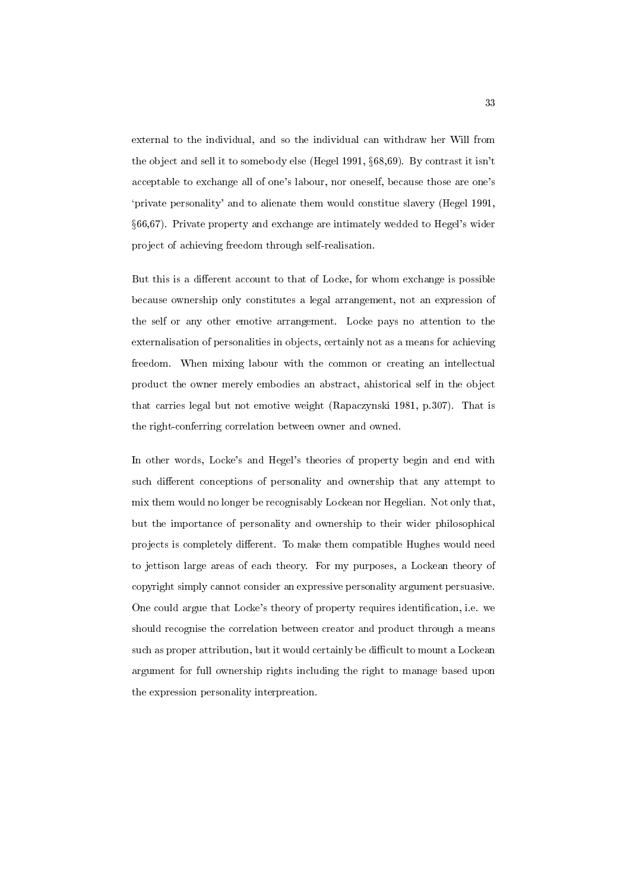external to the individual, and so the individual can withdraw her Will from the object and sell it to somebody else (Hegel 1991,  $\S 68,69$ ). By contrast it isn't acceptable to exchange all of one's labour, nor oneself, because those are one's `private personality' and to alienate them would constitue slavery (Hegel 1991, x66,67). Private property and exchange are intimately wedded to Hegel's wider project of achieving freedom through self-realisation.

But this is a different account to that of Locke, for whom exchange is possible because ownership only constitutes a legal arrangement, not an expression of the self or any other emotive arrangement. Locke pays no attention to the externalisation of personalities in objects, certainly not as a means for achieving freedom. When mixing labour with the common or creating an intellectual product the owner merely embodies an abstract, ahistorical self in the object that carries legal but not emotive weight (Rapaczynski 1981, p.307). That is the right-conferring correlation between owner and owned.

In other words, Locke's and Hegel's theories of property begin and end with such different conceptions of personality and ownership that any attempt to mix them would no longer be recognisably Lockean nor Hegelian. Not only that, but the importance of personality and ownership to their wider philosophical projects is completely different. To make them compatible Hughes would need to jettison large areas of each theory. For my purposes, a Lockean theory of copyright simply cannot consider an expressive personality argument persuasive. One could argue that Locke's theory of property requires identification, i.e. we should recognise the correlation between creator and product through a means such as proper attribution, but it would certainly be difficult to mount a Lockean argument for full ownership rights including the right to manage based upon the expression personality interpreation.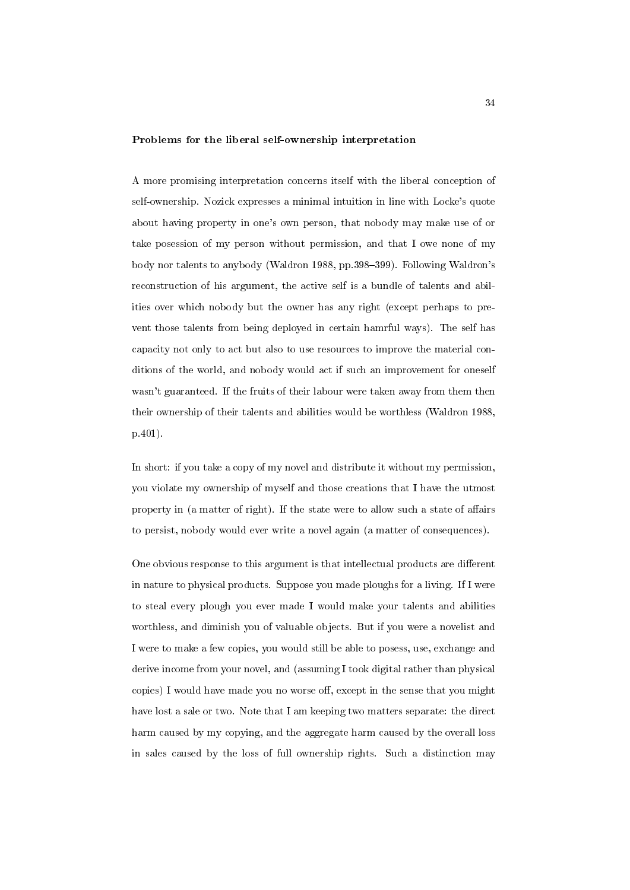#### Problems for the liberal self-ownership interpretation

A more promising interpretation concerns itself with the liberal conception of self-ownership. Nozick expresses a minimal intuition in line with Locke's quote about having property in one's own person, that nobody may make use of or take posession of my person without permission, and that I owe none of my body nor talents to anybody (Waldron 1988, pp.398-399). Following Waldron's reconstruction of his argument, the active self is a bundle of talents and abilities over which nobody but the owner has any right (except perhaps to prevent those talents from being deployed in certain hamrful ways). The self has capacity not only to act but also to use resources to improve the material conditions of the world, and nobody would act if such an improvement for oneself wasn't guaranteed. If the fruits of their labour were taken away from them then their ownership of their talents and abilities would be worthless (Waldron 1988, p.401).

In short: if you take a copy of my novel and distribute it without my permission, you violate my ownership of myself and those creations that I have the utmost property in (a matter of right). If the state were to allow such a state of affairs to persist, nobody would ever write a novel again (a matter of consequences).

One obvious response to this argument is that intellectual products are different in nature to physical products. Suppose you made ploughs for a living. If I were to steal every plough you ever made I would make your talents and abilities worthless, and diminish you of valuable objects. But if you were a novelist and I were to make a few copies, you would still be able to posess, use, exchange and derive income from your novel, and (assuming I took digital rather than physical copies) I would have made you no worse off, except in the sense that you might have lost a sale or two. Note that I am keeping two matters separate: the direct harm caused by my copying, and the aggregate harm caused by the overall loss in sales caused by the loss of full ownership rights. Such a distinction may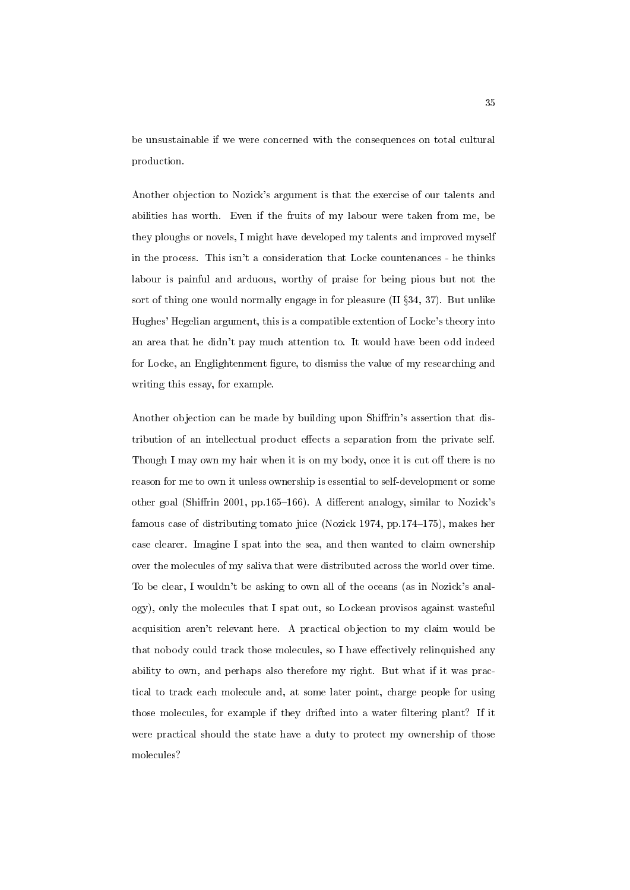be unsustainable if we were concerned with the consequences on total cultural production.

Another objection to Nozick's argument is that the exercise of our talents and abilities has worth. Even if the fruits of my labour were taken from me, be they ploughs or novels, I might have developed my talents and improved myself in the process. This isn't a consideration that Locke countenances - he thinks labour is painful and arduous, worthy of praise for being pious but not the sort of thing one would normally engage in for pleasure  $(II \S 34, 37)$ . But unlike Hughes' Hegelian argument, this is a compatible extention of Locke's theory into an area that he didn't pay much attention to. It would have been odd indeed for Locke, an Englightenment figure, to dismiss the value of my researching and writing this essay, for example.

Another objection can be made by building upon Shiffrin's assertion that distribution of an intellectual product effects a separation from the private self. Though I may own my hair when it is on my body, once it is cut off there is no reason for me to own it unless ownership is essential to self-development or some other goal (Shiffrin 2001, pp.165-166). A different analogy, similar to Nozick's famous case of distributing tomato juice (Nozick 1974, pp.174–175), makes her case clearer. Imagine I spat into the sea, and then wanted to claim ownership over the molecules of my saliva that were distributed across the world over time. To be clear, I wouldn't be asking to own all of the oceans (as in Nozick's analogy), only the molecules that I spat out, so Lockean provisos against wasteful acquisition aren't relevant here. A practical objection to my claim would be that nobody could track those molecules, so I have effectively relinquished any ability to own, and perhaps also therefore my right. But what if it was practical to track each molecule and, at some later point, charge people for using those molecules, for example if they drifted into a water filtering plant? If it were practical should the state have a duty to protect my ownership of those molecules?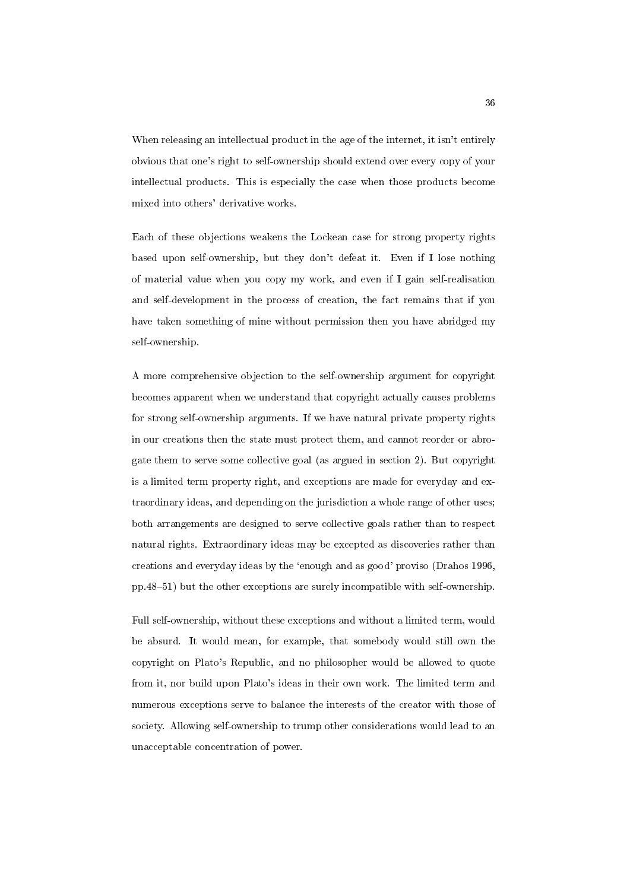When releasing an intellectual product in the age of the internet, it isn't entirely obvious that one's right to self-ownership should extend over every copy of your intellectual products. This is especially the case when those products become mixed into others' derivative works.

Each of these objections weakens the Lockean case for strong property rights based upon self-ownership, but they don't defeat it. Even if I lose nothing of material value when you copy my work, and even if I gain self-realisation and self-development in the process of creation, the fact remains that if you have taken something of mine without permission then you have abridged my self-ownership.

A more comprehensive objection to the self-ownership argument for copyright becomes apparent when we understand that copyright actually causes problems for strong self-ownership arguments. If we have natural private property rights in our creations then the state must protect them, and cannot reorder or abrogate them to serve some collective goal (as argued in section 2). But copyright is a limited term property right, and exceptions are made for everyday and extraordinary ideas, and depending on the jurisdiction a whole range of other uses; both arrangements are designed to serve collective goals rather than to respect natural rights. Extraordinary ideas may be excepted as discoveries rather than creations and everyday ideas by the `enough and as good' proviso (Drahos 1996, pp.48{51) but the other exceptions are surely incompatible with self-ownership.

Full self-ownership, without these exceptions and without a limited term, would be absurd. It would mean, for example, that somebody would still own the copyright on Plato's Republic, and no philosopher would be allowed to quote from it, nor build upon Plato's ideas in their own work. The limited term and numerous exceptions serve to balance the interests of the creator with those of society. Allowing self-ownership to trump other considerations would lead to an unacceptable concentration of power.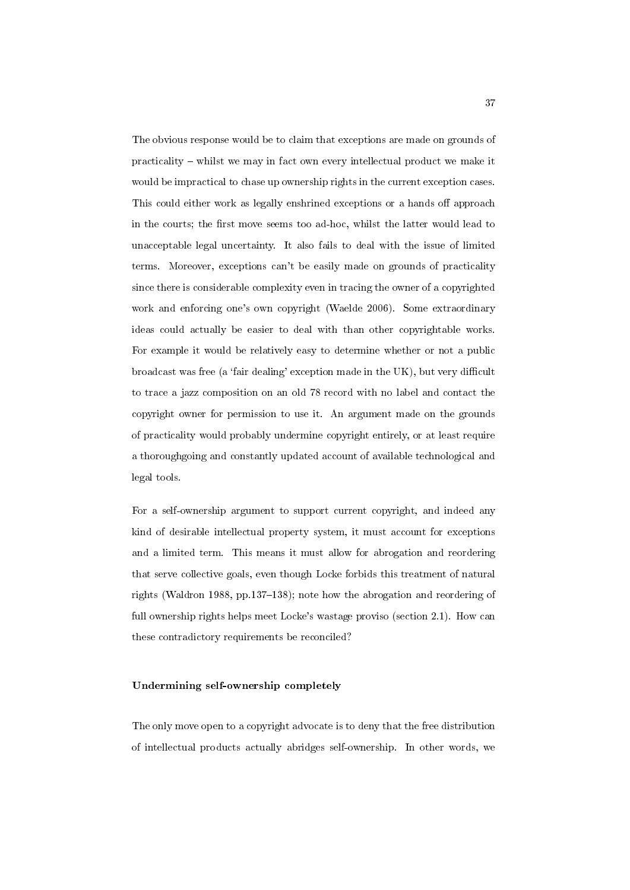The obvious response would be to claim that exceptions are made on grounds of  $practicality - whilst we may in fact own every intellectual product we make it$ would be impractical to chase up ownership rights in the current exception cases. This could either work as legally enshrined exceptions or a hands off approach in the courts; the first move seems too ad-hoc, whilst the latter would lead to unacceptable legal uncertainty. It also fails to deal with the issue of limited terms. Moreover, exceptions can't be easily made on grounds of practicality since there is considerable complexity even in tracing the owner of a copyrighted work and enforcing one's own copyright (Waelde 2006). Some extraordinary ideas could actually be easier to deal with than other copyrightable works. For example it would be relatively easy to determine whether or not a public broadcast was free (a 'fair dealing' exception made in the UK), but very difficult to trace a jazz composition on an old 78 record with no label and contact the copyright owner for permission to use it. An argument made on the grounds of practicality would probably undermine copyright entirely, or at least require a thoroughgoing and constantly updated account of available technological and legal tools.

For a self-ownership argument to support current copyright, and indeed any kind of desirable intellectual property system, it must account for exceptions and a limited term. This means it must allow for abrogation and reordering that serve collective goals, even though Locke forbids this treatment of natural rights (Waldron 1988, pp.137-138); note how the abrogation and reordering of full ownership rights helps meet Locke's wastage proviso (section 2.1). How can these contradictory requirements be reconciled?

#### Undermining self-ownership completely

The only move open to a copyright advocate is to deny that the free distribution of intellectual products actually abridges self-ownership. In other words, we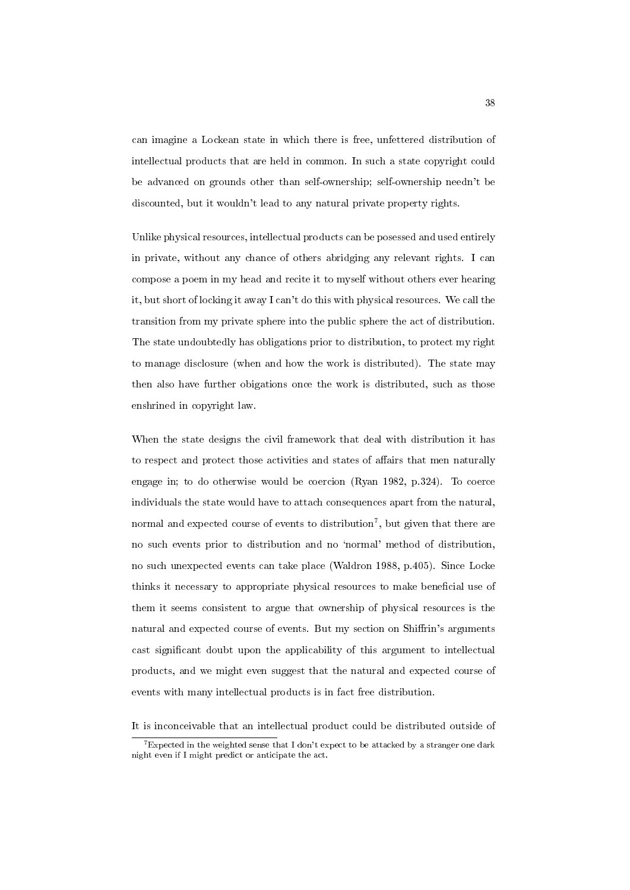can imagine a Lockean state in which there is free, unfettered distribution of intellectual products that are held in common. In such a state copyright could be advanced on grounds other than self-ownership; self-ownership needn't be discounted, but it wouldn't lead to any natural private property rights.

Unlike physical resources, intellectual products can be posessed and used entirely in private, without any chance of others abridging any relevant rights. I can compose a poem in my head and recite it to myself without others ever hearing it, but short of locking it away I can't do this with physical resources. We call the transition from my private sphere into the public sphere the act of distribution. The state undoubtedly has obligations prior to distribution, to protect my right to manage disclosure (when and how the work is distributed). The state may then also have further obigations once the work is distributed, such as those enshrined in copyright law.

When the state designs the civil framework that deal with distribution it has to respect and protect those activities and states of affairs that men naturally engage in; to do otherwise would be coercion (Ryan 1982, p.324). To coerce individuals the state would have to attach consequences apart from the natural, normal and expected course of events to distribution<sup>7</sup>, but given that there are no such events prior to distribution and no `normal' method of distribution, no such unexpected events can take place (Waldron 1988, p.405). Since Locke thinks it necessary to appropriate physical resources to make beneficial use of them it seems consistent to argue that ownership of physical resources is the natural and expected course of events. But my section on Shiffrin's arguments cast signicant doubt upon the applicability of this argument to intellectual products, and we might even suggest that the natural and expected course of events with many intellectual products is in fact free distribution.

It is inconceivable that an intellectual product could be distributed outside of

 $^7$ Expected in the weighted sense that I don't expect to be attacked by a stranger one dark night even if I might predict or anticipate the act.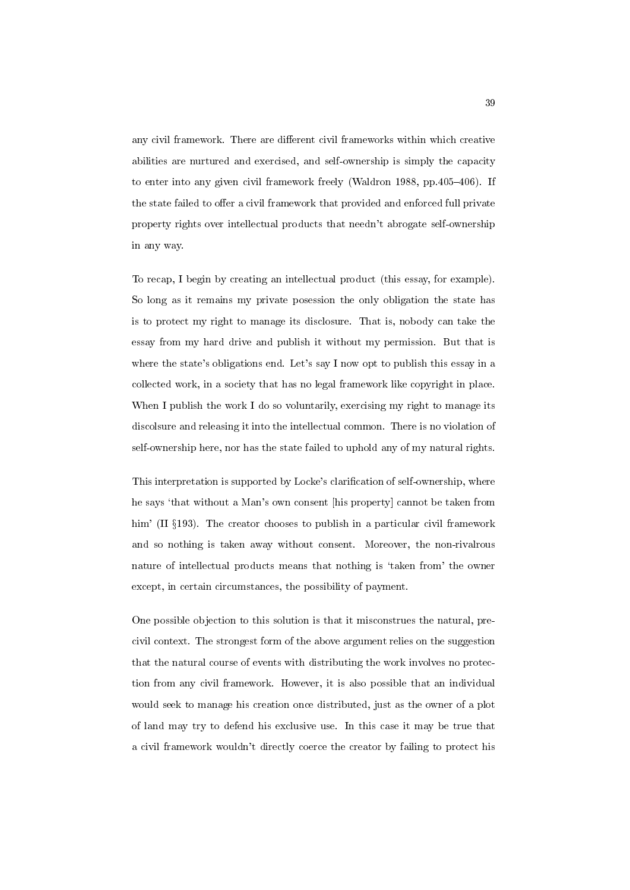any civil framework. There are different civil frameworks within which creative abilities are nurtured and exercised, and self-ownership is simply the capacity to enter into any given civil framework freely (Waldron 1988, pp. 405 $-406$ ). If the state failed to offer a civil framework that provided and enforced full private property rights over intellectual products that needn't abrogate self-ownership in any way.

To recap, I begin by creating an intellectual product (this essay, for example). So long as it remains my private posession the only obligation the state has is to protect my right to manage its disclosure. That is, nobody can take the essay from my hard drive and publish it without my permission. But that is where the state's obligations end. Let's say I now opt to publish this essay in a collected work, in a society that has no legal framework like copyright in place. When I publish the work I do so voluntarily, exercising my right to manage its discolsure and releasing it into the intellectual common. There is no violation of self-ownership here, nor has the state failed to uphold any of my natural rights.

This interpretation is supported by Locke's clarification of self-ownership, where he says 'that without a Man's own consent [his property] cannot be taken from him' (II  $\S193$ ). The creator chooses to publish in a particular civil framework and so nothing is taken away without consent. Moreover, the non-rivalrous nature of intellectual products means that nothing is 'taken from' the owner except, in certain circumstances, the possibility of payment.

One possible objection to this solution is that it misconstrues the natural, precivil context. The strongest form of the above argument relies on the suggestion that the natural course of events with distributing the work involves no protection from any civil framework. However, it is also possible that an individual would seek to manage his creation once distributed, just as the owner of a plot of land may try to defend his exclusive use. In this case it may be true that a civil framework wouldn't directly coerce the creator by failing to protect his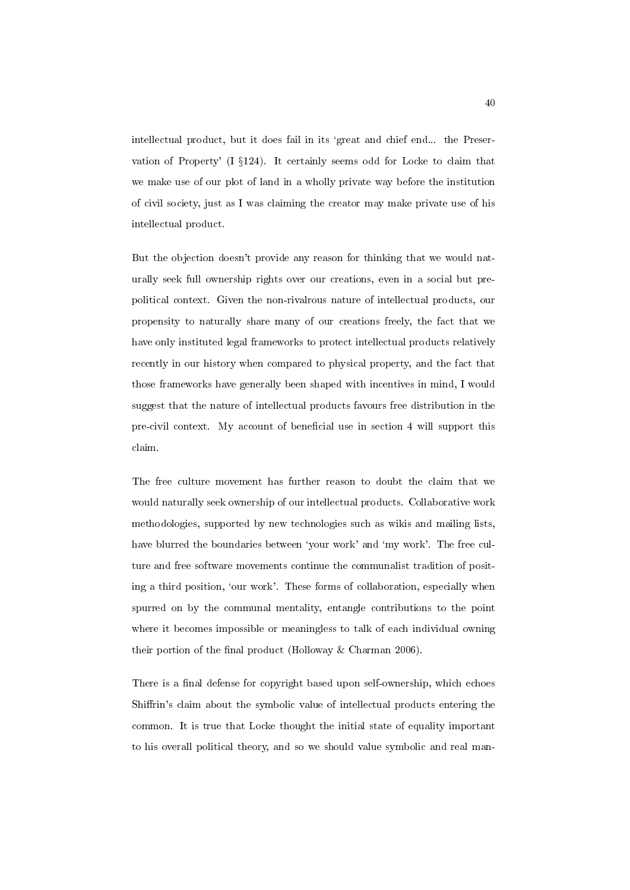intellectual product, but it does fail in its 'great and chief end... the Preservation of Property' (I  $\S124$ ). It certainly seems odd for Locke to claim that we make use of our plot of land in a wholly private way before the institution of civil society, just as I was claiming the creator may make private use of his intellectual product.

But the objection doesn't provide any reason for thinking that we would naturally seek full ownership rights over our creations, even in a social but prepolitical context. Given the non-rivalrous nature of intellectual products, our propensity to naturally share many of our creations freely, the fact that we have only instituted legal frameworks to protect intellectual products relatively recently in our history when compared to physical property, and the fact that those frameworks have generally been shaped with incentives in mind, I would suggest that the nature of intellectual products favours free distribution in the pre-civil context. My account of beneficial use in section 4 will support this claim.

The free culture movement has further reason to doubt the claim that we would naturally seek ownership of our intellectual products. Collaborative work methodologies, supported by new technologies such as wikis and mailing lists, have blurred the boundaries between 'your work' and 'my work'. The free culture and free software movements continue the communalist tradition of positing a third position, 'our work'. These forms of collaboration, especially when spurred on by the communal mentality, entangle contributions to the point where it becomes impossible or meaningless to talk of each individual owning their portion of the final product (Holloway  $&$  Charman 2006).

There is a final defense for copyright based upon self-ownership, which echoes Shiffrin's claim about the symbolic value of intellectual products entering the common. It is true that Locke thought the initial state of equality important to his overall political theory, and so we should value symbolic and real man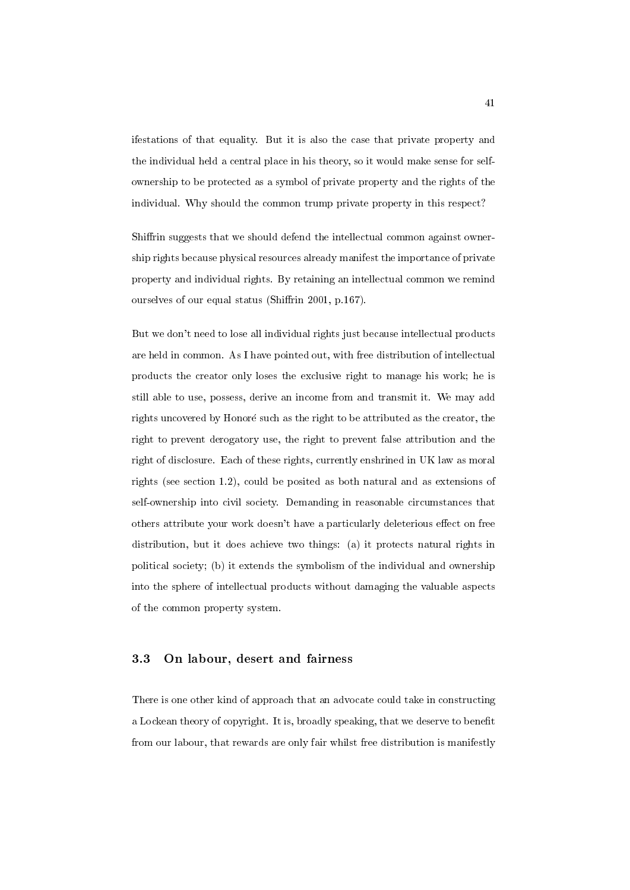ifestations of that equality. But it is also the case that private property and the individual held a central place in his theory, so it would make sense for selfownership to be protected as a symbol of private property and the rights of the individual. Why should the common trump private property in this respect?

Shiffrin suggests that we should defend the intellectual common against ownership rights because physical resources already manifest the importance of private property and individual rights. By retaining an intellectual common we remind ourselves of our equal status (Shiffrin 2001, p.167).

But we don't need to lose all individual rights just because intellectual products are held in common. As I have pointed out, with free distribution of intellectual products the creator only loses the exclusive right to manage his work; he is still able to use, possess, derive an income from and transmit it. We may add rights uncovered by Honoré such as the right to be attributed as the creator, the right to prevent derogatory use, the right to prevent false attribution and the right of disclosure. Each of these rights, currently enshrined in UK law as moral rights (see section 1.2), could be posited as both natural and as extensions of self-ownership into civil society. Demanding in reasonable circumstances that others attribute your work doesn't have a particularly deleterious effect on free distribution, but it does achieve two things: (a) it protects natural rights in political society; (b) it extends the symbolism of the individual and ownership into the sphere of intellectual products without damaging the valuable aspects of the common property system.

## 3.3 On labour, desert and fairness

There is one other kind of approach that an advocate could take in constructing a Lockean theory of copyright. It is, broadly speaking, that we deserve to benefit from our labour, that rewards are only fair whilst free distribution is manifestly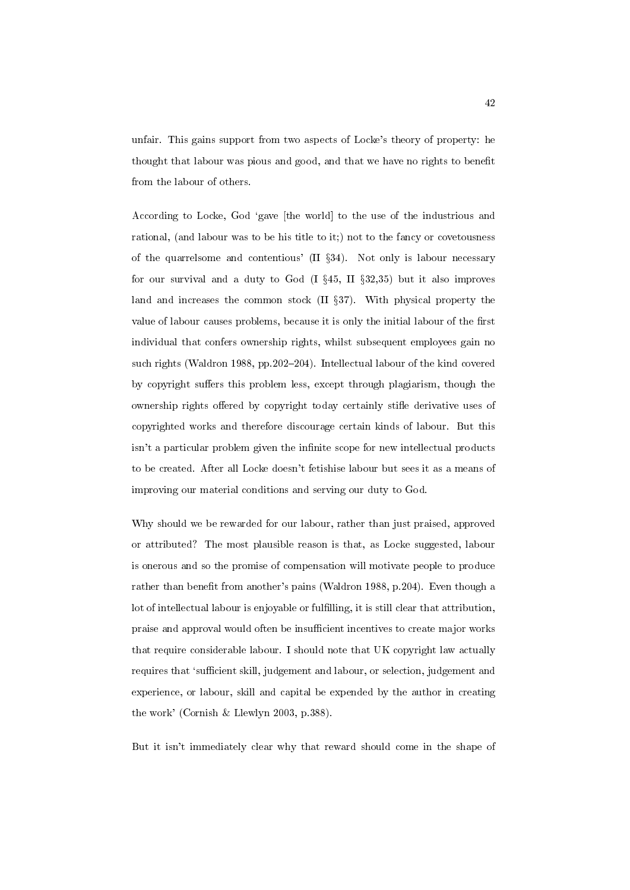unfair. This gains support from two aspects of Locke's theory of property: he thought that labour was pious and good, and that we have no rights to benefit from the labour of others.

According to Locke, God `gave [the world] to the use of the industrious and rational, (and labour was to be his title to it;) not to the fancy or covetousness of the quarrelsome and contentious' (II  $\S 34$ ). Not only is labour necessary for our survival and a duty to God  $(I \S 45, II \S 32,35)$  but it also improves land and increases the common stock  $(II \S 37)$ . With physical property the value of labour causes problems, because it is only the initial labour of the first individual that confers ownership rights, whilst subsequent employees gain no such rights (Waldron 1988, pp.202-204). Intellectual labour of the kind covered by copyright suffers this problem less, except through plagiarism, though the ownership rights offered by copyright today certainly stifle derivative uses of copyrighted works and therefore discourage certain kinds of labour. But this isn't a particular problem given the infinite scope for new intellectual products to be created. After all Locke doesn't fetishise labour but sees it as a means of improving our material conditions and serving our duty to God.

Why should we be rewarded for our labour, rather than just praised, approved or attributed? The most plausible reason is that, as Locke suggested, labour is onerous and so the promise of compensation will motivate people to produce rather than benet from another's pains (Waldron 1988, p.204). Even though a lot of intellectual labour is enjoyable or fulfilling, it is still clear that attribution, praise and approval would often be insufficient incentives to create major works that require considerable labour. I should note that UK copyright law actually requires that 'sufficient skill, judgement and labour, or selection, judgement and experience, or labour, skill and capital be expended by the author in creating the work' (Cornish & Llewlyn 2003, p.388).

But it isn't immediately clear why that reward should come in the shape of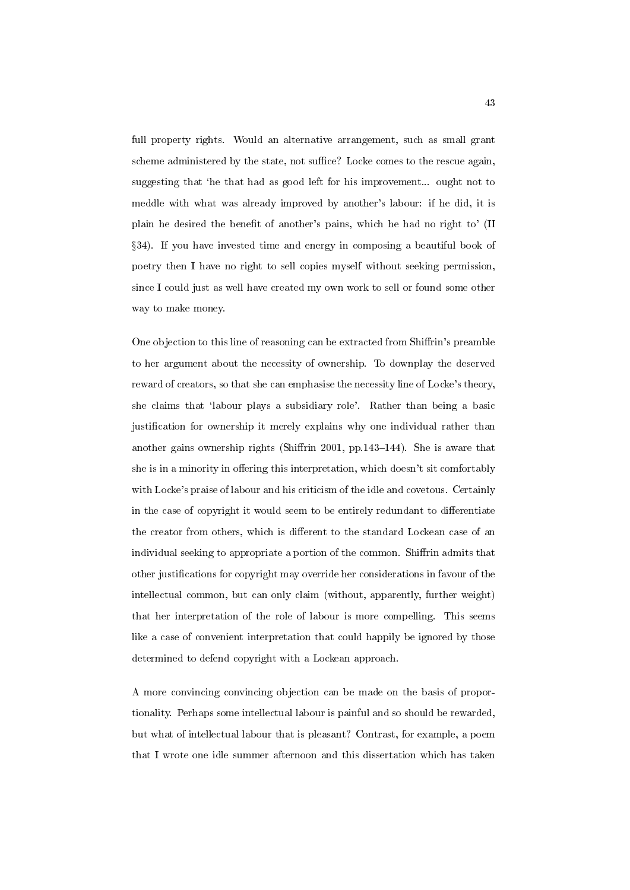full property rights. Would an alternative arrangement, such as small grant scheme administered by the state, not suffice? Locke comes to the rescue again, suggesting that 'he that had as good left for his improvement... ought not to meddle with what was already improved by another's labour: if he did, it is plain he desired the benet of another's pains, which he had no right to' (II x34). If you have invested time and energy in composing a beautiful book of poetry then I have no right to sell copies myself without seeking permission, since I could just as well have created my own work to sell or found some other way to make money.

One objection to this line of reasoning can be extracted from Shiffrin's preamble to her argument about the necessity of ownership. To downplay the deserved reward of creators, so that she can emphasise the necessity line of Locke's theory, she claims that `labour plays a subsidiary role'. Rather than being a basic justication for ownership it merely explains why one individual rather than another gains ownership rights (Shiffrin 2001, pp.143–144). She is aware that she is in a minority in offering this interpretation, which doesn't sit comfortably with Locke's praise of labour and his criticism of the idle and covetous. Certainly in the case of copyright it would seem to be entirely redundant to differentiate the creator from others, which is different to the standard Lockean case of an individual seeking to appropriate a portion of the common. Shiffrin admits that other justications for copyright may override her considerations in favour of the intellectual common, but can only claim (without, apparently, further weight) that her interpretation of the role of labour is more compelling. This seems like a case of convenient interpretation that could happily be ignored by those determined to defend copyright with a Lockean approach.

A more convincing convincing objection can be made on the basis of proportionality. Perhaps some intellectual labour is painful and so should be rewarded, but what of intellectual labour that is pleasant? Contrast, for example, a poem that I wrote one idle summer afternoon and this dissertation which has taken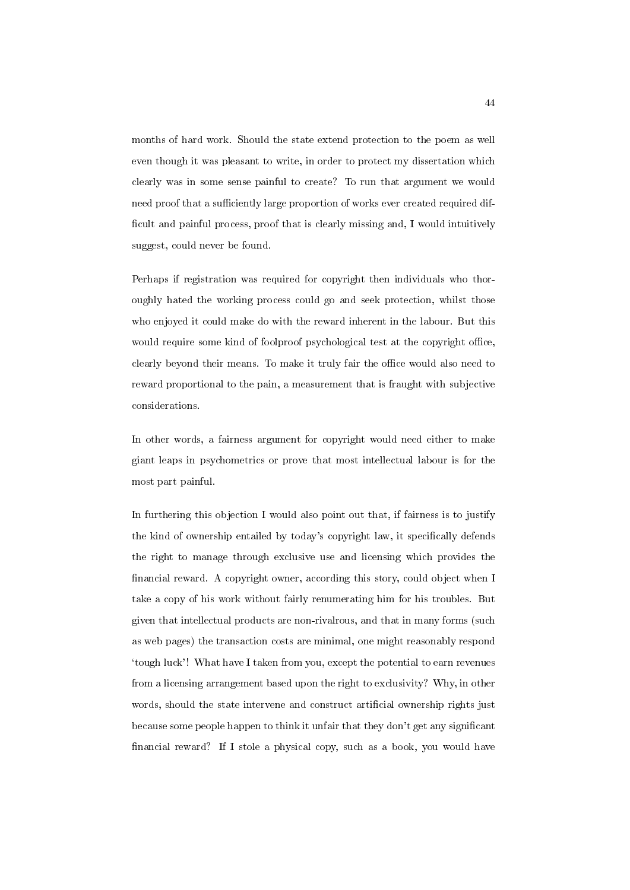months of hard work. Should the state extend protection to the poem as well even though it was pleasant to write, in order to protect my dissertation which clearly was in some sense painful to create? To run that argument we would need proof that a sufficiently large proportion of works ever created required difficult and painful process, proof that is clearly missing and, I would intuitively suggest, could never be found.

Perhaps if registration was required for copyright then individuals who thoroughly hated the working process could go and seek protection, whilst those who enjoyed it could make do with the reward inherent in the labour. But this would require some kind of foolproof psychological test at the copyright office, clearly beyond their means. To make it truly fair the office would also need to reward proportional to the pain, a measurement that is fraught with subjective considerations.

In other words, a fairness argument for copyright would need either to make giant leaps in psychometrics or prove that most intellectual labour is for the most part painful.

In furthering this objection I would also point out that, if fairness is to justify the kind of ownership entailed by today's copyright law, it specically defends the right to manage through exclusive use and licensing which provides the financial reward. A copyright owner, according this story, could object when I take a copy of his work without fairly renumerating him for his troubles. But given that intellectual products are non-rivalrous, and that in many forms (such as web pages) the transaction costs are minimal, one might reasonably respond `tough luck'! What have I taken from you, except the potential to earn revenues from a licensing arrangement based upon the right to exclusivity? Why, in other words, should the state intervene and construct artificial ownership rights just because some people happen to think it unfair that they don't get any signicant nancial reward? If I stole a physical copy, such as a book, you would have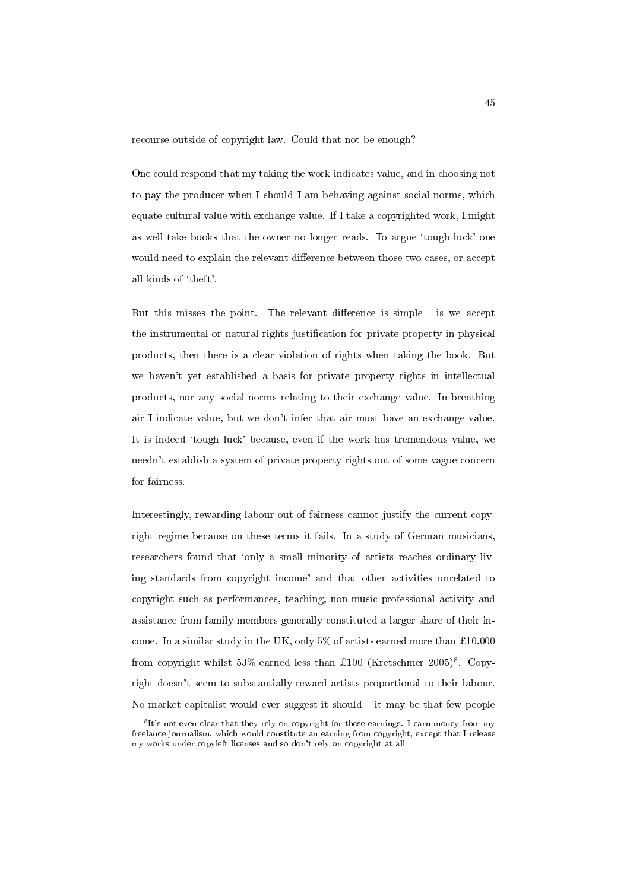recourse outside of copyright law. Could that not be enough?

One could respond that my taking the work indicates value, and in choosing not to pay the producer when I should I am behaving against social norms, which equate cultural value with exchange value. If I take a copyrighted work, I might as well take books that the owner no longer reads. To argue 'tough luck' one would need to explain the relevant difference between those two cases, or accept all kinds of `theft'.

But this misses the point. The relevant difference is simple - is we accept the instrumental or natural rights justication for private property in physical products, then there is a clear violation of rights when taking the book. But we haven't yet established a basis for private property rights in intellectual products, nor any social norms relating to their exchange value. In breathing air I indicate value, but we don't infer that air must have an exchange value. It is indeed `tough luck' because, even if the work has tremendous value, we needn't establish a system of private property rights out of some vague concern for fairness.

Interestingly, rewarding labour out of fairness cannot justify the current copyright regime because on these terms it fails. In a study of German musicians, researchers found that 'only a small minority of artists reaches ordinary living standards from copyright income' and that other activities unrelated to copyright such as performances, teaching, non-music professional activity and assistance from family members generally constituted a larger share of their income. In a similar study in the UK, only  $5\%$  of artists earned more than £10,000 from copyright whilst 53% earned less than £100 (Kretschmer  $2005)^8$ . Copyright doesn't seem to substantially reward artists proportional to their labour. No market capitalist would ever suggest it should  $-$  it may be that few people

<sup>&</sup>lt;sup>8</sup>It's not even clear that they rely on copyright for those earnings. I earn money from my freelance journalism, which would constitute an earning from copyright, except that I release my works under copyleft licenses and so don't rely on copyright at all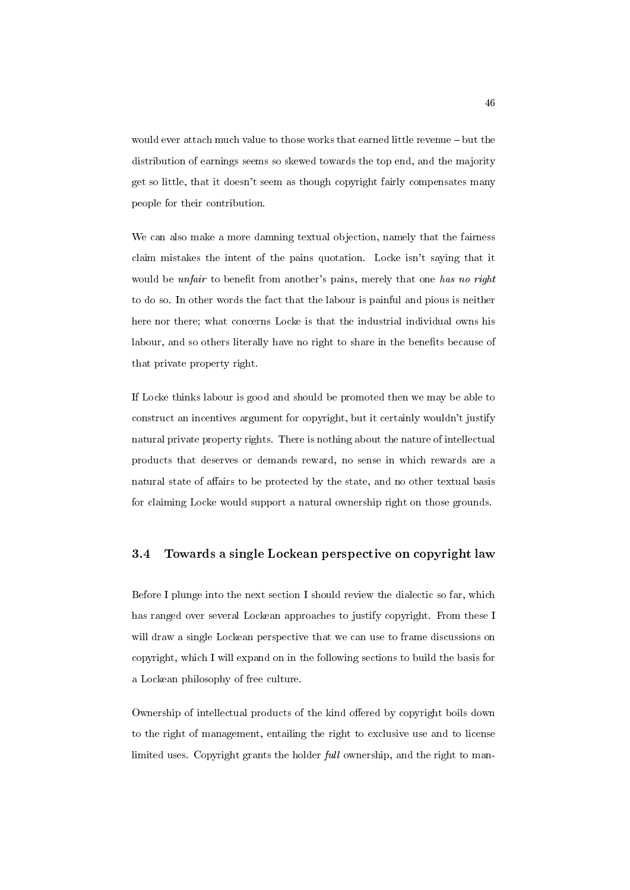would ever attach much value to those works that earned little revenue - but the distribution of earnings seems so skewed towards the top end, and the majority get so little, that it doesn't seem as though copyright fairly compensates many people for their contribution.

We can also make a more damning textual objection, namely that the fairness claim mistakes the intent of the pains quotation. Locke isn't saying that it would be *unfair* to benefit from another's pains, merely that one has no right to do so. In other words the fact that the labour is painful and pious is neither here nor there; what concerns Locke is that the industrial individual owns his labour, and so others literally have no right to share in the benefits because of that private property right.

If Locke thinks labour is good and should be promoted then we may be able to construct an incentives argument for copyright, but it certainly wouldn't justify natural private property rights. There is nothing about the nature of intellectual products that deserves or demands reward, no sense in which rewards are a natural state of affairs to be protected by the state, and no other textual basis for claiming Locke would support a natural ownership right on those grounds.

#### 3.4 Towards a single Lockean perspective on copyright law

Before I plunge into the next section I should review the dialectic so far, which has ranged over several Lockean approaches to justify copyright. From these I will draw a single Lockean perspective that we can use to frame discussions on copyright, which I will expand on in the following sections to build the basis for a Lockean philosophy of free culture.

Ownership of intellectual products of the kind offered by copyright boils down to the right of management, entailing the right to exclusive use and to license limited uses. Copyright grants the holder full ownership, and the right to man-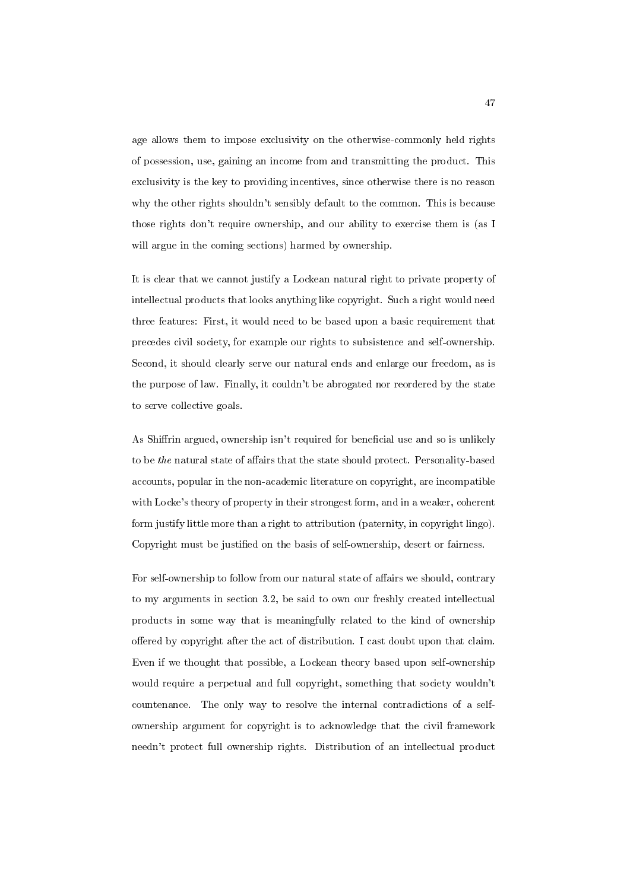age allows them to impose exclusivity on the otherwise-commonly held rights of possession, use, gaining an income from and transmitting the product. This exclusivity is the key to providing incentives, since otherwise there is no reason why the other rights shouldn't sensibly default to the common. This is because those rights don't require ownership, and our ability to exercise them is (as I will argue in the coming sections) harmed by ownership.

It is clear that we cannot justify a Lockean natural right to private property of intellectual products that looks anything like copyright. Such a right would need three features: First, it would need to be based upon a basic requirement that precedes civil society, for example our rights to subsistence and self-ownership. Second, it should clearly serve our natural ends and enlarge our freedom, as is the purpose of law. Finally, it couldn't be abrogated nor reordered by the state to serve collective goals.

As Shiffrin argued, ownership isn't required for beneficial use and so is unlikely to be the natural state of affairs that the state should protect. Personality-based accounts, popular in the non-academic literature on copyright, are incompatible with Locke's theory of property in their strongest form, and in a weaker, coherent form justify little more than a right to attribution (paternity, in copyright lingo). Copyright must be justied on the basis of self-ownership, desert or fairness.

For self-ownership to follow from our natural state of affairs we should, contrary to my arguments in section 3.2, be said to own our freshly created intellectual products in some way that is meaningfully related to the kind of ownership offered by copyright after the act of distribution. I cast doubt upon that claim. Even if we thought that possible, a Lockean theory based upon self-ownership would require a perpetual and full copyright, something that society wouldn't countenance. The only way to resolve the internal contradictions of a selfownership argument for copyright is to acknowledge that the civil framework needn't protect full ownership rights. Distribution of an intellectual product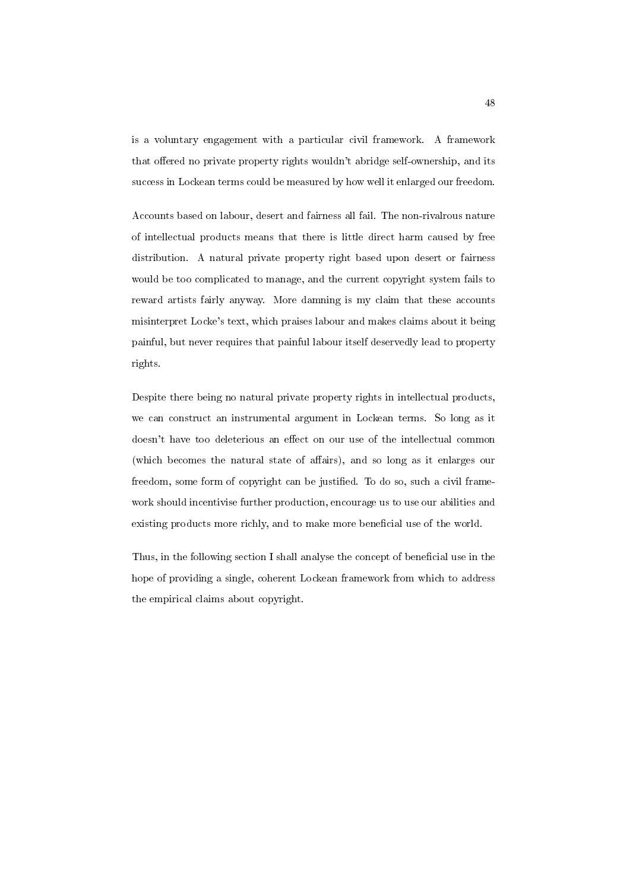is a voluntary engagement with a particular civil framework. A framework that offered no private property rights wouldn't abridge self-ownership, and its success in Lockean terms could be measured by how well it enlarged our freedom.

Accounts based on labour, desert and fairness all fail. The non-rivalrous nature of intellectual products means that there is little direct harm caused by free distribution. A natural private property right based upon desert or fairness would be too complicated to manage, and the current copyright system fails to reward artists fairly anyway. More damning is my claim that these accounts misinterpret Locke's text, which praises labour and makes claims about it being painful, but never requires that painful labour itself deservedly lead to property rights.

Despite there being no natural private property rights in intellectual products, we can construct an instrumental argument in Lockean terms. So long as it doesn't have too deleterious an effect on our use of the intellectual common (which becomes the natural state of affairs), and so long as it enlarges our freedom, some form of copyright can be justied. To do so, such a civil framework should incentivise further production, encourage us to use our abilities and existing products more richly, and to make more beneficial use of the world.

Thus, in the following section I shall analyse the concept of beneficial use in the hope of providing a single, coherent Lockean framework from which to address the empirical claims about copyright.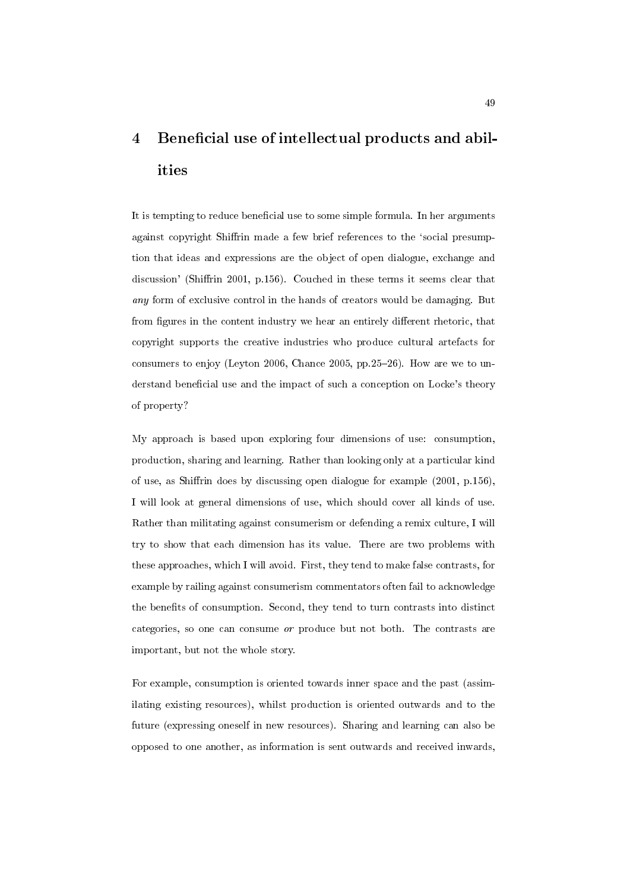# 4 Beneficial use of intellectual products and abilities

It is tempting to reduce beneficial use to some simple formula. In her arguments against copyright Shiffrin made a few brief references to the 'social presumption that ideas and expressions are the object of open dialogue, exchange and discussion' (Shiffrin 2001, p.156). Couched in these terms it seems clear that any form of exclusive control in the hands of creators would be damaging. But from figures in the content industry we hear an entirely different rhetoric, that copyright supports the creative industries who produce cultural artefacts for consumers to enjoy (Leyton 2006, Chance 2005, pp.25-26). How are we to understand beneficial use and the impact of such a conception on Locke's theory of property?

My approach is based upon exploring four dimensions of use: consumption, production, sharing and learning. Rather than looking only at a particular kind of use, as Shirin does by discussing open dialogue for example (2001, p.156), I will look at general dimensions of use, which should cover all kinds of use. Rather than militating against consumerism or defending a remix culture, I will try to show that each dimension has its value. There are two problems with these approaches, which I will avoid. First, they tend to make false contrasts, for example by railing against consumerism commentators often fail to acknowledge the benefits of consumption. Second, they tend to turn contrasts into distinct categories, so one can consume or produce but not both. The contrasts are important, but not the whole story.

For example, consumption is oriented towards inner space and the past (assimilating existing resources), whilst production is oriented outwards and to the future (expressing oneself in new resources). Sharing and learning can also be opposed to one another, as information is sent outwards and received inwards,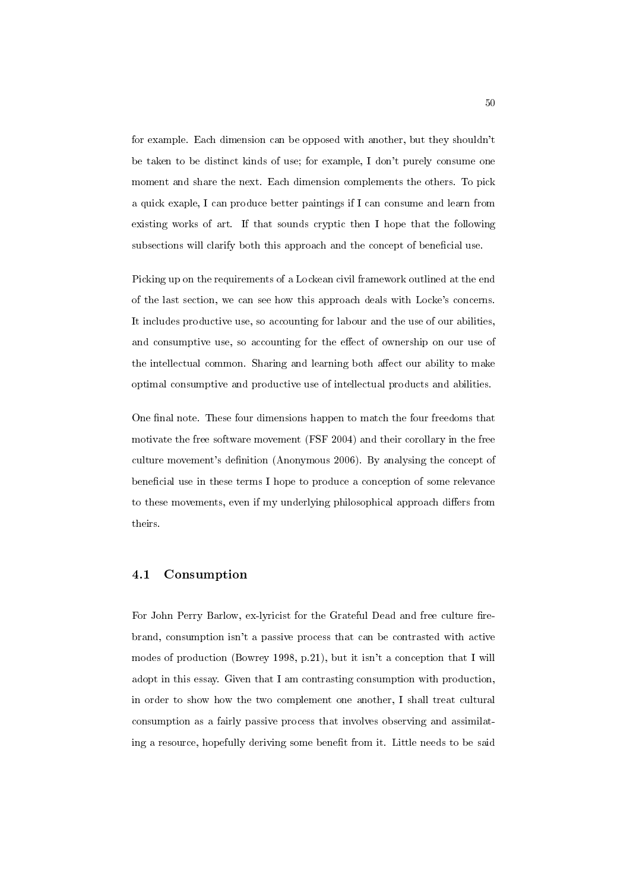for example. Each dimension can be opposed with another, but they shouldn't be taken to be distinct kinds of use; for example, I don't purely consume one moment and share the next. Each dimension complements the others. To pick a quick exaple, I can produce better paintings if I can consume and learn from existing works of art. If that sounds cryptic then I hope that the following subsections will clarify both this approach and the concept of beneficial use.

Picking up on the requirements of a Lockean civil framework outlined at the end of the last section, we can see how this approach deals with Locke's concerns. It includes productive use, so accounting for labour and the use of our abilities, and consumptive use, so accounting for the effect of ownership on our use of the intellectual common. Sharing and learning both affect our ability to make optimal consumptive and productive use of intellectual products and abilities.

One final note. These four dimensions happen to match the four freedoms that motivate the free software movement (FSF 2004) and their corollary in the free culture movement's definition (Anonymous 2006). By analysing the concept of beneficial use in these terms I hope to produce a conception of some relevance to these movements, even if my underlying philosophical approach differs from theirs.

#### 4.1 Consumption

For John Perry Barlow, ex-lyricist for the Grateful Dead and free culture firebrand, consumption isn't a passive process that can be contrasted with active modes of production (Bowrey 1998, p.21), but it isn't a conception that I will adopt in this essay. Given that I am contrasting consumption with production, in order to show how the two complement one another, I shall treat cultural consumption as a fairly passive process that involves observing and assimilating a resource, hopefully deriving some benet from it. Little needs to be said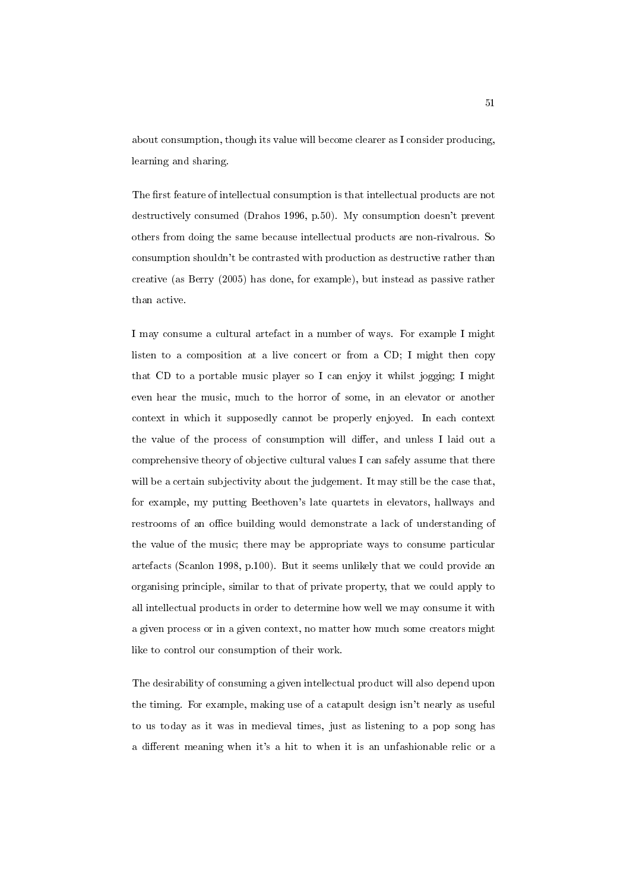about consumption, though its value will become clearer as I consider producing, learning and sharing.

The first feature of intellectual consumption is that intellectual products are not destructively consumed (Drahos 1996, p.50). My consumption doesn't prevent others from doing the same because intellectual products are non-rivalrous. So consumption shouldn't be contrasted with production as destructive rather than creative (as Berry (2005) has done, for example), but instead as passive rather than active.

I may consume a cultural artefact in a number of ways. For example I might listen to a composition at a live concert or from a CD; I might then copy that CD to a portable music player so I can enjoy it whilst jogging; I might even hear the music, much to the horror of some, in an elevator or another context in which it supposedly cannot be properly enjoyed. In each context the value of the process of consumption will differ, and unless I laid out a comprehensive theory of objective cultural values I can safely assume that there will be a certain subjectivity about the judgement. It may still be the case that, for example, my putting Beethoven's late quartets in elevators, hallways and restrooms of an office building would demonstrate a lack of understanding of the value of the music; there may be appropriate ways to consume particular artefacts (Scanlon 1998, p.100). But it seems unlikely that we could provide an organising principle, similar to that of private property, that we could apply to all intellectual products in order to determine how well we may consume it with a given process or in a given context, no matter how much some creators might like to control our consumption of their work.

The desirability of consuming a given intellectual product will also depend upon the timing. For example, making use of a catapult design isn't nearly as useful to us today as it was in medieval times, just as listening to a pop song has a different meaning when it's a hit to when it is an unfashionable relic or a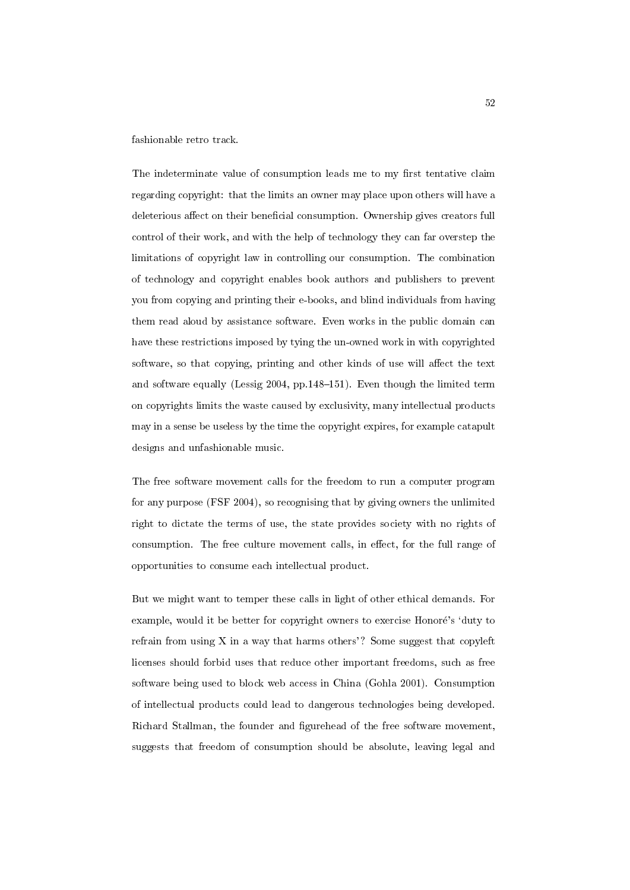fashionable retro track.

The indeterminate value of consumption leads me to my first tentative claim regarding copyright: that the limits an owner may place upon others will have a deleterious affect on their beneficial consumption. Ownership gives creators full control of their work, and with the help of technology they can far overstep the limitations of copyright law in controlling our consumption. The combination of technology and copyright enables book authors and publishers to prevent you from copying and printing their e-books, and blind individuals from having them read aloud by assistance software. Even works in the public domain can have these restrictions imposed by tying the un-owned work in with copyrighted software, so that copying, printing and other kinds of use will affect the text and software equally (Lessig 2004, pp.148-151). Even though the limited term on copyrights limits the waste caused by exclusivity, many intellectual products may in a sense be useless by the time the copyright expires, for example catapult designs and unfashionable music.

The free software movement calls for the freedom to run a computer program for any purpose (FSF 2004), so recognising that by giving owners the unlimited right to dictate the terms of use, the state provides society with no rights of consumption. The free culture movement calls, in effect, for the full range of opportunities to consume each intellectual product.

But we might want to temper these calls in light of other ethical demands. For example, would it be better for copyright owners to exercise Honore's 'duty to refrain from using X in a way that harms others'? Some suggest that copyleft licenses should forbid uses that reduce other important freedoms, such as free software being used to block web access in China (Gohla 2001). Consumption of intellectual products could lead to dangerous technologies being developed. Richard Stallman, the founder and figurehead of the free software movement, suggests that freedom of consumption should be absolute, leaving legal and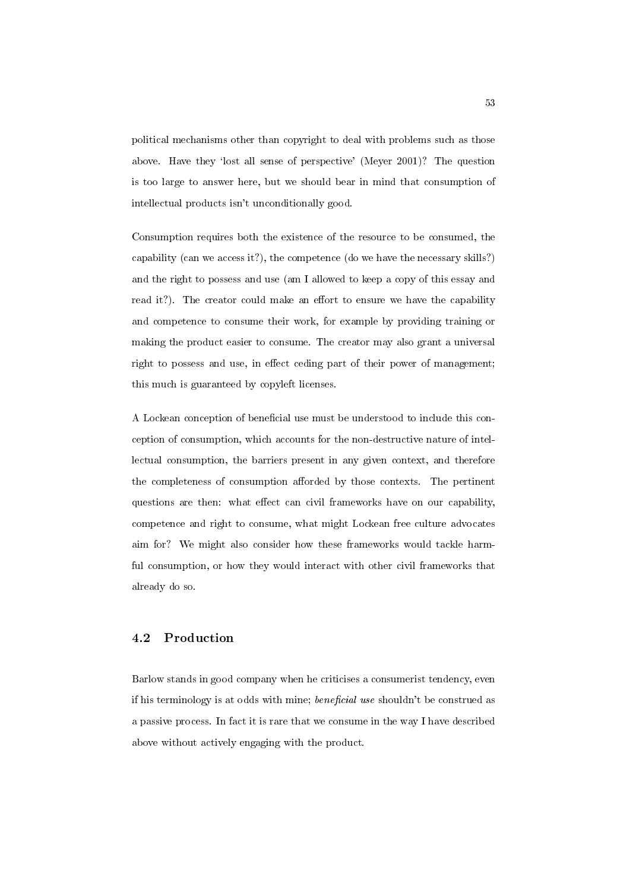political mechanisms other than copyright to deal with problems such as those above. Have they 'lost all sense of perspective' (Meyer 2001)? The question is too large to answer here, but we should bear in mind that consumption of intellectual products isn't unconditionally good.

Consumption requires both the existence of the resource to be consumed, the capability (can we access it?), the competence (do we have the necessary skills?) and the right to possess and use (am I allowed to keep a copy of this essay and read it?). The creator could make an effort to ensure we have the capability and competence to consume their work, for example by providing training or making the product easier to consume. The creator may also grant a universal right to possess and use, in effect ceding part of their power of management; this much is guaranteed by copyleft licenses.

A Lockean conception of beneficial use must be understood to include this conception of consumption, which accounts for the non-destructive nature of intellectual consumption, the barriers present in any given context, and therefore the completeness of consumption afforded by those contexts. The pertinent questions are then: what effect can civil frameworks have on our capability, competence and right to consume, what might Lockean free culture advocates aim for? We might also consider how these frameworks would tackle harmful consumption, or how they would interact with other civil frameworks that already do so.

### 4.2 Production

Barlow stands in good company when he criticises a consumerist tendency, even if his terminology is at odds with mine; *beneficial use* shouldn't be construed as a passive process. In fact it is rare that we consume in the way I have described above without actively engaging with the product.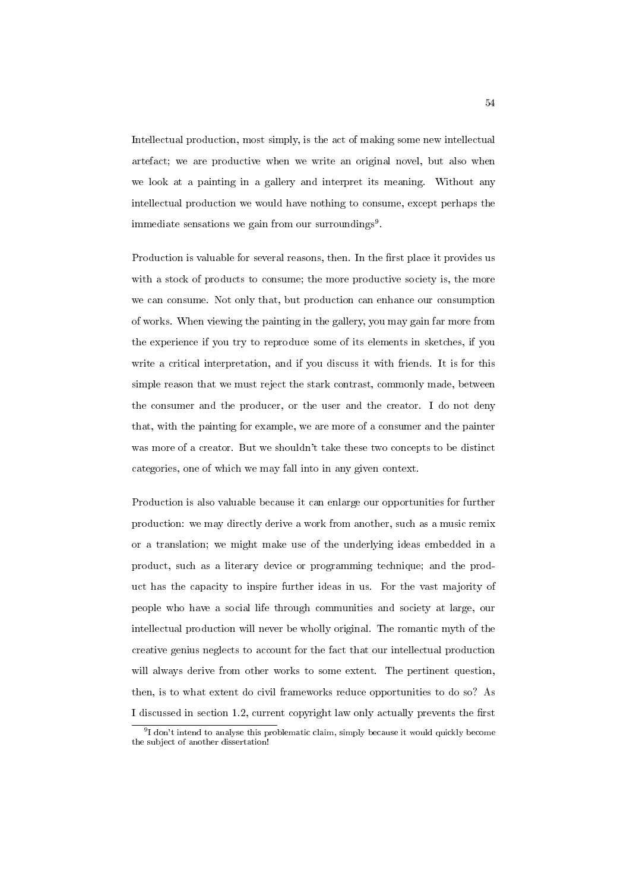Intellectual production, most simply, is the act of making some new intellectual artefact; we are productive when we write an original novel, but also when we look at a painting in a gallery and interpret its meaning. Without any intellectual production we would have nothing to consume, except perhaps the immediate sensations we gain from our surroundings<sup>9</sup>.

Production is valuable for several reasons, then. In the first place it provides us with a stock of products to consume; the more productive society is, the more we can consume. Not only that, but production can enhance our consumption of works. When viewing the painting in the gallery, you may gain far more from the experience if you try to reproduce some of its elements in sketches, if you write a critical interpretation, and if you discuss it with friends. It is for this simple reason that we must reject the stark contrast, commonly made, between the consumer and the producer, or the user and the creator. I do not deny that, with the painting for example, we are more of a consumer and the painter was more of a creator. But we shouldn't take these two concepts to be distinct categories, one of which we may fall into in any given context.

Production is also valuable because it can enlarge our opportunities for further production: we may directly derive a work from another, such as a music remix or a translation; we might make use of the underlying ideas embedded in a product, such as a literary device or programming technique; and the product has the capacity to inspire further ideas in us. For the vast majority of people who have a social life through communities and society at large, our intellectual production will never be wholly original. The romantic myth of the creative genius neglects to account for the fact that our intellectual production will always derive from other works to some extent. The pertinent question, then, is to what extent do civil frameworks reduce opportunities to do so? As I discussed in section 1.2, current copyright law only actually prevents the first

<sup>&</sup>lt;sup>9</sup>I don't intend to analyse this problematic claim, simply because it would quickly become the subject of another dissertation!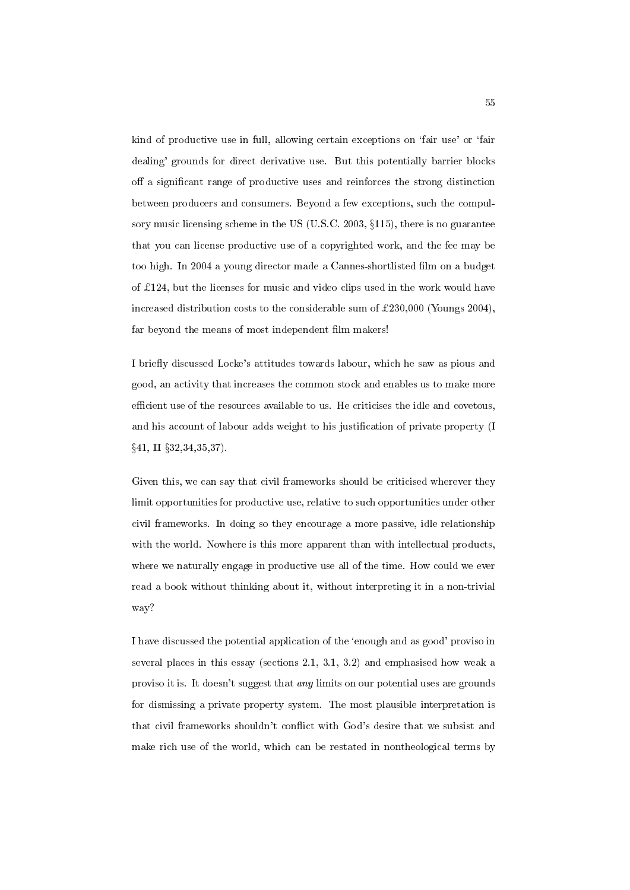kind of productive use in full, allowing certain exceptions on `fair use' or `fair dealing' grounds for direct derivative use. But this potentially barrier blocks off a significant range of productive uses and reinforces the strong distinction between producers and consumers. Beyond a few exceptions, such the compulsory music licensing scheme in the US (U.S.C. 2003,  $\S115$ ), there is no guarantee that you can license productive use of a copyrighted work, and the fee may be too high. In 2004 a young director made a Cannes-shortlisted lm on a budget of  $£124$ , but the licenses for music and video clips used in the work would have increased distribution costs to the considerable sum of  $\pounds230,000$  (Youngs 2004), far beyond the means of most independent film makers!

I briefly discussed Locke's attitudes towards labour, which he saw as pious and good, an activity that increases the common stock and enables us to make more efficient use of the resources available to us. He criticises the idle and covetous, and his account of labour adds weight to his justication of private property (I  $§41, \text{ II }$   $§32,34,35,37$ .

Given this, we can say that civil frameworks should be criticised wherever they limit opportunities for productive use, relative to such opportunities under other civil frameworks. In doing so they encourage a more passive, idle relationship with the world. Nowhere is this more apparent than with intellectual products, where we naturally engage in productive use all of the time. How could we ever read a book without thinking about it, without interpreting it in a non-trivial way?

I have discussed the potential application of the `enough and as good' proviso in several places in this essay (sections 2.1, 3.1, 3.2) and emphasised how weak a proviso it is. It doesn't suggest that any limits on our potential uses are grounds for dismissing a private property system. The most plausible interpretation is that civil frameworks shouldn't con
ict with God's desire that we subsist and make rich use of the world, which can be restated in nontheological terms by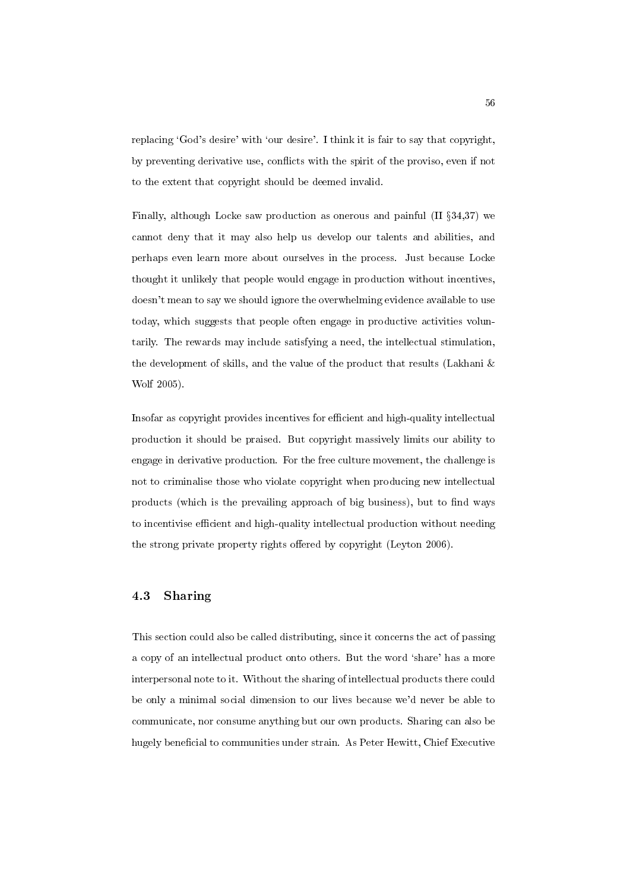replacing 'God's desire' with 'our desire'. I think it is fair to say that copyright, by preventing derivative use, conflicts with the spirit of the proviso, even if not to the extent that copyright should be deemed invalid.

Finally, although Locke saw production as onerous and painful (II  $\S 34.37$ ) we cannot deny that it may also help us develop our talents and abilities, and perhaps even learn more about ourselves in the process. Just because Locke thought it unlikely that people would engage in production without incentives, doesn't mean to say we should ignore the overwhelming evidence available to use today, which suggests that people often engage in productive activities voluntarily. The rewards may include satisfying a need, the intellectual stimulation, the development of skills, and the value of the product that results (Lakhani & Wolf 2005).

Insofar as copyright provides incentives for efficient and high-quality intellectual production it should be praised. But copyright massively limits our ability to engage in derivative production. For the free culture movement, the challenge is not to criminalise those who violate copyright when producing new intellectual products (which is the prevailing approach of big business), but to find ways to incentivise efficient and high-quality intellectual production without needing the strong private property rights offered by copyright (Leyton 2006).

## 4.3 Sharing

This section could also be called distributing, since it concerns the act of passing a copy of an intellectual product onto others. But the word `share' has a more interpersonal note to it. Without the sharing of intellectual products there could be only a minimal social dimension to our lives because we'd never be able to communicate, nor consume anything but our own products. Sharing can also be hugely beneficial to communities under strain. As Peter Hewitt, Chief Executive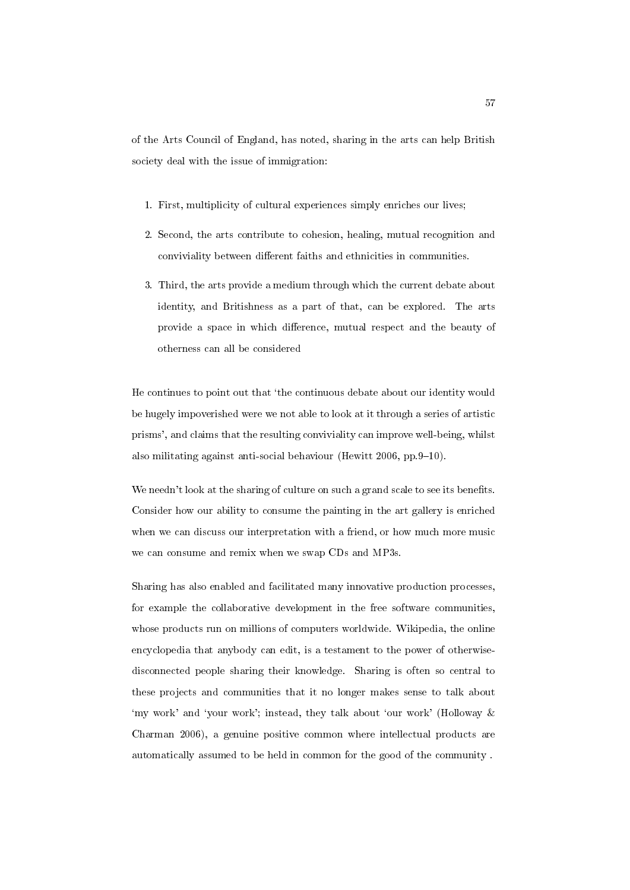of the Arts Council of England, has noted, sharing in the arts can help British society deal with the issue of immigration:

- 1. First, multiplicity of cultural experiences simply enriches our lives;
- 2. Second, the arts contribute to cohesion, healing, mutual recognition and conviviality between different faiths and ethnicities in communities.
- 3. Third, the arts provide a medium through which the current debate about identity, and Britishness as a part of that, can be explored. The arts provide a space in which difference, mutual respect and the beauty of otherness can all be considered

He continues to point out that `the continuous debate about our identity would be hugely impoverished were we not able to look at it through a series of artistic prisms', and claims that the resulting conviviality can improve well-being, whilst also militating against anti-social behaviour (Hewitt  $2006$ , pp. 9-10).

We needn't look at the sharing of culture on such a grand scale to see its benefits. Consider how our ability to consume the painting in the art gallery is enriched when we can discuss our interpretation with a friend, or how much more music we can consume and remix when we swap CDs and MP3s.

Sharing has also enabled and facilitated many innovative production processes, for example the collaborative development in the free software communities, whose products run on millions of computers worldwide. Wikipedia, the online encyclopedia that anybody can edit, is a testament to the power of otherwisedisconnected people sharing their knowledge. Sharing is often so central to these projects and communities that it no longer makes sense to talk about 'my work' and 'your work'; instead, they talk about 'our work' (Holloway & Charman 2006), a genuine positive common where intellectual products are automatically assumed to be held in common for the good of the community .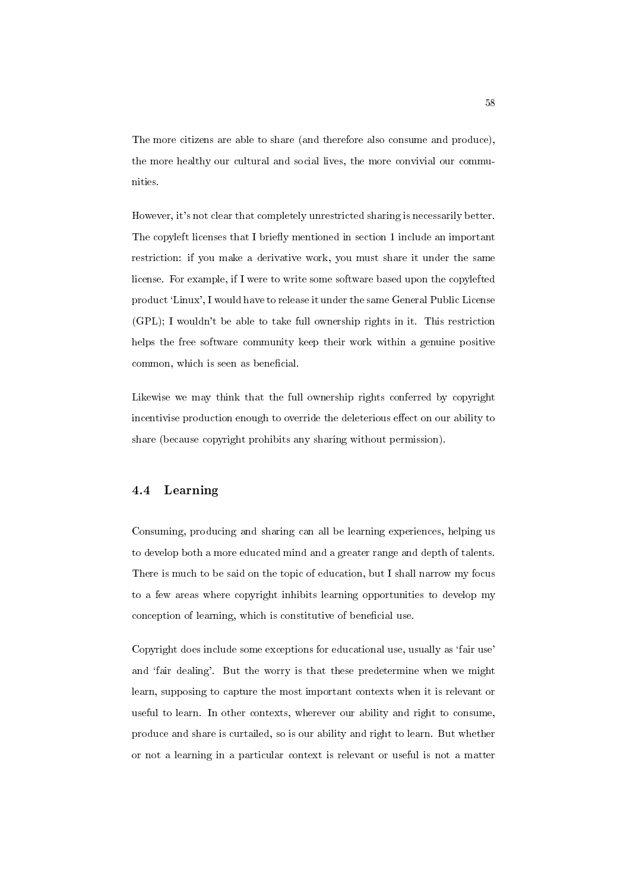The more citizens are able to share (and therefore also consume and produce), the more healthy our cultural and social lives, the more convivial our communities.

However, it's not clear that completely unrestricted sharing is necessarily better. The copyleft licenses that I briefly mentioned in section 1 include an important restriction: if you make a derivative work, you must share it under the same license. For example, if I were to write some software based upon the copylefted product `Linux', I would have to release it under the same General Public License (GPL); I wouldn't be able to take full ownership rights in it. This restriction helps the free software community keep their work within a genuine positive common, which is seen as beneficial.

Likewise we may think that the full ownership rights conferred by copyright incentivise production enough to override the deleterious effect on our ability to share (because copyright prohibits any sharing without permission).

## 4.4 Learning

Consuming, producing and sharing can all be learning experiences, helping us to develop both a more educated mind and a greater range and depth of talents. There is much to be said on the topic of education, but I shall narrow my focus to a few areas where copyright inhibits learning opportunities to develop my conception of learning, which is constitutive of beneficial use.

Copyright does include some exceptions for educational use, usually as `fair use' and 'fair dealing'. But the worry is that these predetermine when we might learn, supposing to capture the most important contexts when it is relevant or useful to learn. In other contexts, wherever our ability and right to consume, produce and share is curtailed, so is our ability and right to learn. But whether or not a learning in a particular context is relevant or useful is not a matter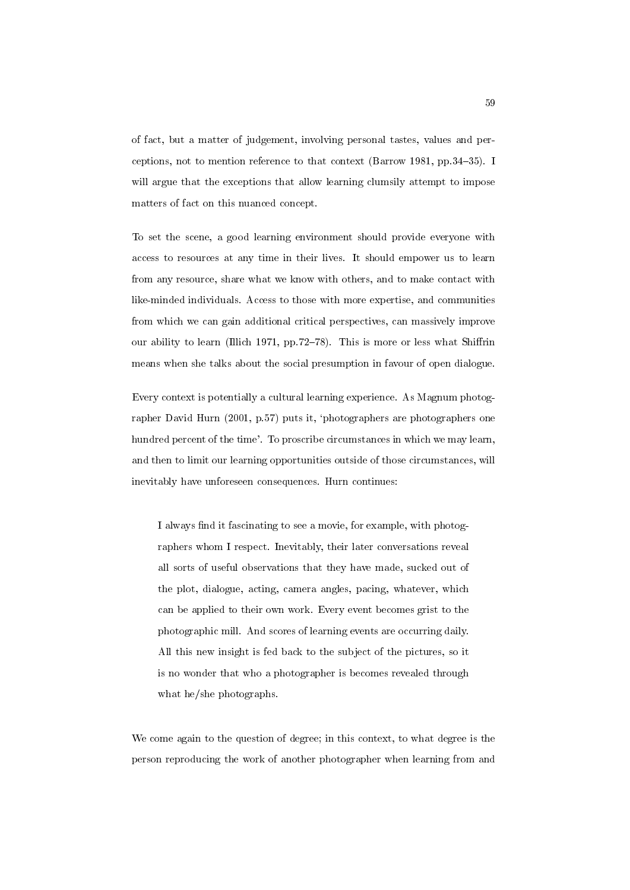of fact, but a matter of judgement, involving personal tastes, values and perceptions, not to mention reference to that context (Barrow 1981, pp. 34-35). I will argue that the exceptions that allow learning clumsily attempt to impose matters of fact on this nuanced concept.

To set the scene, a good learning environment should provide everyone with access to resources at any time in their lives. It should empower us to learn from any resource, share what we know with others, and to make contact with like-minded individuals. Access to those with more expertise, and communities from which we can gain additional critical perspectives, can massively improve our ability to learn (Illich 1971, pp.72-78). This is more or less what Shiffrin means when she talks about the social presumption in favour of open dialogue.

Every context is potentially a cultural learning experience. As Magnum photographer David Hurn (2001, p.57) puts it, `photographers are photographers one hundred percent of the time'. To proscribe circumstances in which we may learn, and then to limit our learning opportunities outside of those circumstances, will inevitably have unforeseen consequences. Hurn continues:

I always find it fascinating to see a movie, for example, with photographers whom I respect. Inevitably, their later conversations reveal all sorts of useful observations that they have made, sucked out of the plot, dialogue, acting, camera angles, pacing, whatever, which can be applied to their own work. Every event becomes grist to the photographic mill. And scores of learning events are occurring daily. All this new insight is fed back to the subject of the pictures, so it is no wonder that who a photographer is becomes revealed through what he/she photographs.

We come again to the question of degree; in this context, to what degree is the person reproducing the work of another photographer when learning from and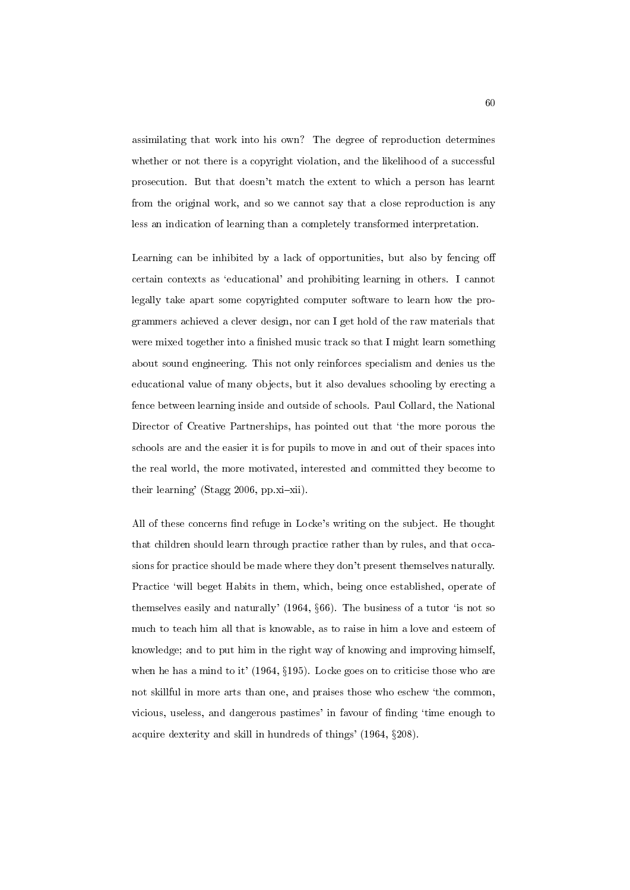assimilating that work into his own? The degree of reproduction determines whether or not there is a copyright violation, and the likelihood of a successful prosecution. But that doesn't match the extent to which a person has learnt from the original work, and so we cannot say that a close reproduction is any less an indication of learning than a completely transformed interpretation.

Learning can be inhibited by a lack of opportunities, but also by fencing o certain contexts as `educational' and prohibiting learning in others. I cannot legally take apart some copyrighted computer software to learn how the programmers achieved a clever design, nor can I get hold of the raw materials that were mixed together into a finished music track so that I might learn something about sound engineering. This not only reinforces specialism and denies us the educational value of many objects, but it also devalues schooling by erecting a fence between learning inside and outside of schools. Paul Collard, the National Director of Creative Partnerships, has pointed out that 'the more porous the schools are and the easier it is for pupils to move in and out of their spaces into the real world, the more motivated, interested and committed they become to their learning' (Stagg 2006, pp.xi-xii).

All of these concerns find refuge in Locke's writing on the subject. He thought that children should learn through practice rather than by rules, and that occasions for practice should be made where they don't present themselves naturally. Practice 'will beget Habits in them, which, being once established, operate of themselves easily and naturally'  $(1964, \S66)$ . The business of a tutor 'is not so much to teach him all that is knowable, as to raise in him a love and esteem of knowledge; and to put him in the right way of knowing and improving himself, when he has a mind to it' (1964,  $\S195$ ). Locke goes on to criticise those who are not skillful in more arts than one, and praises those who eschew `the common, vicious, useless, and dangerous pastimes' in favour of finding 'time enough to acquire dexterity and skill in hundreds of things'  $(1964, \S208)$ .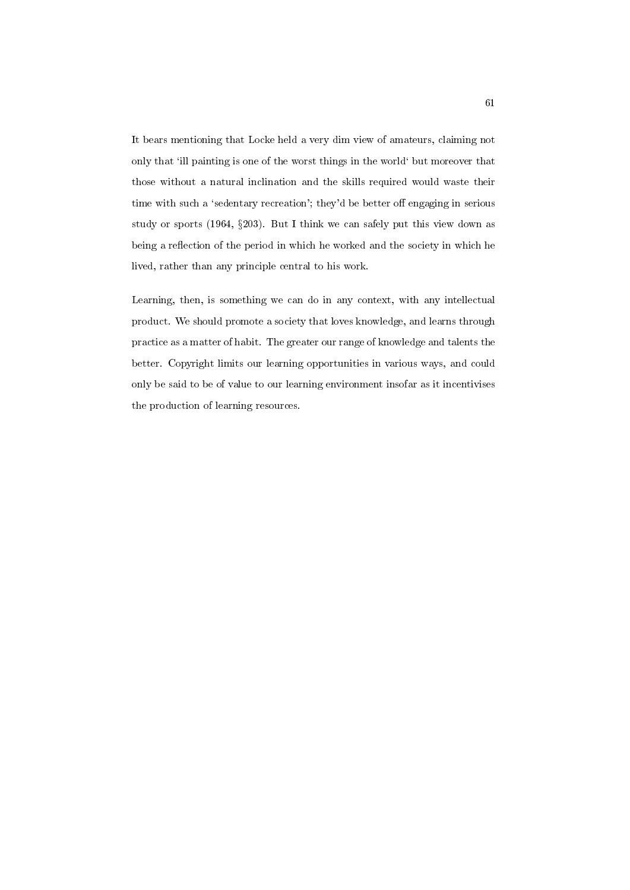It bears mentioning that Locke held a very dim view of amateurs, claiming not only that `ill painting is one of the worst things in the world` but moreover that those without a natural inclination and the skills required would waste their time with such a 'sedentary recreation'; they'd be better off engaging in serious study or sports (1964, §203). But I think we can safely put this view down as being a reflection of the period in which he worked and the society in which he lived, rather than any principle central to his work.

Learning, then, is something we can do in any context, with any intellectual product. We should promote a society that loves knowledge, and learns through practice as a matter of habit. The greater our range of knowledge and talents the better. Copyright limits our learning opportunities in various ways, and could only be said to be of value to our learning environment insofar as it incentivises the production of learning resources.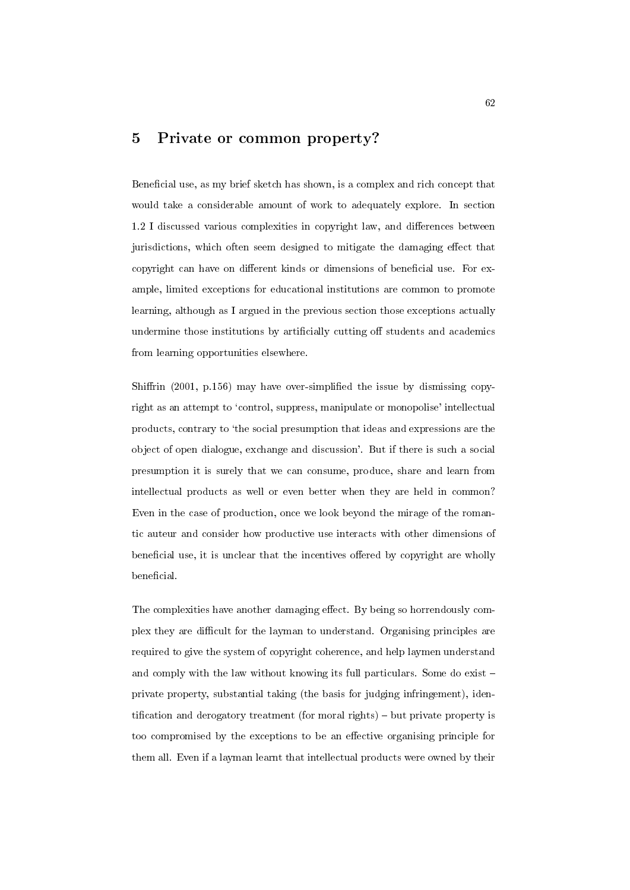# 5 Private or common property?

Beneficial use, as my brief sketch has shown, is a complex and rich concept that would take a considerable amount of work to adequately explore. In section 1.2 I discussed various complexities in copyright law, and differences between jurisdictions, which often seem designed to mitigate the damaging effect that copyright can have on different kinds or dimensions of beneficial use. For example, limited exceptions for educational institutions are common to promote learning, although as I argued in the previous section those exceptions actually undermine those institutions by artificially cutting off students and academics from learning opportunities elsewhere.

Shiffrin (2001, p.156) may have over-simplified the issue by dismissing copyright as an attempt to 'control, suppress, manipulate or monopolise' intellectual products, contrary to `the social presumption that ideas and expressions are the object of open dialogue, exchange and discussion'. But if there is such a social presumption it is surely that we can consume, produce, share and learn from intellectual products as well or even better when they are held in common? Even in the case of production, once we look beyond the mirage of the romantic auteur and consider how productive use interacts with other dimensions of beneficial use, it is unclear that the incentives offered by copyright are wholly beneficial.

The complexities have another damaging effect. By being so horrendously complex they are difficult for the layman to understand. Organising principles are required to give the system of copyright coherence, and help laymen understand and comply with the law without knowing its full particulars. Some do exist  $$ private property, substantial taking (the basis for judging infringement), identification and derogatory treatment (for moral rights) - but private property is too compromised by the exceptions to be an effective organising principle for them all. Even if a layman learnt that intellectual products were owned by their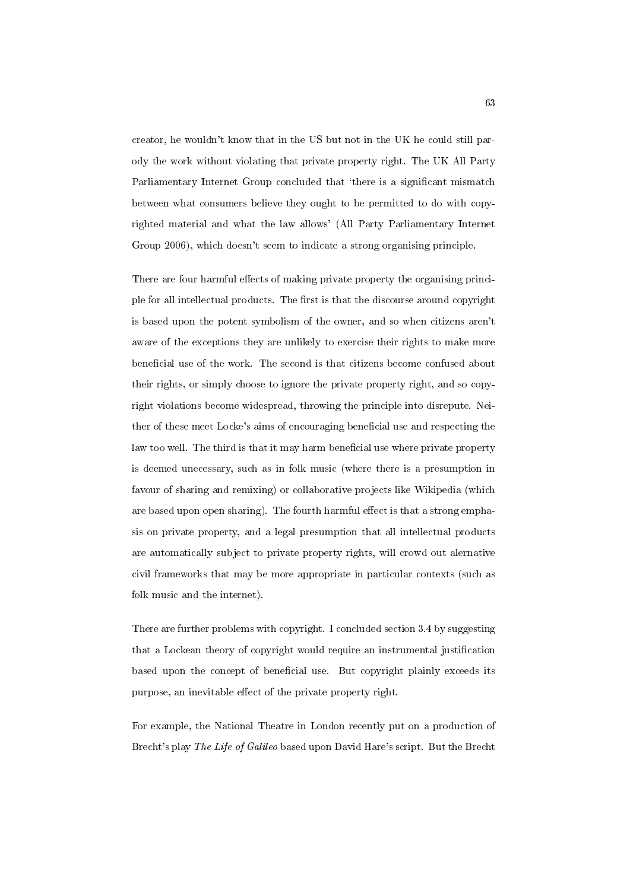creator, he wouldn't know that in the US but not in the UK he could still parody the work without violating that private property right. The UK All Party Parliamentary Internet Group concluded that 'there is a significant mismatch between what consumers believe they ought to be permitted to do with copyrighted material and what the law allows' (All Party Parliamentary Internet Group 2006), which doesn't seem to indicate a strong organising principle.

There are four harmful effects of making private property the organising principle for all intellectual products. The first is that the discourse around copyright is based upon the potent symbolism of the owner, and so when citizens aren't aware of the exceptions they are unlikely to exercise their rights to make more beneficial use of the work. The second is that citizens become confused about their rights, or simply choose to ignore the private property right, and so copyright violations become widespread, throwing the principle into disrepute. Neither of these meet Locke's aims of encouraging beneficial use and respecting the law too well. The third is that it may harm beneficial use where private property is deemed unecessary, such as in folk music (where there is a presumption in favour of sharing and remixing) or collaborative projects like Wikipedia (which are based upon open sharing). The fourth harmful effect is that a strong emphasis on private property, and a legal presumption that all intellectual products are automatically subject to private property rights, will crowd out alernative civil frameworks that may be more appropriate in particular contexts (such as folk music and the internet).

There are further problems with copyright. I concluded section 3.4 by suggesting that a Lockean theory of copyright would require an instrumental justification based upon the concept of beneficial use. But copyright plainly exceeds its purpose, an inevitable effect of the private property right.

For example, the National Theatre in London recently put on a production of Brecht's play The Life of Galileo based upon David Hare's script. But the Brecht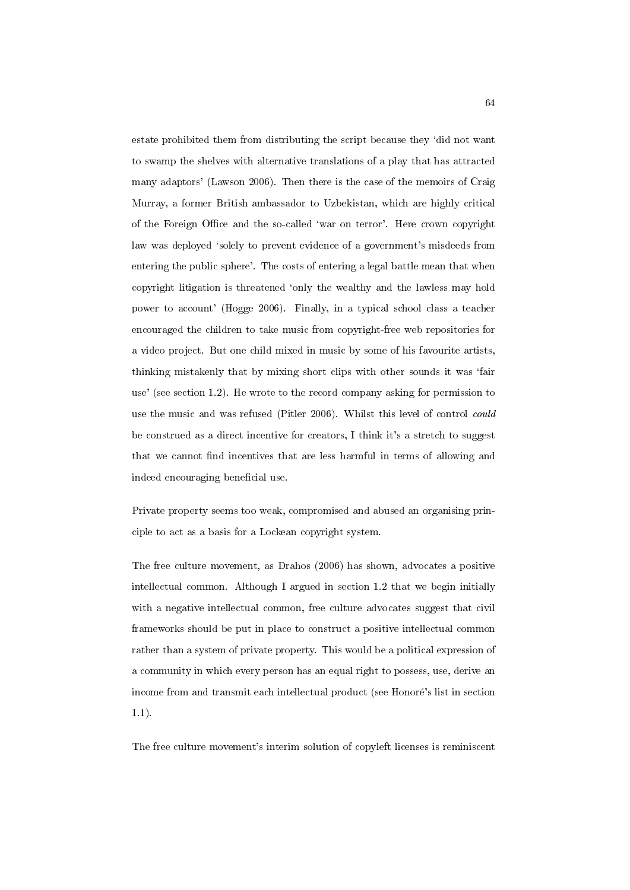estate prohibited them from distributing the script because they 'did not want to swamp the shelves with alternative translations of a play that has attracted many adaptors' (Lawson 2006). Then there is the case of the memoirs of Craig Murray, a former British ambassador to Uzbekistan, which are highly critical of the Foreign Office and the so-called 'war on terror'. Here crown copyright law was deployed 'solely to prevent evidence of a government's misdeeds from entering the public sphere'. The costs of entering a legal battle mean that when copyright litigation is threatened `only the wealthy and the lawless may hold power to account' (Hogge 2006). Finally, in a typical school class a teacher encouraged the children to take music from copyright-free web repositories for a video project. But one child mixed in music by some of his favourite artists, thinking mistakenly that by mixing short clips with other sounds it was `fair use' (see section 1.2). He wrote to the record company asking for permission to use the music and was refused (Pitler 2006). Whilst this level of control could be construed as a direct incentive for creators, I think it's a stretch to suggest that we cannot find incentives that are less harmful in terms of allowing and indeed encouraging beneficial use.

Private property seems too weak, compromised and abused an organising principle to act as a basis for a Lockean copyright system.

The free culture movement, as Drahos (2006) has shown, advocates a positive intellectual common. Although I argued in section 1.2 that we begin initially with a negative intellectual common, free culture advocates suggest that civil frameworks should be put in place to construct a positive intellectual common rather than a system of private property. This would be a political expression of a community in which every person has an equal right to possess, use, derive an income from and transmit each intellectual product (see Honore's list in section 1.1).

The free culture movement's interim solution of copyleft licenses is reminiscent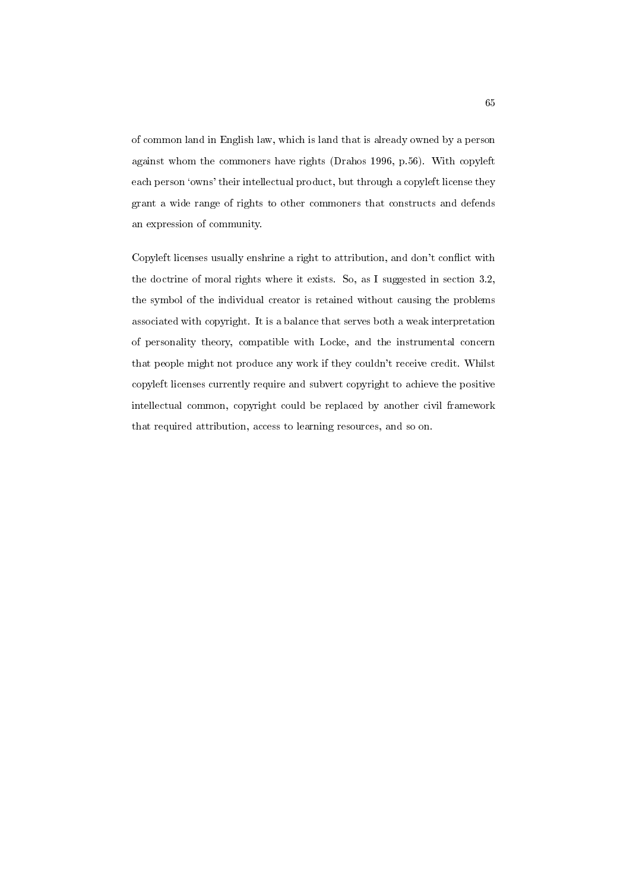of common land in English law, which is land that is already owned by a person against whom the commoners have rights (Drahos 1996, p.56). With copyleft each person 'owns' their intellectual product, but through a copyleft license they grant a wide range of rights to other commoners that constructs and defends an expression of community.

Copyleft licenses usually enshrine a right to attribution, and don't conflict with the doctrine of moral rights where it exists. So, as I suggested in section 3.2, the symbol of the individual creator is retained without causing the problems associated with copyright. It is a balance that serves both a weak interpretation of personality theory, compatible with Locke, and the instrumental concern that people might not produce any work if they couldn't receive credit. Whilst copyleft licenses currently require and subvert copyright to achieve the positive intellectual common, copyright could be replaced by another civil framework that required attribution, access to learning resources, and so on.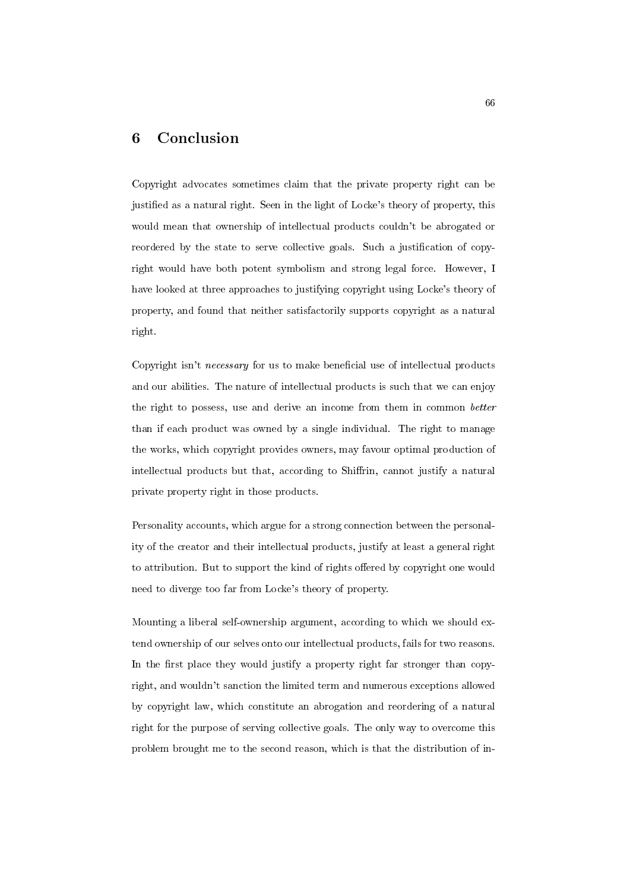# 6 Conclusion

Copyright advocates sometimes claim that the private property right can be justified as a natural right. Seen in the light of Locke's theory of property, this would mean that ownership of intellectual products couldn't be abrogated or reordered by the state to serve collective goals. Such a justification of copyright would have both potent symbolism and strong legal force. However, I have looked at three approaches to justifying copyright using Locke's theory of property, and found that neither satisfactorily supports copyright as a natural right.

Copyright isn't *necessary* for us to make beneficial use of intellectual products and our abilities. The nature of intellectual products is such that we can enjoy the right to possess, use and derive an income from them in common better than if each product was owned by a single individual. The right to manage the works, which copyright provides owners, may favour optimal production of intellectual products but that, according to Shiffrin, cannot justify a natural private property right in those products.

Personality accounts, which argue for a strong connection between the personality of the creator and their intellectual products, justify at least a general right to attribution. But to support the kind of rights offered by copyright one would need to diverge too far from Locke's theory of property.

Mounting a liberal self-ownership argument, according to which we should extend ownership of our selves onto our intellectual products, fails for two reasons. In the first place they would justify a property right far stronger than copyright, and wouldn't sanction the limited term and numerous exceptions allowed by copyright law, which constitute an abrogation and reordering of a natural right for the purpose of serving collective goals. The only way to overcome this problem brought me to the second reason, which is that the distribution of in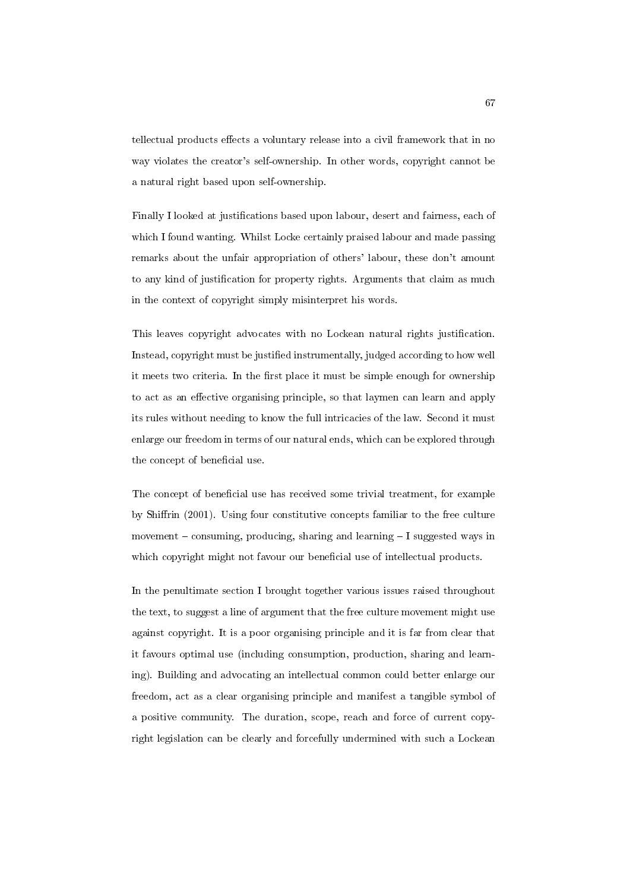tellectual products effects a voluntary release into a civil framework that in no way violates the creator's self-ownership. In other words, copyright cannot be a natural right based upon self-ownership.

Finally I looked at justifications based upon labour, desert and fairness, each of which I found wanting. Whilst Locke certainly praised labour and made passing remarks about the unfair appropriation of others' labour, these don't amount to any kind of justication for property rights. Arguments that claim as much in the context of copyright simply misinterpret his words.

This leaves copyright advocates with no Lockean natural rights justication. Instead, copyright must be justied instrumentally, judged according to how well it meets two criteria. In the first place it must be simple enough for ownership to act as an effective organising principle, so that laymen can learn and apply its rules without needing to know the full intricacies of the law. Second it must enlarge our freedom in terms of our natural ends, which can be explored through the concept of beneficial use.

The concept of beneficial use has received some trivial treatment, for example by Shirin (2001). Using four constitutive concepts familiar to the free culture movement  ${\bf -}$  consuming, producing, sharing and learning  ${\bf -I}$  suggested ways in which copyright might not favour our beneficial use of intellectual products.

In the penultimate section I brought together various issues raised throughout the text, to suggest a line of argument that the free culture movement might use against copyright. It is a poor organising principle and it is far from clear that it favours optimal use (including consumption, production, sharing and learning). Building and advocating an intellectual common could better enlarge our freedom, act as a clear organising principle and manifest a tangible symbol of a positive community. The duration, scope, reach and force of current copyright legislation can be clearly and forcefully undermined with such a Lockean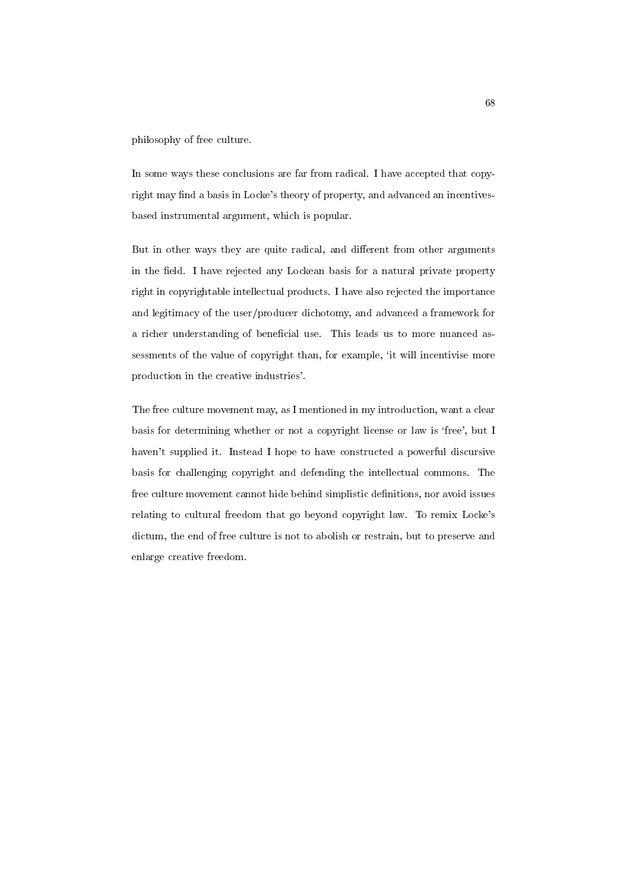philosophy of free culture.

In some ways these conclusions are far from radical. I have accepted that copyright may find a basis in Locke's theory of property, and advanced an incentivesbased instrumental argument, which is popular.

But in other ways they are quite radical, and different from other arguments in the field. I have rejected any Lockean basis for a natural private property right in copyrightable intellectual products. I have also rejected the importance and legitimacy of the user/producer dichotomy, and advanced a framework for a richer understanding of beneficial use. This leads us to more nuanced assessments of the value of copyright than, for example, 'it will incentivise more production in the creative industries'.

The free culture movement may, as I mentioned in my introduction, want a clear basis for determining whether or not a copyright license or law is 'free', but I haven't supplied it. Instead I hope to have constructed a powerful discursive basis for challenging copyright and defending the intellectual commons. The free culture movement cannot hide behind simplistic definitions, nor avoid issues relating to cultural freedom that go beyond copyright law. To remix Locke's dictum, the end of free culture is not to abolish or restrain, but to preserve and enlarge creative freedom.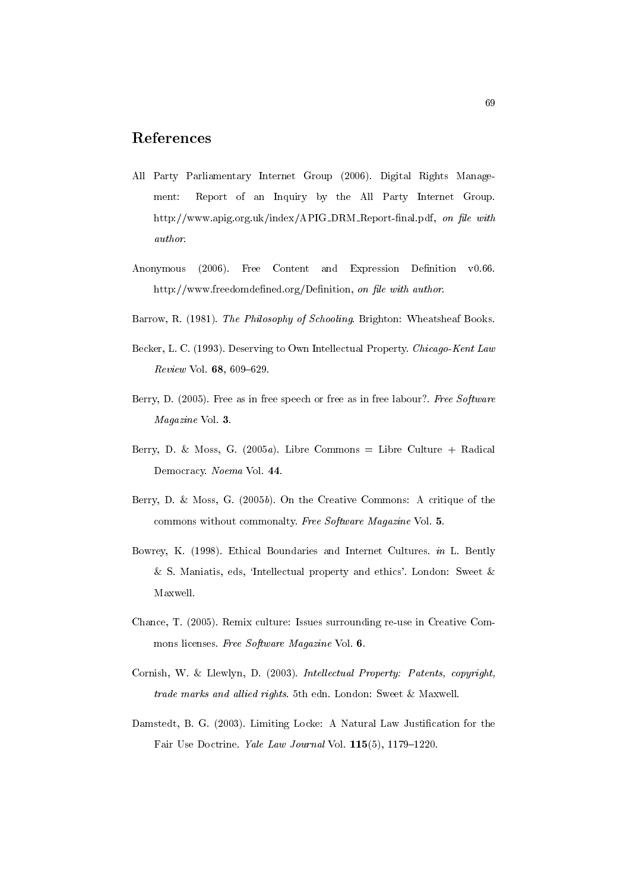# References

- All Party Parliamentary Internet Group (2006). Digital Rights Management: Report of an Inquiry by the All Party Internet Group. http://www.apig.org.uk/index/APIG\_DRM\_Report-final.pdf, on file with author.
- Anonymous (2006). Free Content and Expression Definition v0.66. http://www.freedomdefined.org/Definition, on file with author.
- Barrow, R. (1981). The Philosophy of Schooling. Brighton: Wheatsheaf Books.
- Becker, L. C. (1993). Deserving to Own Intellectual Property. Chicago-Kent Law  $Review$  Vol.  $68, 609 - 629$ .
- Berry, D. (2005). Free as in free speech or free as in free labour?. Free Software Magazine Vol. 3.
- Berry, D. & Moss, G. (2005a). Libre Commons = Libre Culture + Radical Democracy. Noema Vol. 44.
- Berry, D. & Moss, G. (2005b). On the Creative Commons: A critique of the commons without commonalty. Free Software Magazine Vol. 5.
- Bowrey, K. (1998). Ethical Boundaries and Internet Cultures. in L. Bently & S. Maniatis, eds, `Intellectual property and ethics'. London: Sweet & Maxwell.
- Chance, T. (2005). Remix culture: Issues surrounding re-use in Creative Commons licenses. Free Software Magazine Vol. 6.
- Cornish, W. & Llewlyn, D. (2003). Intellectual Property: Patents, copyright, trade marks and allied rights. 5th edn. London: Sweet & Maxwell.
- Damstedt, B. G. (2003). Limiting Locke: A Natural Law Justication for the Fair Use Doctrine. Yale Law Journal Vol. 115(5), 1179-1220.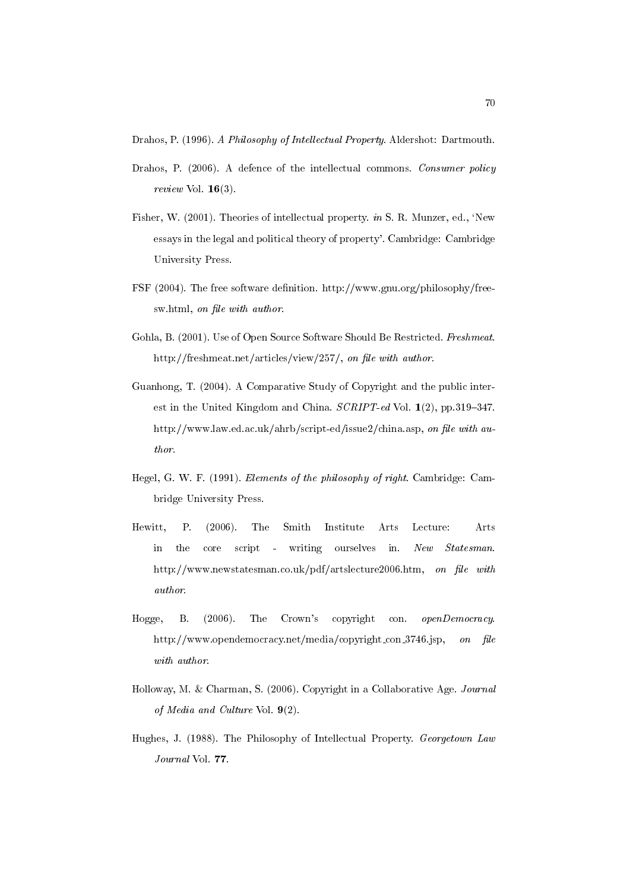Drahos, P. (1996). A Philosophy of Intellectual Property. Aldershot: Dartmouth.

- Drahos, P. (2006). A defence of the intellectual commons. Consumer policy review Vol. 16(3).
- Fisher, W. (2001). Theories of intellectual property. in S. R. Munzer, ed., 'New essays in the legal and political theory of property'. Cambridge: Cambridge University Press.
- FSF (2004). The free software definition. http://www.gnu.org/philosophy/freesw.html, on file with author.
- Gohla, B. (2001). Use of Open Source Software Should Be Restricted. Freshmeat. http://freshmeat.net/articles/view/257/, on file with author.
- Guanhong, T. (2004). A Comparative Study of Copyright and the public interest in the United Kingdom and China.  $SCRIPT$ -ed Vol. 1(2), pp.319-347. http://www.law.ed.ac.uk/ahrb/script-ed/issue2/china.asp, on file with author.
- Hegel, G. W. F. (1991). Elements of the philosophy of right. Cambridge: Cambridge University Press.
- Hewitt, P. (2006). The Smith Institute Arts Lecture: Arts in the core script - writing ourselves in. New Statesman. http://www.newstatesman.co.uk/pdf/artslecture2006.htm, on file with author.
- Hogge, B. (2006). The Crown's copyright con. openDemocracy. http://www.opendemocracy.net/media/copyright\_con\_3746.jsp, on file with author.
- Holloway, M. & Charman, S. (2006). Copyright in a Collaborative Age. Journal of Media and Culture Vol. 9(2).
- Hughes, J. (1988). The Philosophy of Intellectual Property. Georgetown Law Journal Vol. 77.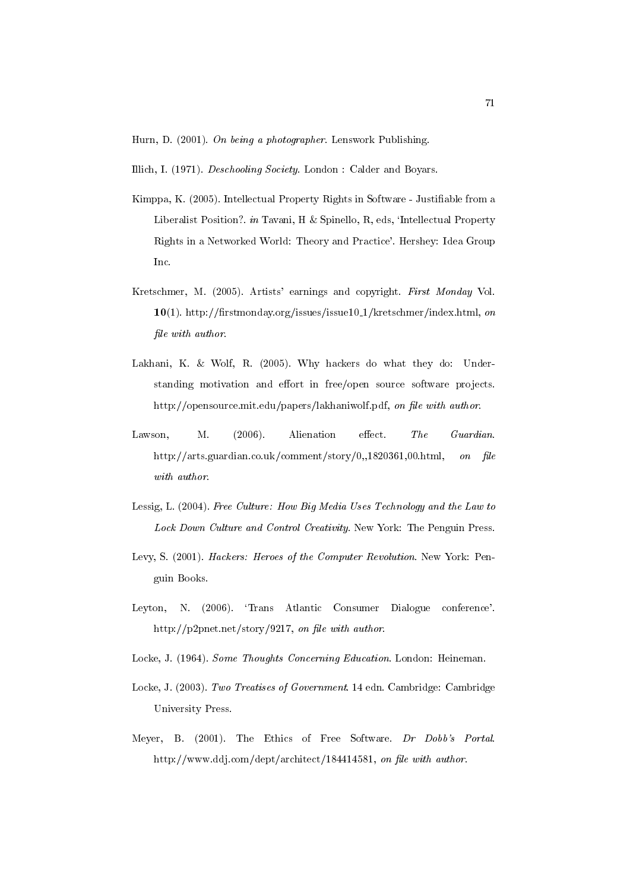Hurn, D. (2001). On being a photographer. Lenswork Publishing.

Illich, I. (1971). Deschooling Society. London : Calder and Boyars.

- Kimppa, K. (2005). Intellectual Property Rights in Software Justiable from a Liberalist Position?. in Tavani, H & Spinello, R, eds, 'Intellectual Property Rights in a Networked World: Theory and Practice'. Hershey: Idea Group Inc.
- Kretschmer, M. (2005). Artists' earnings and copyright. First Monday Vol. 10(1). http://firstmonday.org/issues/issue10\_1/kretschmer/index.html, on file with author.
- Lakhani, K. & Wolf, R. (2005). Why hackers do what they do: Understanding motivation and effort in free/open source software projects. http://opensource.mit.edu/papers/lakhaniwolf.pdf, on file with author.
- Lawson, M.  $(2006)$ . Alienation effect. The Guardian. http://arts.guardian.co.uk/comment/story/0,,1820361,00.html, on file with author.
- Lessig, L. (2004). Free Culture: How Big Media Uses Technology and the Law to Lock Down Culture and Control Creativity. New York: The Penguin Press.
- Levy, S. (2001). Hackers: Heroes of the Computer Revolution. New York: Penguin Books.
- Leyton, N. (2006). 'Trans Atlantic Consumer Dialogue conference'. http://p2pnet.net/story/9217, on file with author.
- Locke, J. (1964). Some Thoughts Concerning Education. London: Heineman.
- Locke, J. (2003). Two Treatises of Government. 14 edn. Cambridge: Cambridge University Press.
- Meyer, B. (2001). The Ethics of Free Software. Dr Dobb's Portal. http://www.ddj.com/dept/architect/184414581, on file with author.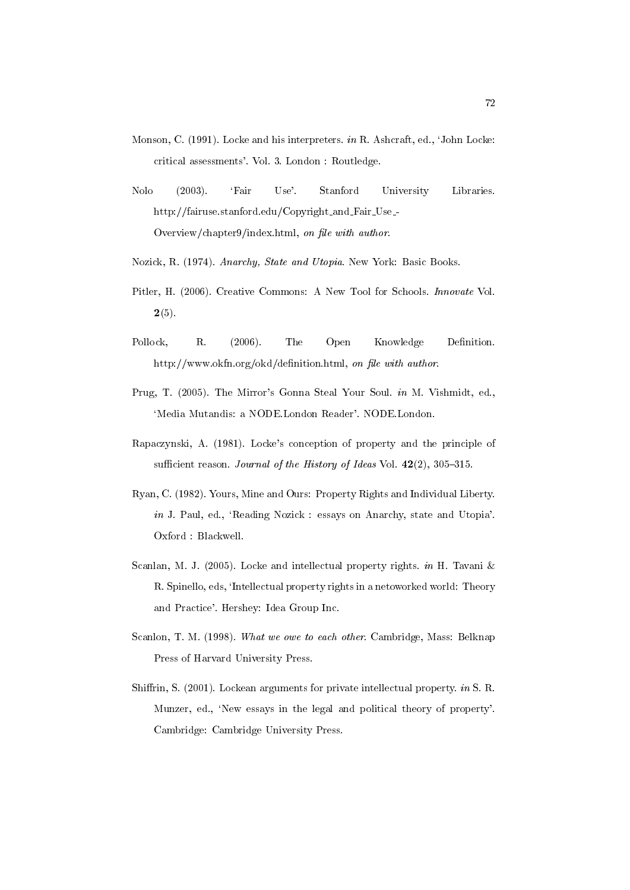- Monson, C. (1991). Locke and his interpreters. in R. Ashcraft, ed., `John Locke: critical assessments'. Vol. 3. London : Routledge.
- Nolo (2003). `Fair Use'. Stanford University Libraries. http://fairuse.stanford.edu/Copyright\_and\_Fair\_Use\_-Overview/chapter9/index.html, on file with author.
- Nozick, R. (1974). Anarchy, State and Utopia. New York: Basic Books.
- Pitler, H. (2006). Creative Commons: A New Tool for Schools. Innovate Vol.  $2(5).$
- Pollock, R. (2006). The Open Knowledge Definition. http://www.okfn.org/okd/definition.html, on file with author.
- Prug, T. (2005). The Mirror's Gonna Steal Your Soul. in M. Vishmidt, ed., 'Media Mutandis: a NODE.London Reader'. NODE.London.
- Rapaczynski, A. (1981). Locke's conception of property and the principle of sufficient reason. Journal of the History of Ideas Vol.  $42(2)$ , 305-315.
- Ryan, C. (1982). Yours, Mine and Ours: Property Rights and Individual Liberty. in J. Paul, ed., `Reading Nozick : essays on Anarchy, state and Utopia'. Oxford : Blackwell.
- Scanlan, M. J. (2005). Locke and intellectual property rights. in H. Tavani & R. Spinello, eds, `Intellectual property rights in a netoworked world: Theory and Practice'. Hershey: Idea Group Inc.
- Scanlon, T. M. (1998). What we owe to each other. Cambridge, Mass: Belknap Press of Harvard University Press.
- Shiffrin, S. (2001). Lockean arguments for private intellectual property. in S. R. Munzer, ed., `New essays in the legal and political theory of property'. Cambridge: Cambridge University Press.